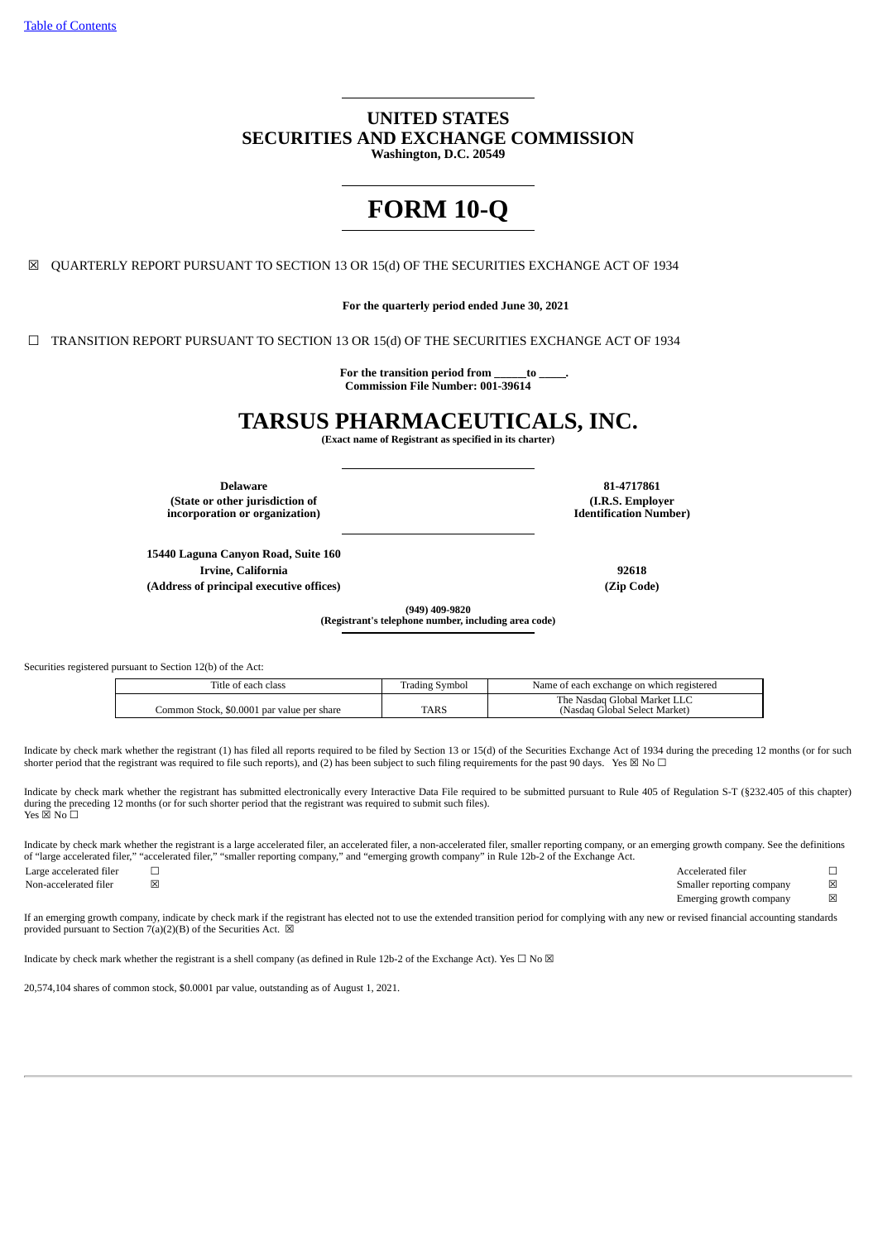# **UNITED STATES SECURITIES AND EXCHANGE COMMISSION Washington, D.C. 20549**

# **FORM 10-Q**

☒ QUARTERLY REPORT PURSUANT TO SECTION 13 OR 15(d) OF THE SECURITIES EXCHANGE ACT OF 1934

**For the quarterly period ended June 30, 2021**

☐ TRANSITION REPORT PURSUANT TO SECTION 13 OR 15(d) OF THE SECURITIES EXCHANGE ACT OF 1934

**For the transition period from \_\_\_\_\_ to \_\_\_\_ . Commission File Number: 001-39614**

# **TARSUS PHARMACEUTICALS, INC.**

**(Exact name of Registrant as specified in its charter)**

**Delaware 81-4717861 (State or other jurisdiction of incorporation or organization)**

**15440 Laguna Canyon Road, Suite 160 Irvine, California 92618 (Address of principal executive offices) (Zip Code)**

**(I.R.S. Employer Identification Number)**

Emerging growth company  $\boxtimes$ 

**(949) 409-9820 (Registrant's telephone number, including area code)**

Securities registered pursuant to Section 12(b) of the Act:

| Title of each class                        | Trading Symbol | Name of each exchange on which registered                     |
|--------------------------------------------|----------------|---------------------------------------------------------------|
| Common Stock, \$0.0001 par value per share | TARS           | The Nasdag Global Market LLC<br>(Nasdag Global Select Market) |

Indicate by check mark whether the registrant (1) has filed all reports required to be filed by Section 13 or 15(d) of the Securities Exchange Act of 1934 during the preceding 12 months (or for such<br>shorter period that th

Indicate by check mark whether the registrant has submitted electronically every Interactive Data File required to be submitted pursuant to Rule 405 of Regulation S-T (§232.405 of this chapter) during the preceding 12 months (or for such shorter period that the registrant was required to submit such files).  $Yes \boxtimes No \square$ 

Indicate by check mark whether the registrant is a large accelerated filer, an accelerated filer, a non-accelerated filer, smaller reporting company, or an emerging growth company. See the definitions of "large accelerated filer," "accelerated filer," "smaller reporting company," and "emerging growth company" in Rule 12b-2 of the Exchange Act. Large accelerated filer ☐ Accelerated filer ☐ Non-accelerated filer ⊠ <br>
⊠ Smaller reporting company **⊠** 

If an emerging growth company, indicate by check mark if the registrant has elected not to use the extended transition period for complying with any new or revised financial accounting standards provided pursuant to Section  $7(a)(2)(B)$  of the Securities Act.  $\boxtimes$ 

Indicate by check mark whether the registrant is a shell company (as defined in Rule 12b-2 of the Exchange Act). Yes  $\Box$  No  $\boxtimes$ 

<span id="page-0-0"></span>20,574,104 shares of common stock, \$0.0001 par value, outstanding as of August 1, 2021.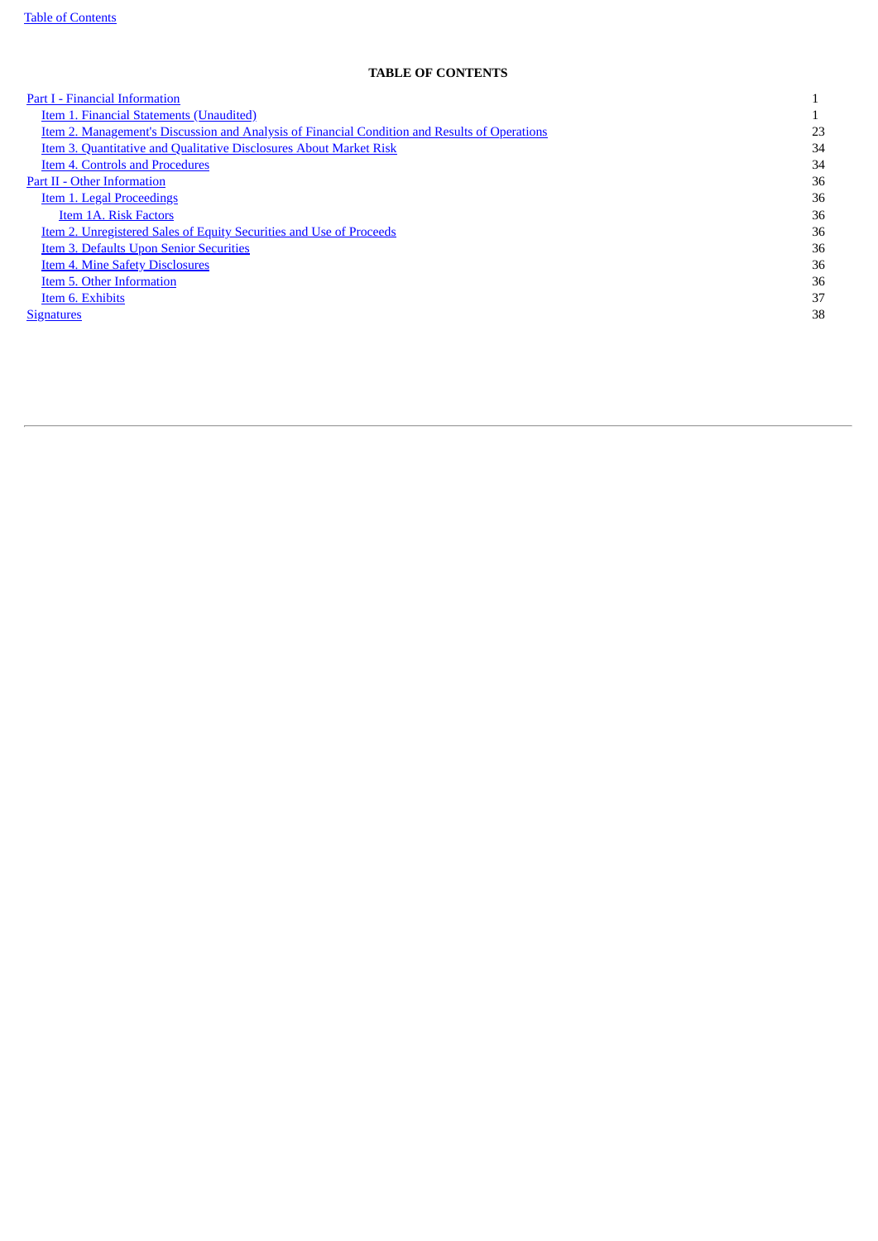# **TABLE OF CONTENTS**

<span id="page-1-0"></span>

| Part I - Financial Information                                                                       |    |
|------------------------------------------------------------------------------------------------------|----|
| Item 1. Financial Statements (Unaudited)                                                             |    |
| <u>Item 2. Management's Discussion and Analysis of Financial Condition and Results of Operations</u> | 23 |
| Item 3. Quantitative and Qualitative Disclosures About Market Risk                                   | 34 |
| Item 4. Controls and Procedures                                                                      | 34 |
| Part II - Other Information                                                                          | 36 |
| Item 1. Legal Proceedings                                                                            | 36 |
| Item 1A. Risk Factors                                                                                | 36 |
| Item 2. Unregistered Sales of Equity Securities and Use of Proceeds                                  | 36 |
| Item 3. Defaults Upon Senior Securities                                                              | 36 |
| <b>Item 4. Mine Safety Disclosures</b>                                                               | 36 |
| Item 5. Other Information                                                                            | 36 |
| Item 6. Exhibits                                                                                     | 37 |
| <b>Signatures</b>                                                                                    | 38 |
|                                                                                                      |    |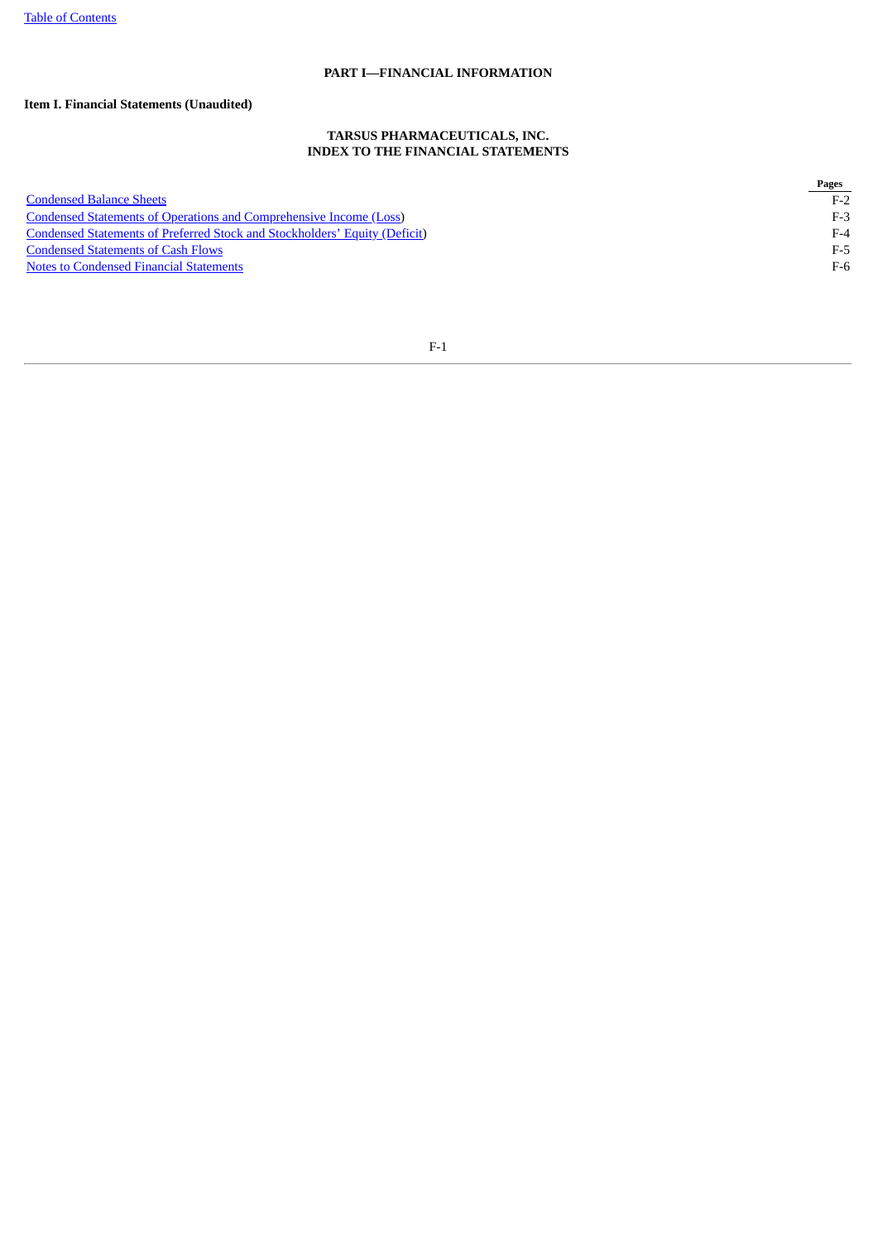# **PART I—FINANCIAL INFORMATION**

# <span id="page-2-0"></span>**Item I. Financial Statements (Unaudited)**

# **TARSUS PHARMACEUTICALS, INC. INDEX TO THE FINANCIAL STATEMENTS**

**[Condensed](#page-2-1) Balance Sheets** F-2

<span id="page-2-1"></span>Condensed Statements of Operations and [Comprehensive](#page-3-0) Income (Loss) F-3 Condensed Statements of Preferred Stock and [Stockholders'](#page-4-0) Equity (Deficit) F-4 **[Condensed](#page-5-0) Statements of Cash Flows** F-5<br>
Notes to Condensed Financial Statements<br>
F-6 Notes to [Condensed](#page-6-0) Financial Statements

**Pages**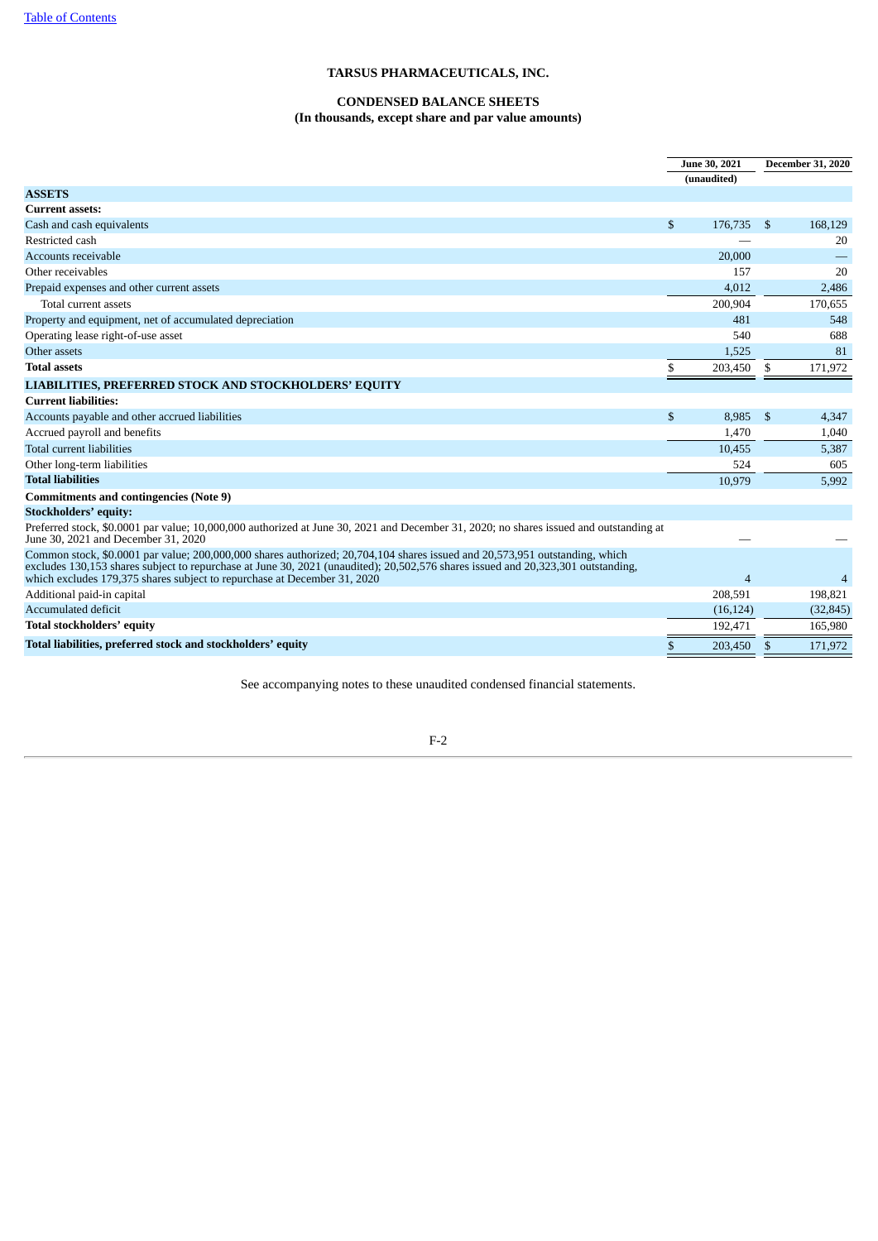# **CONDENSED BALANCE SHEETS**

# **(In thousands, except share and par value amounts)**

|                                                                                                                                                                                                                                                                                                                                             |    | June 30, 2021  |              | <b>December 31, 2020</b> |
|---------------------------------------------------------------------------------------------------------------------------------------------------------------------------------------------------------------------------------------------------------------------------------------------------------------------------------------------|----|----------------|--------------|--------------------------|
|                                                                                                                                                                                                                                                                                                                                             |    | (unaudited)    |              |                          |
| <b>ASSETS</b>                                                                                                                                                                                                                                                                                                                               |    |                |              |                          |
| <b>Current assets:</b>                                                                                                                                                                                                                                                                                                                      |    |                |              |                          |
| Cash and cash equivalents                                                                                                                                                                                                                                                                                                                   | \$ | 176,735        | - \$         | 168,129                  |
| Restricted cash                                                                                                                                                                                                                                                                                                                             |    |                |              | 20                       |
| Accounts receivable                                                                                                                                                                                                                                                                                                                         |    | 20,000         |              |                          |
| Other receivables                                                                                                                                                                                                                                                                                                                           |    | 157            |              | 20                       |
| Prepaid expenses and other current assets                                                                                                                                                                                                                                                                                                   |    | 4,012          |              | 2,486                    |
| Total current assets                                                                                                                                                                                                                                                                                                                        |    | 200,904        |              | 170,655                  |
| Property and equipment, net of accumulated depreciation                                                                                                                                                                                                                                                                                     |    | 481            |              | 548                      |
| Operating lease right-of-use asset                                                                                                                                                                                                                                                                                                          |    | 540            |              | 688                      |
| Other assets                                                                                                                                                                                                                                                                                                                                |    | 1,525          |              | 81                       |
| <b>Total assets</b>                                                                                                                                                                                                                                                                                                                         | \$ | 203,450        | \$           | 171,972                  |
| LIABILITIES, PREFERRED STOCK AND STOCKHOLDERS' EQUITY                                                                                                                                                                                                                                                                                       |    |                |              |                          |
| <b>Current liabilities:</b>                                                                                                                                                                                                                                                                                                                 |    |                |              |                          |
| Accounts payable and other accrued liabilities                                                                                                                                                                                                                                                                                              | \$ | 8.985          | $\mathbf{s}$ | 4,347                    |
| Accrued payroll and benefits                                                                                                                                                                                                                                                                                                                |    | 1,470          |              | 1,040                    |
| Total current liabilities                                                                                                                                                                                                                                                                                                                   |    | 10,455         |              | 5,387                    |
| Other long-term liabilities                                                                                                                                                                                                                                                                                                                 |    | 524            |              | 605                      |
| <b>Total liabilities</b>                                                                                                                                                                                                                                                                                                                    |    | 10,979         |              | 5,992                    |
| <b>Commitments and contingencies (Note 9)</b>                                                                                                                                                                                                                                                                                               |    |                |              |                          |
| Stockholders' equity:                                                                                                                                                                                                                                                                                                                       |    |                |              |                          |
| Preferred stock, \$0.0001 par value; 10,000,000 authorized at June 30, 2021 and December 31, 2020; no shares issued and outstanding at<br>June 30, 2021 and December 31, 2020                                                                                                                                                               |    |                |              |                          |
| Common stock, \$0.0001 par value; 200,000,000 shares authorized; 20,704,104 shares issued and 20,573,951 outstanding, which<br>excludes 130,153 shares subject to repurchase at June 30, 2021 (unaudited); 20,502,576 shares issued and 20,323,301 outstanding,<br>which excludes 179,375 shares subject to repurchase at December 31, 2020 |    | $\overline{4}$ |              | 4                        |
| Additional paid-in capital                                                                                                                                                                                                                                                                                                                  |    | 208,591        |              | 198,821                  |
| <b>Accumulated deficit</b>                                                                                                                                                                                                                                                                                                                  |    | (16, 124)      |              | (32, 845)                |
| Total stockholders' equity                                                                                                                                                                                                                                                                                                                  |    | 192,471        |              | 165,980                  |
| Total liabilities, preferred stock and stockholders' equity                                                                                                                                                                                                                                                                                 | S. | 203,450        | \$           | 171,972                  |
|                                                                                                                                                                                                                                                                                                                                             |    |                |              |                          |

<span id="page-3-0"></span>See accompanying notes to these unaudited condensed financial statements.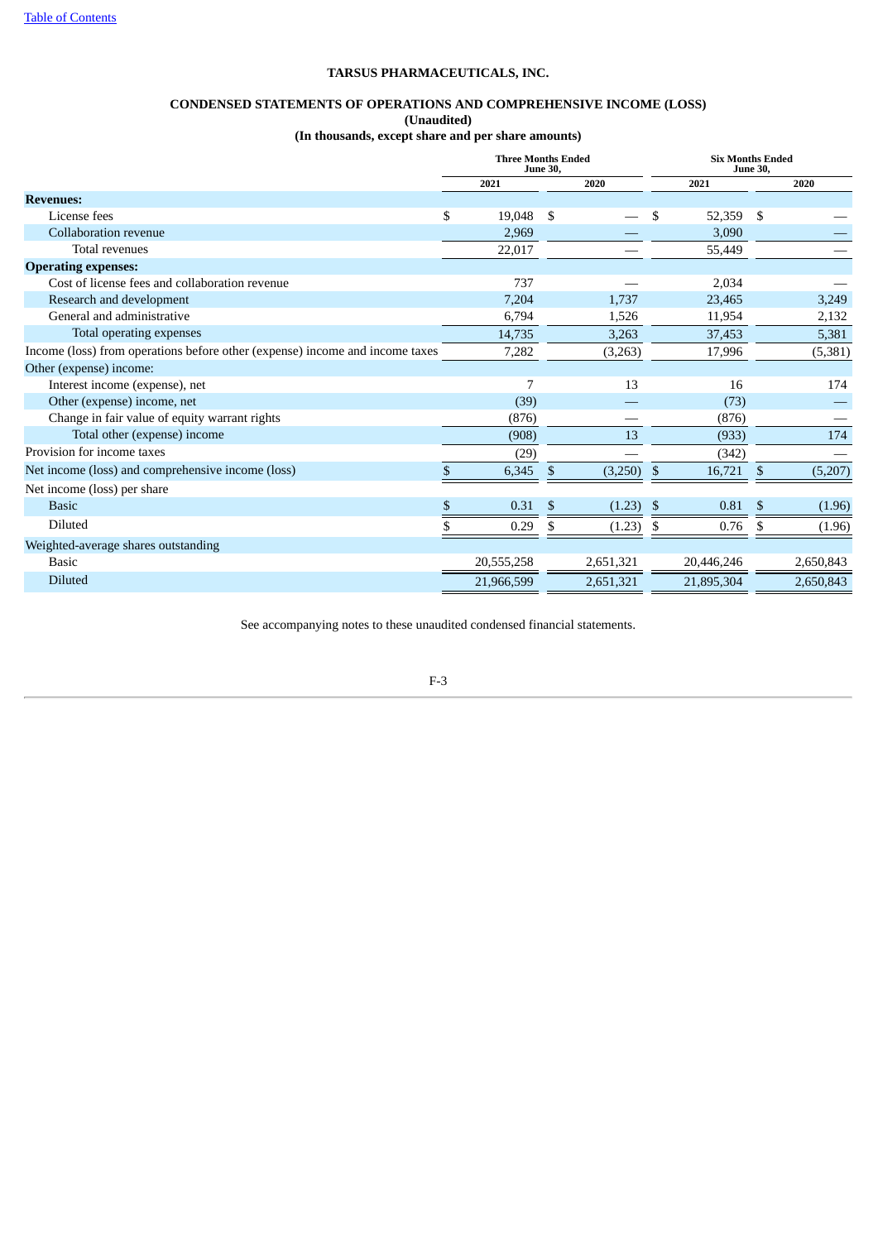# **CONDENSED STATEMENTS OF OPERATIONS AND COMPREHENSIVE INCOME (LOSS)**

**(Unaudited)**

|  | (In thousands, except share and per share amounts) |  |  |  |  |
|--|----------------------------------------------------|--|--|--|--|
|  |                                                    |  |  |  |  |

|                                                                              | <b>Three Months Ended</b><br><b>Six Months Ended</b><br><b>June 30.</b><br><b>June 30.</b> |                |           |    |            |    |           |  |
|------------------------------------------------------------------------------|--------------------------------------------------------------------------------------------|----------------|-----------|----|------------|----|-----------|--|
|                                                                              | 2021                                                                                       |                | 2020      |    | 2021       |    | 2020      |  |
| <b>Revenues:</b>                                                             |                                                                                            |                |           |    |            |    |           |  |
| License fees                                                                 | \$<br>19,048                                                                               | Ŝ.             |           | \$ | 52,359     | \$ |           |  |
| Collaboration revenue                                                        | 2,969                                                                                      |                |           |    | 3,090      |    |           |  |
| Total revenues                                                               | 22,017                                                                                     |                |           |    | 55,449     |    |           |  |
| <b>Operating expenses:</b>                                                   |                                                                                            |                |           |    |            |    |           |  |
| Cost of license fees and collaboration revenue                               | 737                                                                                        |                |           |    | 2,034      |    |           |  |
| Research and development                                                     | 7,204                                                                                      |                | 1,737     |    | 23,465     |    | 3,249     |  |
| General and administrative                                                   | 6,794                                                                                      |                | 1,526     |    | 11,954     |    | 2,132     |  |
| Total operating expenses                                                     | 14,735                                                                                     |                | 3,263     |    | 37,453     |    | 5,381     |  |
| Income (loss) from operations before other (expense) income and income taxes | 7,282                                                                                      |                | (3,263)   |    | 17,996     |    | (5, 381)  |  |
| Other (expense) income:                                                      |                                                                                            |                |           |    |            |    |           |  |
| Interest income (expense), net                                               | 7                                                                                          |                | 13        |    | 16         |    | 174       |  |
| Other (expense) income, net                                                  | (39)                                                                                       |                |           |    | (73)       |    |           |  |
| Change in fair value of equity warrant rights                                | (876)                                                                                      |                |           |    | (876)      |    |           |  |
| Total other (expense) income                                                 | (908)                                                                                      |                | 13        |    | (933)      |    | 174       |  |
| Provision for income taxes                                                   | (29)                                                                                       |                |           |    | (342)      |    |           |  |
| Net income (loss) and comprehensive income (loss)                            | \$<br>6,345                                                                                | \$             | (3,250)   | \$ | 16,721     | \$ | (5,207)   |  |
| Net income (loss) per share                                                  |                                                                                            |                |           |    |            |    |           |  |
| <b>Basic</b>                                                                 | \$<br>0.31                                                                                 | $\mathfrak{L}$ | (1.23)    | \$ | 0.81       | \$ | (1.96)    |  |
| Diluted                                                                      | \$<br>0.29                                                                                 |                | (1.23)    |    | 0.76       |    | (1.96)    |  |
| Weighted-average shares outstanding                                          |                                                                                            |                |           |    |            |    |           |  |
| <b>Basic</b>                                                                 | 20,555,258                                                                                 |                | 2,651,321 |    | 20,446,246 |    | 2,650,843 |  |
| Diluted                                                                      | 21,966,599                                                                                 |                | 2,651,321 |    | 21,895,304 |    | 2,650,843 |  |

<span id="page-4-0"></span>See accompanying notes to these unaudited condensed financial statements.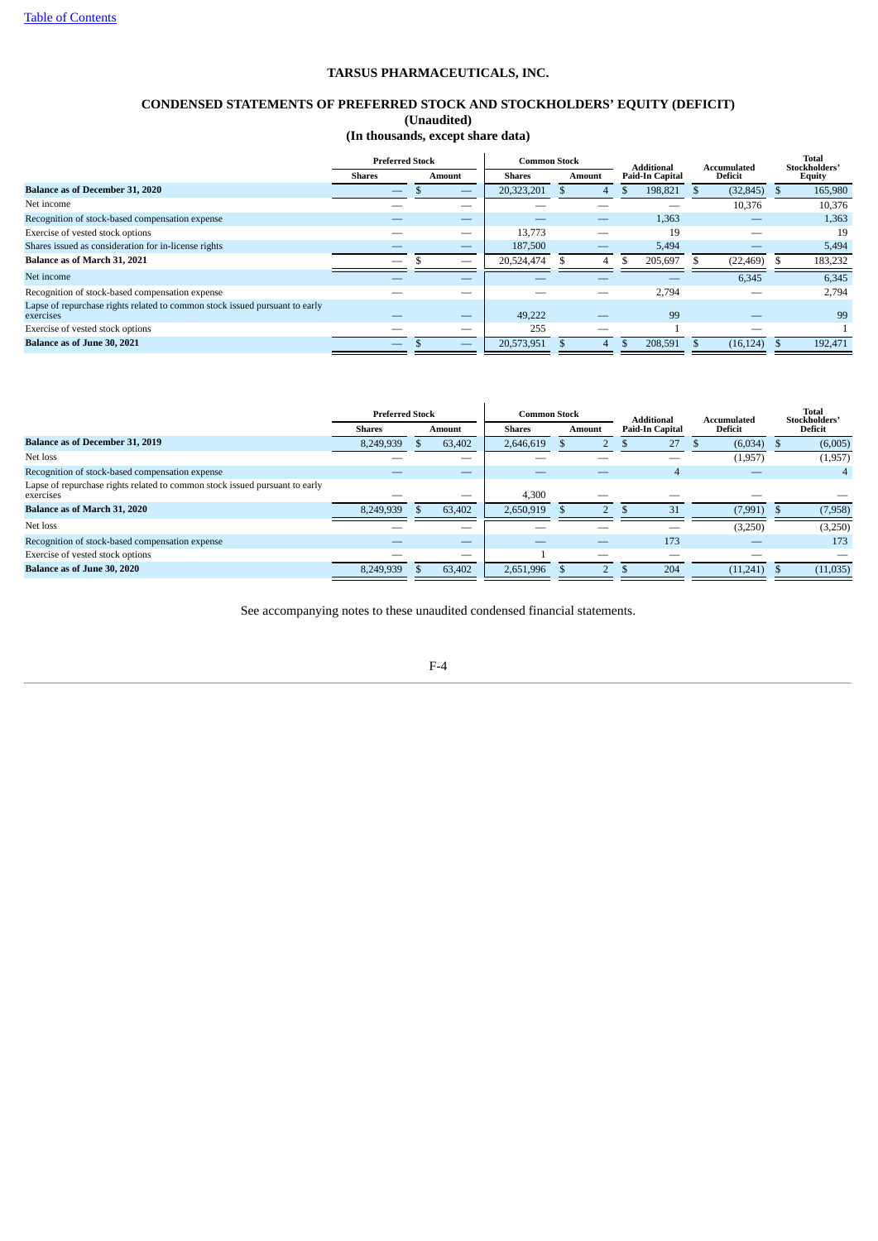# **CONDENSED STATEMENTS OF PREFERRED STOCK AND STOCKHOLDERS' EQUITY (DEFICIT) (Unaudited) (In thousands, except share data)**

|                                                                                          | <b>Preferred Stock</b> |        |        | <b>Common Stock</b> |        |   |                 | Additional | Accumulated    |           |        | Total<br>Stockholders' |
|------------------------------------------------------------------------------------------|------------------------|--------|--------|---------------------|--------|---|-----------------|------------|----------------|-----------|--------|------------------------|
|                                                                                          | Shares                 | Amount |        | Shares              | Amount |   | Paid-In Capital |            | <b>Deficit</b> |           | Equity |                        |
| <b>Balance as of December 31, 2020</b>                                                   |                        |        |        | 20,323,201          |        |   |                 | 198,821    |                | (32, 845) |        | 165,980                |
| Net income                                                                               |                        |        |        |                     |        |   |                 |            |                | 10,376    |        | 10,376                 |
| Recognition of stock-based compensation expense                                          |                        |        |        |                     |        |   |                 | 1.363      |                |           |        | 1,363                  |
| Exercise of vested stock options                                                         |                        |        | $-$    | 13,773              |        |   |                 | 19         |                |           |        | 19                     |
| Shares issued as consideration for in-license rights                                     |                        |        |        | 187,500             |        |   |                 | 5,494      |                |           |        | 5,494                  |
| Balance as of March 31, 2021                                                             | --                     |        | —      | 20,524,474          |        |   |                 | 205.697    |                | (22, 469) |        | 183,232                |
| Net income                                                                               |                        |        | $\sim$ |                     |        |   |                 |            |                | 6,345     |        | 6,345                  |
| Recognition of stock-based compensation expense                                          |                        |        |        |                     |        |   |                 | 2,794      |                |           |        | 2,794                  |
| Lapse of repurchase rights related to common stock issued pursuant to early<br>exercises |                        |        |        | 49.222              |        |   |                 | 99         |                |           |        | 99                     |
| Exercise of vested stock options                                                         |                        |        |        | 255                 |        |   |                 |            |                |           |        |                        |
| Balance as of June 30, 2021                                                              |                        |        |        | 20,573,951          |        | 4 |                 | 208,591    |                | (16, 124) |        | 192,471                |

|                                                                                          | <b>Preferred Stock</b> |        | <b>Common Stock</b> |        |  | <b>Additional</b><br>Paid-In Capital |  | Accumulated | <b>Total</b><br>Stockholders' |
|------------------------------------------------------------------------------------------|------------------------|--------|---------------------|--------|--|--------------------------------------|--|-------------|-------------------------------|
|                                                                                          | Shares                 | Amount | <b>Shares</b>       | Amount |  |                                      |  | Deficit     | <b>Deficit</b>                |
| <b>Balance as of December 31, 2019</b>                                                   | 8,249,939              | 63,402 | 2,646,619           |        |  | 27                                   |  | (6,034)     | (6,005)                       |
| Net loss                                                                                 |                        | --     |                     |        |  |                                      |  | (1, 957)    | (1,957)                       |
| Recognition of stock-based compensation expense                                          |                        |        |                     |        |  |                                      |  | __          |                               |
| Lapse of repurchase rights related to common stock issued pursuant to early<br>exercises |                        |        | 4,300               |        |  |                                      |  |             |                               |
| <b>Balance as of March 31, 2020</b>                                                      | 8,249,939              | 63,402 | 2,650,919           |        |  | 31                                   |  | (7,991)     | (7,958)                       |
| Net loss                                                                                 |                        |        |                     |        |  |                                      |  | (3,250)     | (3,250)                       |
| Recognition of stock-based compensation expense                                          |                        |        |                     |        |  | 173                                  |  |             | 173                           |
| Exercise of vested stock options                                                         |                        |        |                     |        |  |                                      |  |             |                               |
| <b>Balance as of June 30, 2020</b>                                                       | 8,249,939              | 63,402 | 2,651,996           |        |  | 204<br>-96                           |  | (11,241)    | (11,035)                      |

<span id="page-5-0"></span>See accompanying notes to these unaudited condensed financial statements.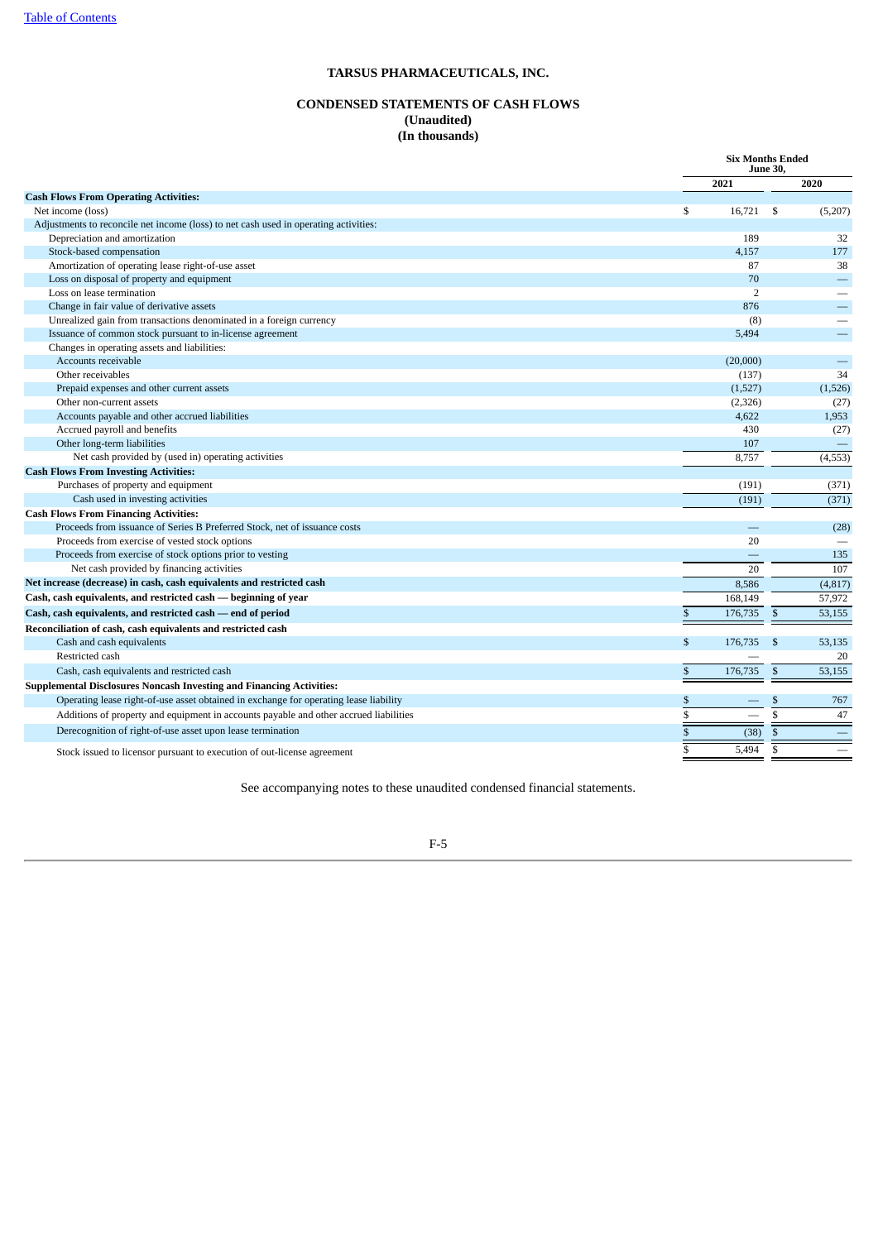# **CONDENSED STATEMENTS OF CASH FLOWS (Unaudited) (In thousands)**

|                                                                                       |                                     | <b>Six Months Ended</b><br><b>June 30.</b> |
|---------------------------------------------------------------------------------------|-------------------------------------|--------------------------------------------|
|                                                                                       | 2021                                | 2020                                       |
| <b>Cash Flows From Operating Activities:</b>                                          |                                     |                                            |
| Net income (loss)                                                                     | \$<br>16,721                        | \$<br>(5,207)                              |
| Adjustments to reconcile net income (loss) to net cash used in operating activities:  |                                     |                                            |
| Depreciation and amortization                                                         | 189                                 | 32                                         |
| Stock-based compensation                                                              | 4,157                               | 177                                        |
| Amortization of operating lease right-of-use asset                                    | 87                                  | 38                                         |
| Loss on disposal of property and equipment                                            | 70                                  | $\overline{\phantom{0}}$                   |
| Loss on lease termination                                                             | $\overline{2}$                      | $\equiv$                                   |
| Change in fair value of derivative assets                                             | 876                                 | -                                          |
| Unrealized gain from transactions denominated in a foreign currency                   | (8)                                 |                                            |
| Issuance of common stock pursuant to in-license agreement                             | 5,494                               | —                                          |
| Changes in operating assets and liabilities:                                          |                                     |                                            |
| Accounts receivable                                                                   | (20,000)                            |                                            |
| Other receivables                                                                     | (137)                               | 34                                         |
| Prepaid expenses and other current assets                                             | (1,527)                             | (1,526)                                    |
| Other non-current assets                                                              | (2,326)                             | (27)                                       |
| Accounts payable and other accrued liabilities                                        | 4,622                               | 1,953                                      |
| Accrued payroll and benefits                                                          | 430                                 | (27)                                       |
| Other long-term liabilities                                                           | 107                                 | $\qquad \qquad -$                          |
| Net cash provided by (used in) operating activities                                   | 8,757                               | (4,553)                                    |
| <b>Cash Flows From Investing Activities:</b>                                          |                                     |                                            |
| Purchases of property and equipment                                                   | (191)                               | (371)                                      |
| Cash used in investing activities                                                     | (191)                               | (371)                                      |
| <b>Cash Flows From Financing Activities:</b>                                          |                                     |                                            |
| Proceeds from issuance of Series B Preferred Stock, net of issuance costs             |                                     | (28)                                       |
| Proceeds from exercise of vested stock options                                        | 20                                  |                                            |
| Proceeds from exercise of stock options prior to vesting                              |                                     | 135                                        |
| Net cash provided by financing activities                                             | 20                                  | 107                                        |
| Net increase (decrease) in cash, cash equivalents and restricted cash                 | 8,586                               | (4, 817)                                   |
| Cash, cash equivalents, and restricted cash - beginning of year                       | 168,149                             | 57,972                                     |
| Cash, cash equivalents, and restricted cash — end of period                           | \$<br>176,735                       | $\mathfrak{S}$<br>53,155                   |
| Reconciliation of cash, cash equivalents and restricted cash                          |                                     |                                            |
| Cash and cash equivalents                                                             | $\mathbb{S}$<br>176,735             | $\mathfrak{S}$<br>53.135                   |
| Restricted cash                                                                       |                                     | 20                                         |
| Cash, cash equivalents and restricted cash                                            | $\overline{\mathcal{S}}$<br>176,735 | $\overline{\mathcal{S}}$<br>53,155         |
| <b>Supplemental Disclosures Noncash Investing and Financing Activities:</b>           |                                     |                                            |
| Operating lease right-of-use asset obtained in exchange for operating lease liability | \$                                  | \$<br>767                                  |
| Additions of property and equipment in accounts payable and other accrued liabilities | \$<br>$\equiv$                      | $\mathbb S$<br>47                          |
|                                                                                       |                                     |                                            |
| Derecognition of right-of-use asset upon lease termination                            | \$<br>(38)                          | $\mathbb{S}$                               |
| Stock issued to licensor pursuant to execution of out-license agreement               | \$<br>5,494                         | $\mathbb{S}$                               |

<span id="page-6-0"></span>See accompanying notes to these unaudited condensed financial statements.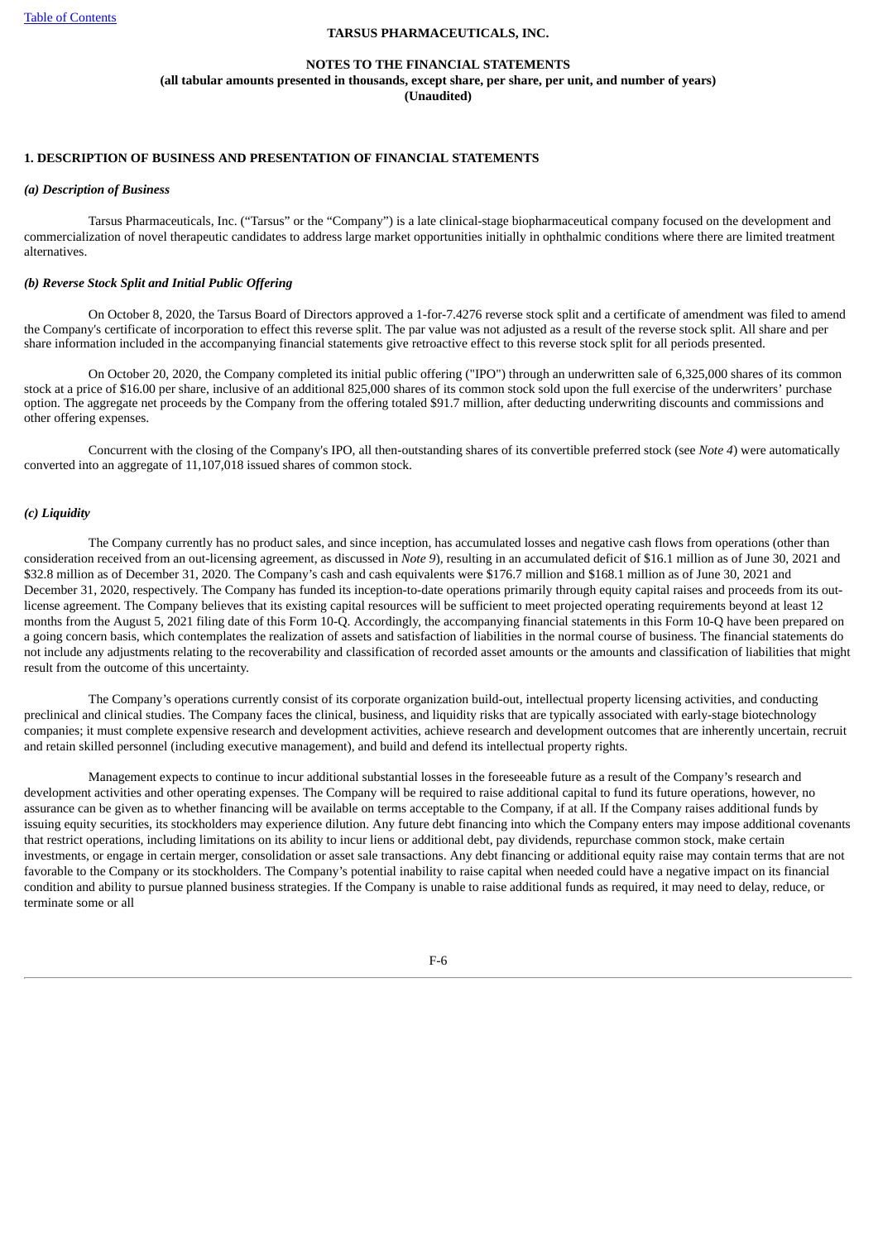# **NOTES TO THE FINANCIAL STATEMENTS (all tabular amounts presented in thousands, except share, per share, per unit, and number of years) (Unaudited)**

# **1. DESCRIPTION OF BUSINESS AND PRESENTATION OF FINANCIAL STATEMENTS**

#### *(a) Description of Business*

Tarsus Pharmaceuticals, Inc. ("Tarsus" or the "Company") is a late clinical-stage biopharmaceutical company focused on the development and commercialization of novel therapeutic candidates to address large market opportunities initially in ophthalmic conditions where there are limited treatment alternatives.

#### *(b) Reverse Stock Split and Initial Public Offering*

On October 8, 2020, the Tarsus Board of Directors approved a 1-for-7.4276 reverse stock split and a certificate of amendment was filed to amend the Company's certificate of incorporation to effect this reverse split. The par value was not adjusted as a result of the reverse stock split. All share and per share information included in the accompanying financial statements give retroactive effect to this reverse stock split for all periods presented.

On October 20, 2020, the Company completed its initial public offering ("IPO") through an underwritten sale of 6,325,000 shares of its common stock at a price of \$16.00 per share, inclusive of an additional 825,000 shares of its common stock sold upon the full exercise of the underwriters' purchase option. The aggregate net proceeds by the Company from the offering totaled \$91.7 million, after deducting underwriting discounts and commissions and other offering expenses.

Concurrent with the closing of the Company's IPO, all then-outstanding shares of its convertible preferred stock (see *Note 4*) were automatically converted into an aggregate of 11,107,018 issued shares of common stock.

# *(c) Liquidity*

The Company currently has no product sales, and since inception, has accumulated losses and negative cash flows from operations (other than consideration received from an out-licensing agreement, as discussed in *Note 9*), resulting in an accumulated deficit of \$16.1 million as of June 30, 2021 and \$32.8 million as of December 31, 2020. The Company's cash and cash equivalents were \$176.7 million and \$168.1 million as of June 30, 2021 and December 31, 2020, respectively. The Company has funded its inception-to-date operations primarily through equity capital raises and proceeds from its outlicense agreement. The Company believes that its existing capital resources will be sufficient to meet projected operating requirements beyond at least 12 months from the August 5, 2021 filing date of this Form 10-Q. Accordingly, the accompanying financial statements in this Form 10-Q have been prepared on a going concern basis, which contemplates the realization of assets and satisfaction of liabilities in the normal course of business. The financial statements do not include any adjustments relating to the recoverability and classification of recorded asset amounts or the amounts and classification of liabilities that might result from the outcome of this uncertainty.

The Company's operations currently consist of its corporate organization build-out, intellectual property licensing activities, and conducting preclinical and clinical studies. The Company faces the clinical, business, and liquidity risks that are typically associated with early-stage biotechnology companies; it must complete expensive research and development activities, achieve research and development outcomes that are inherently uncertain, recruit and retain skilled personnel (including executive management), and build and defend its intellectual property rights.

Management expects to continue to incur additional substantial losses in the foreseeable future as a result of the Company's research and development activities and other operating expenses. The Company will be required to raise additional capital to fund its future operations, however, no assurance can be given as to whether financing will be available on terms acceptable to the Company, if at all. If the Company raises additional funds by issuing equity securities, its stockholders may experience dilution. Any future debt financing into which the Company enters may impose additional covenants that restrict operations, including limitations on its ability to incur liens or additional debt, pay dividends, repurchase common stock, make certain investments, or engage in certain merger, consolidation or asset sale transactions. Any debt financing or additional equity raise may contain terms that are not favorable to the Company or its stockholders. The Company's potential inability to raise capital when needed could have a negative impact on its financial condition and ability to pursue planned business strategies. If the Company is unable to raise additional funds as required, it may need to delay, reduce, or terminate some or all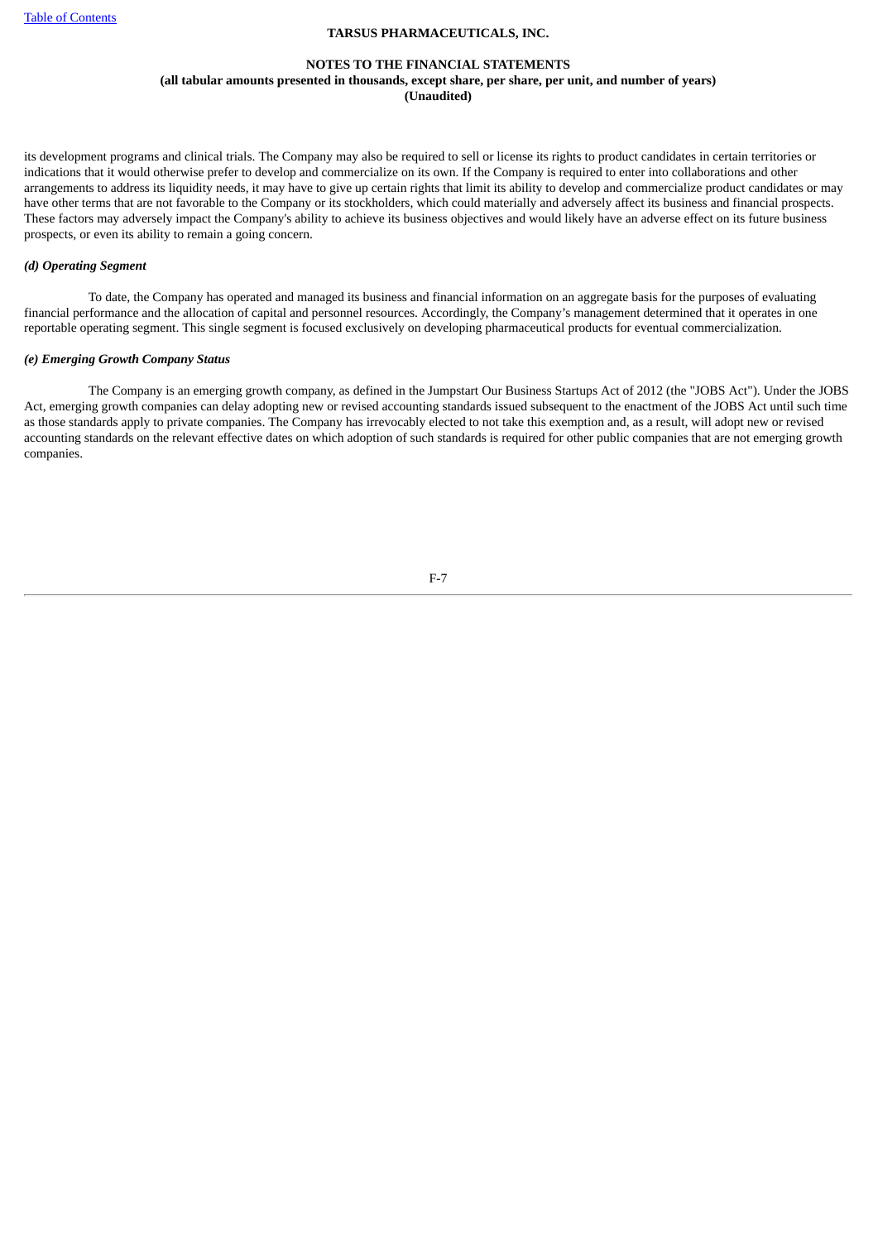# **NOTES TO THE FINANCIAL STATEMENTS (all tabular amounts presented in thousands, except share, per share, per unit, and number of years) (Unaudited)**

its development programs and clinical trials. The Company may also be required to sell or license its rights to product candidates in certain territories or indications that it would otherwise prefer to develop and commercialize on its own. If the Company is required to enter into collaborations and other arrangements to address its liquidity needs, it may have to give up certain rights that limit its ability to develop and commercialize product candidates or may have other terms that are not favorable to the Company or its stockholders, which could materially and adversely affect its business and financial prospects. These factors may adversely impact the Company's ability to achieve its business objectives and would likely have an adverse effect on its future business prospects, or even its ability to remain a going concern.

# *(d) Operating Segment*

To date, the Company has operated and managed its business and financial information on an aggregate basis for the purposes of evaluating financial performance and the allocation of capital and personnel resources. Accordingly, the Company's management determined that it operates in one reportable operating segment. This single segment is focused exclusively on developing pharmaceutical products for eventual commercialization.

#### *(e) Emerging Growth Company Status*

The Company is an emerging growth company, as defined in the Jumpstart Our Business Startups Act of 2012 (the "JOBS Act"). Under the JOBS Act, emerging growth companies can delay adopting new or revised accounting standards issued subsequent to the enactment of the JOBS Act until such time as those standards apply to private companies. The Company has irrevocably elected to not take this exemption and, as a result, will adopt new or revised accounting standards on the relevant effective dates on which adoption of such standards is required for other public companies that are not emerging growth companies.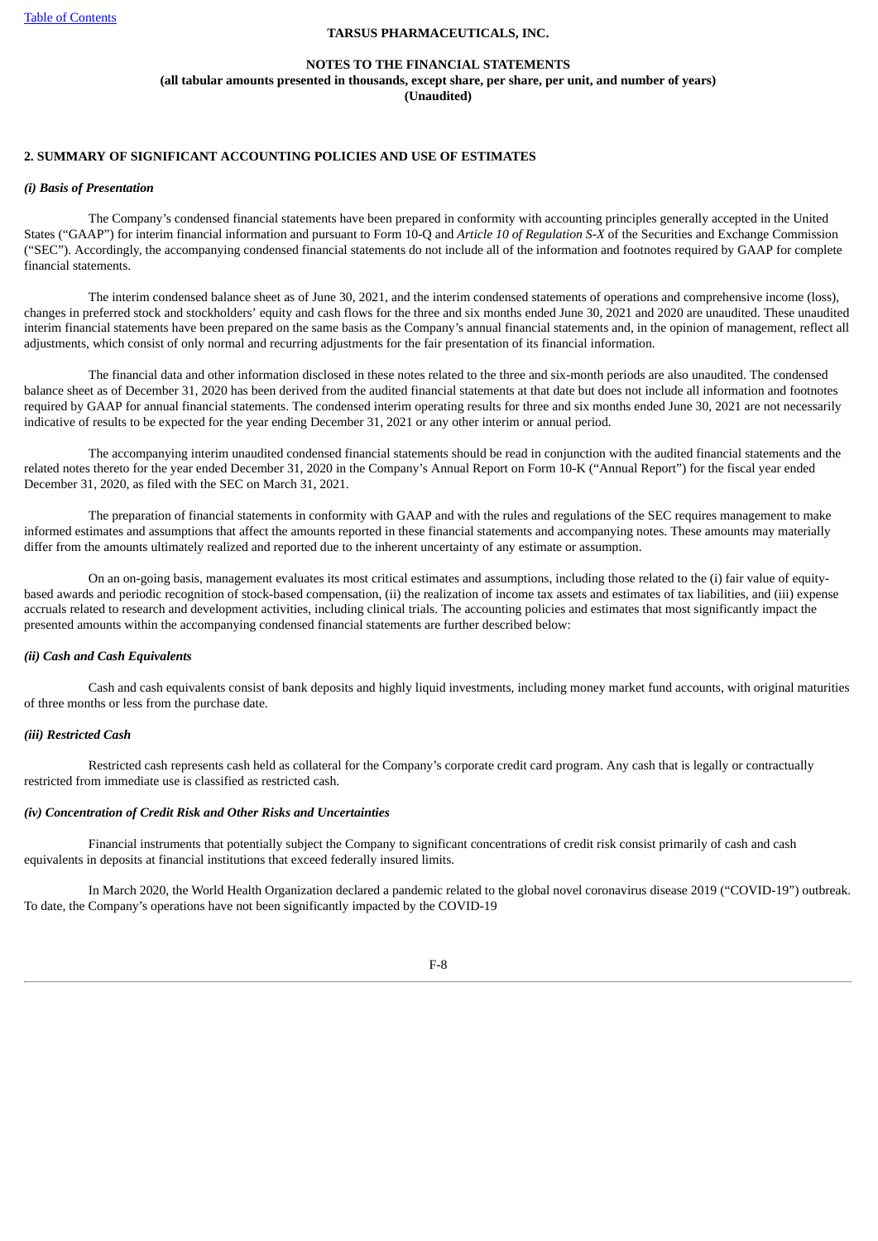# **NOTES TO THE FINANCIAL STATEMENTS (all tabular amounts presented in thousands, except share, per share, per unit, and number of years) (Unaudited)**

# **2. SUMMARY OF SIGNIFICANT ACCOUNTING POLICIES AND USE OF ESTIMATES**

### *(i) Basis of Presentation*

The Company's condensed financial statements have been prepared in conformity with accounting principles generally accepted in the United States ("GAAP") for interim financial information and pursuant to Form 10-Q and *Article 10 of Regulation S-X* of the Securities and Exchange Commission ("SEC"). Accordingly, the accompanying condensed financial statements do not include all of the information and footnotes required by GAAP for complete financial statements.

The interim condensed balance sheet as of June 30, 2021, and the interim condensed statements of operations and comprehensive income (loss), changes in preferred stock and stockholders' equity and cash flows for the three and six months ended June 30, 2021 and 2020 are unaudited. These unaudited interim financial statements have been prepared on the same basis as the Company's annual financial statements and, in the opinion of management, reflect all adjustments, which consist of only normal and recurring adjustments for the fair presentation of its financial information.

The financial data and other information disclosed in these notes related to the three and six-month periods are also unaudited. The condensed balance sheet as of December 31, 2020 has been derived from the audited financial statements at that date but does not include all information and footnotes required by GAAP for annual financial statements. The condensed interim operating results for three and six months ended June 30, 2021 are not necessarily indicative of results to be expected for the year ending December 31, 2021 or any other interim or annual period.

The accompanying interim unaudited condensed financial statements should be read in conjunction with the audited financial statements and the related notes thereto for the year ended December 31, 2020 in the Company's Annual Report on Form 10-K ("Annual Report") for the fiscal year ended December 31, 2020, as filed with the SEC on March 31, 2021.

The preparation of financial statements in conformity with GAAP and with the rules and regulations of the SEC requires management to make informed estimates and assumptions that affect the amounts reported in these financial statements and accompanying notes. These amounts may materially differ from the amounts ultimately realized and reported due to the inherent uncertainty of any estimate or assumption.

On an on-going basis, management evaluates its most critical estimates and assumptions, including those related to the (i) fair value of equitybased awards and periodic recognition of stock-based compensation, (ii) the realization of income tax assets and estimates of tax liabilities, and (iii) expense accruals related to research and development activities, including clinical trials. The accounting policies and estimates that most significantly impact the presented amounts within the accompanying condensed financial statements are further described below:

#### *(ii) Cash and Cash Equivalents*

Cash and cash equivalents consist of bank deposits and highly liquid investments, including money market fund accounts, with original maturities of three months or less from the purchase date.

# *(iii) Restricted Cash*

Restricted cash represents cash held as collateral for the Company's corporate credit card program. Any cash that is legally or contractually restricted from immediate use is classified as restricted cash.

# *(iv) Concentration of Credit Risk and Other Risks and Uncertainties*

Financial instruments that potentially subject the Company to significant concentrations of credit risk consist primarily of cash and cash equivalents in deposits at financial institutions that exceed federally insured limits.

In March 2020, the World Health Organization declared a pandemic related to the global novel coronavirus disease 2019 ("COVID-19") outbreak. To date, the Company's operations have not been significantly impacted by the COVID-19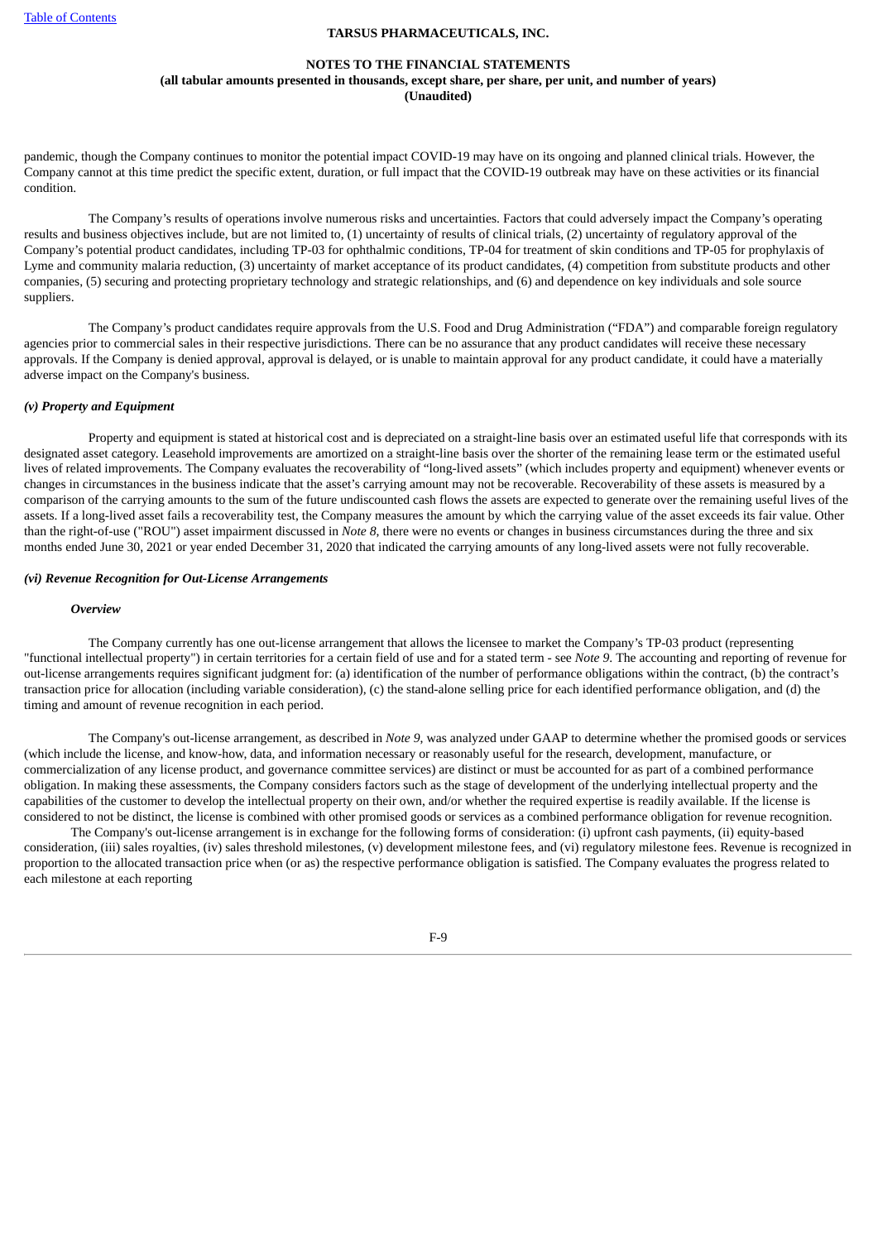## **NOTES TO THE FINANCIAL STATEMENTS (all tabular amounts presented in thousands, except share, per share, per unit, and number of years) (Unaudited)**

pandemic, though the Company continues to monitor the potential impact COVID-19 may have on its ongoing and planned clinical trials. However, the Company cannot at this time predict the specific extent, duration, or full impact that the COVID-19 outbreak may have on these activities or its financial condition.

The Company's results of operations involve numerous risks and uncertainties. Factors that could adversely impact the Company's operating results and business objectives include, but are not limited to, (1) uncertainty of results of clinical trials, (2) uncertainty of regulatory approval of the Company's potential product candidates, including TP-03 for ophthalmic conditions, TP-04 for treatment of skin conditions and TP-05 for prophylaxis of Lyme and community malaria reduction, (3) uncertainty of market acceptance of its product candidates, (4) competition from substitute products and other companies, (5) securing and protecting proprietary technology and strategic relationships, and (6) and dependence on key individuals and sole source suppliers.

The Company's product candidates require approvals from the U.S. Food and Drug Administration ("FDA") and comparable foreign regulatory agencies prior to commercial sales in their respective jurisdictions. There can be no assurance that any product candidates will receive these necessary approvals. If the Company is denied approval, approval is delayed, or is unable to maintain approval for any product candidate, it could have a materially adverse impact on the Company's business.

#### *(v) Property and Equipment*

Property and equipment is stated at historical cost and is depreciated on a straight-line basis over an estimated useful life that corresponds with its designated asset category. Leasehold improvements are amortized on a straight-line basis over the shorter of the remaining lease term or the estimated useful lives of related improvements. The Company evaluates the recoverability of "long-lived assets" (which includes property and equipment) whenever events or changes in circumstances in the business indicate that the asset's carrying amount may not be recoverable. Recoverability of these assets is measured by a comparison of the carrying amounts to the sum of the future undiscounted cash flows the assets are expected to generate over the remaining useful lives of the assets. If a long-lived asset fails a recoverability test, the Company measures the amount by which the carrying value of the asset exceeds its fair value. Other than the right-of-use ("ROU") asset impairment discussed in *Note 8*, there were no events or changes in business circumstances during the three and six months ended June 30, 2021 or year ended December 31, 2020 that indicated the carrying amounts of any long-lived assets were not fully recoverable.

#### *(vi) Revenue Recognition for Out-License Arrangements*

#### *Overview*

The Company currently has one out-license arrangement that allows the licensee to market the Company's TP-03 product (representing "functional intellectual property") in certain territories for a certain field of use and for a stated term - see *Note 9*. The accounting and reporting of revenue for out-license arrangements requires significant judgment for: (a) identification of the number of performance obligations within the contract, (b) the contract's transaction price for allocation (including variable consideration), (c) the stand-alone selling price for each identified performance obligation, and (d) the timing and amount of revenue recognition in each period.

The Company's out-license arrangement, as described in *Note 9*, was analyzed under GAAP to determine whether the promised goods or services (which include the license, and know-how, data, and information necessary or reasonably useful for the research, development, manufacture, or commercialization of any license product, and governance committee services) are distinct or must be accounted for as part of a combined performance obligation. In making these assessments, the Company considers factors such as the stage of development of the underlying intellectual property and the capabilities of the customer to develop the intellectual property on their own, and/or whether the required expertise is readily available. If the license is considered to not be distinct, the license is combined with other promised goods or services as a combined performance obligation for revenue recognition.

The Company's out-license arrangement is in exchange for the following forms of consideration: (i) upfront cash payments, (ii) equity-based consideration, (iii) sales royalties, (iv) sales threshold milestones, (v) development milestone fees, and (vi) regulatory milestone fees. Revenue is recognized in proportion to the allocated transaction price when (or as) the respective performance obligation is satisfied. The Company evaluates the progress related to each milestone at each reporting

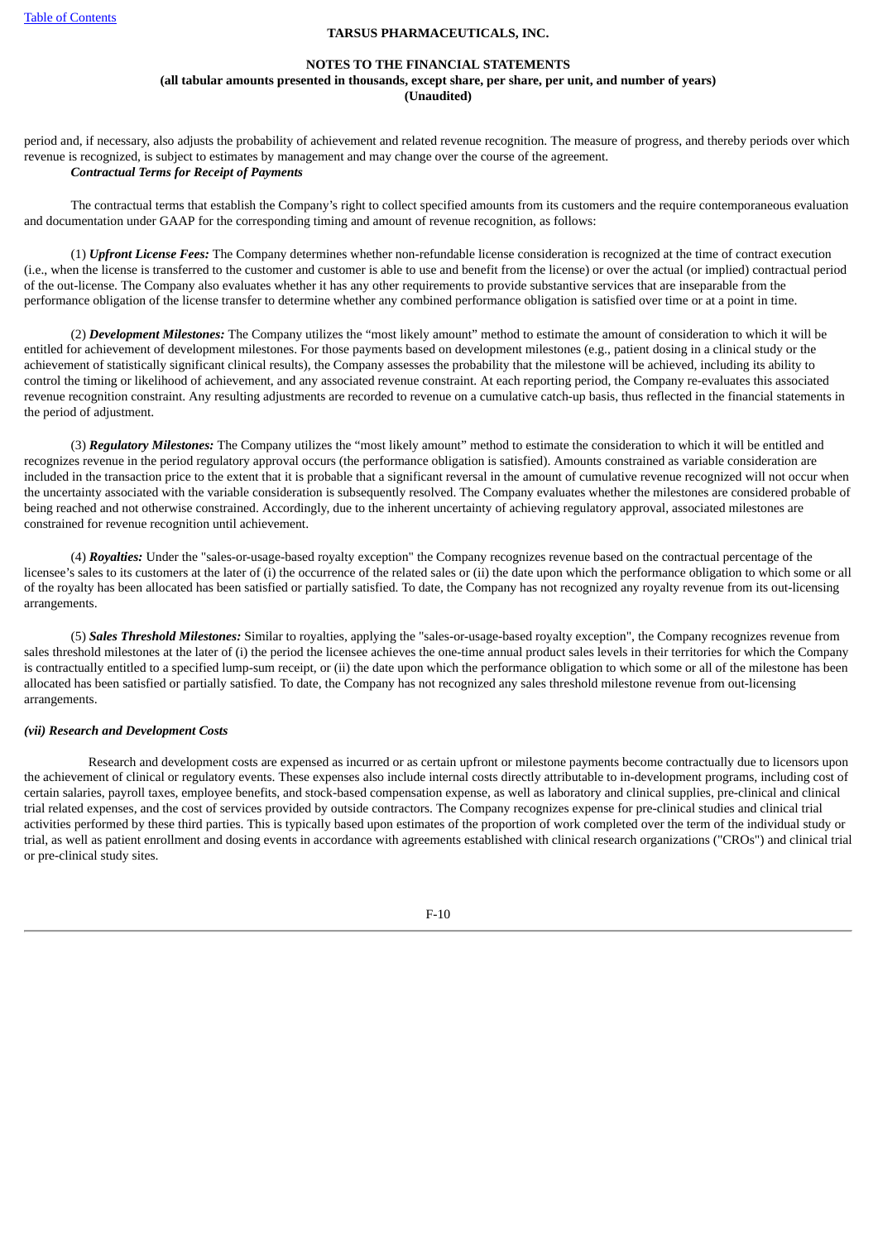# **NOTES TO THE FINANCIAL STATEMENTS (all tabular amounts presented in thousands, except share, per share, per unit, and number of years) (Unaudited)**

period and, if necessary, also adjusts the probability of achievement and related revenue recognition. The measure of progress, and thereby periods over which revenue is recognized, is subject to estimates by management and may change over the course of the agreement.

# *Contractual Terms for Receipt of Payments*

The contractual terms that establish the Company's right to collect specified amounts from its customers and the require contemporaneous evaluation and documentation under GAAP for the corresponding timing and amount of revenue recognition, as follows:

(1) *Upfront License Fees:* The Company determines whether non-refundable license consideration is recognized at the time of contract execution (i.e., when the license is transferred to the customer and customer is able to use and benefit from the license) or over the actual (or implied) contractual period of the out-license. The Company also evaluates whether it has any other requirements to provide substantive services that are inseparable from the performance obligation of the license transfer to determine whether any combined performance obligation is satisfied over time or at a point in time.

(2) *Development Milestones:* The Company utilizes the "most likely amount" method to estimate the amount of consideration to which it will be entitled for achievement of development milestones. For those payments based on development milestones (e.g., patient dosing in a clinical study or the achievement of statistically significant clinical results), the Company assesses the probability that the milestone will be achieved, including its ability to control the timing or likelihood of achievement, and any associated revenue constraint. At each reporting period, the Company re-evaluates this associated revenue recognition constraint. Any resulting adjustments are recorded to revenue on a cumulative catch-up basis, thus reflected in the financial statements in the period of adjustment.

(3) *Regulatory Milestones:* The Company utilizes the "most likely amount" method to estimate the consideration to which it will be entitled and recognizes revenue in the period regulatory approval occurs (the performance obligation is satisfied). Amounts constrained as variable consideration are included in the transaction price to the extent that it is probable that a significant reversal in the amount of cumulative revenue recognized will not occur when the uncertainty associated with the variable consideration is subsequently resolved. The Company evaluates whether the milestones are considered probable of being reached and not otherwise constrained. Accordingly, due to the inherent uncertainty of achieving regulatory approval, associated milestones are constrained for revenue recognition until achievement.

(4) *Royalties:* Under the "sales-or-usage-based royalty exception" the Company recognizes revenue based on the contractual percentage of the licensee's sales to its customers at the later of (i) the occurrence of the related sales or (ii) the date upon which the performance obligation to which some or all of the royalty has been allocated has been satisfied or partially satisfied. To date, the Company has not recognized any royalty revenue from its out-licensing arrangements.

(5) *Sales Threshold Milestones:* Similar to royalties, applying the "sales-or-usage-based royalty exception", the Company recognizes revenue from sales threshold milestones at the later of (i) the period the licensee achieves the one-time annual product sales levels in their territories for which the Company is contractually entitled to a specified lump-sum receipt, or (ii) the date upon which the performance obligation to which some or all of the milestone has been allocated has been satisfied or partially satisfied. To date, the Company has not recognized any sales threshold milestone revenue from out-licensing arrangements.

#### *(vii) Research and Development Costs*

Research and development costs are expensed as incurred or as certain upfront or milestone payments become contractually due to licensors upon the achievement of clinical or regulatory events. These expenses also include internal costs directly attributable to in-development programs, including cost of certain salaries, payroll taxes, employee benefits, and stock-based compensation expense, as well as laboratory and clinical supplies, pre-clinical and clinical trial related expenses, and the cost of services provided by outside contractors. The Company recognizes expense for pre-clinical studies and clinical trial activities performed by these third parties. This is typically based upon estimates of the proportion of work completed over the term of the individual study or trial, as well as patient enrollment and dosing events in accordance with agreements established with clinical research organizations ("CROs") and clinical trial or pre-clinical study sites.

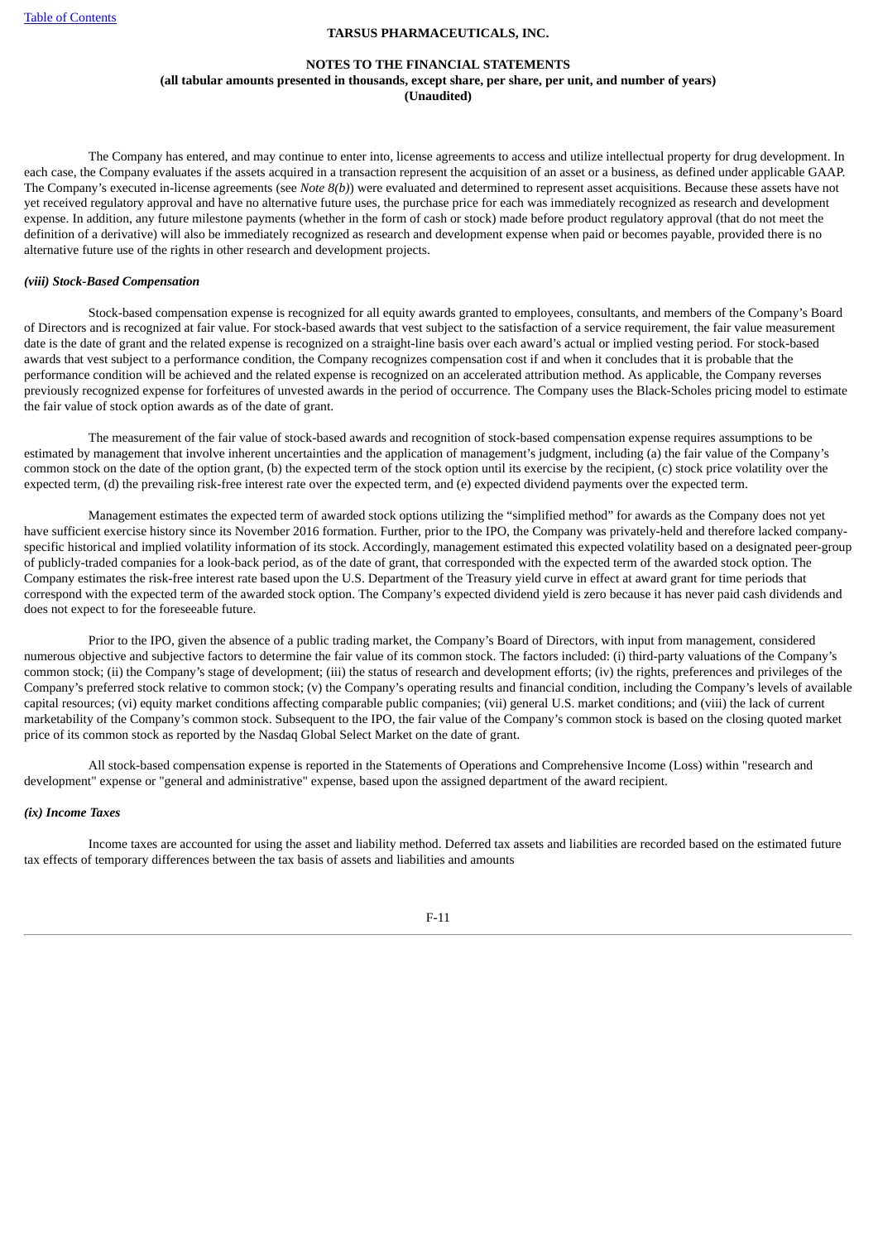# **NOTES TO THE FINANCIAL STATEMENTS (all tabular amounts presented in thousands, except share, per share, per unit, and number of years) (Unaudited)**

The Company has entered, and may continue to enter into, license agreements to access and utilize intellectual property for drug development. In each case, the Company evaluates if the assets acquired in a transaction represent the acquisition of an asset or a business, as defined under applicable GAAP. The Company's executed in-license agreements (see *Note 8(b)*) were evaluated and determined to represent asset acquisitions. Because these assets have not yet received regulatory approval and have no alternative future uses, the purchase price for each was immediately recognized as research and development expense. In addition, any future milestone payments (whether in the form of cash or stock) made before product regulatory approval (that do not meet the definition of a derivative) will also be immediately recognized as research and development expense when paid or becomes payable, provided there is no alternative future use of the rights in other research and development projects.

#### *(viii) Stock-Based Compensation*

Stock-based compensation expense is recognized for all equity awards granted to employees, consultants, and members of the Company's Board of Directors and is recognized at fair value. For stock-based awards that vest subject to the satisfaction of a service requirement, the fair value measurement date is the date of grant and the related expense is recognized on a straight-line basis over each award's actual or implied vesting period. For stock-based awards that vest subject to a performance condition, the Company recognizes compensation cost if and when it concludes that it is probable that the performance condition will be achieved and the related expense is recognized on an accelerated attribution method. As applicable, the Company reverses previously recognized expense for forfeitures of unvested awards in the period of occurrence. The Company uses the Black-Scholes pricing model to estimate the fair value of stock option awards as of the date of grant.

The measurement of the fair value of stock-based awards and recognition of stock-based compensation expense requires assumptions to be estimated by management that involve inherent uncertainties and the application of management's judgment, including (a) the fair value of the Company's common stock on the date of the option grant, (b) the expected term of the stock option until its exercise by the recipient, (c) stock price volatility over the expected term, (d) the prevailing risk-free interest rate over the expected term, and (e) expected dividend payments over the expected term.

Management estimates the expected term of awarded stock options utilizing the "simplified method" for awards as the Company does not yet have sufficient exercise history since its November 2016 formation. Further, prior to the IPO, the Company was privately-held and therefore lacked companyspecific historical and implied volatility information of its stock. Accordingly, management estimated this expected volatility based on a designated peer-group of publicly-traded companies for a look-back period, as of the date of grant, that corresponded with the expected term of the awarded stock option. The Company estimates the risk-free interest rate based upon the U.S. Department of the Treasury yield curve in effect at award grant for time periods that correspond with the expected term of the awarded stock option. The Company's expected dividend yield is zero because it has never paid cash dividends and does not expect to for the foreseeable future.

Prior to the IPO, given the absence of a public trading market, the Company's Board of Directors, with input from management, considered numerous objective and subjective factors to determine the fair value of its common stock. The factors included: (i) third-party valuations of the Company's common stock; (ii) the Company's stage of development; (iii) the status of research and development efforts; (iv) the rights, preferences and privileges of the Company's preferred stock relative to common stock; (v) the Company's operating results and financial condition, including the Company's levels of available capital resources; (vi) equity market conditions affecting comparable public companies; (vii) general U.S. market conditions; and (viii) the lack of current marketability of the Company's common stock. Subsequent to the IPO, the fair value of the Company's common stock is based on the closing quoted market price of its common stock as reported by the Nasdaq Global Select Market on the date of grant.

All stock-based compensation expense is reported in the Statements of Operations and Comprehensive Income (Loss) within "research and development" expense or "general and administrative" expense, based upon the assigned department of the award recipient.

#### *(ix) Income Taxes*

Income taxes are accounted for using the asset and liability method. Deferred tax assets and liabilities are recorded based on the estimated future tax effects of temporary differences between the tax basis of assets and liabilities and amounts

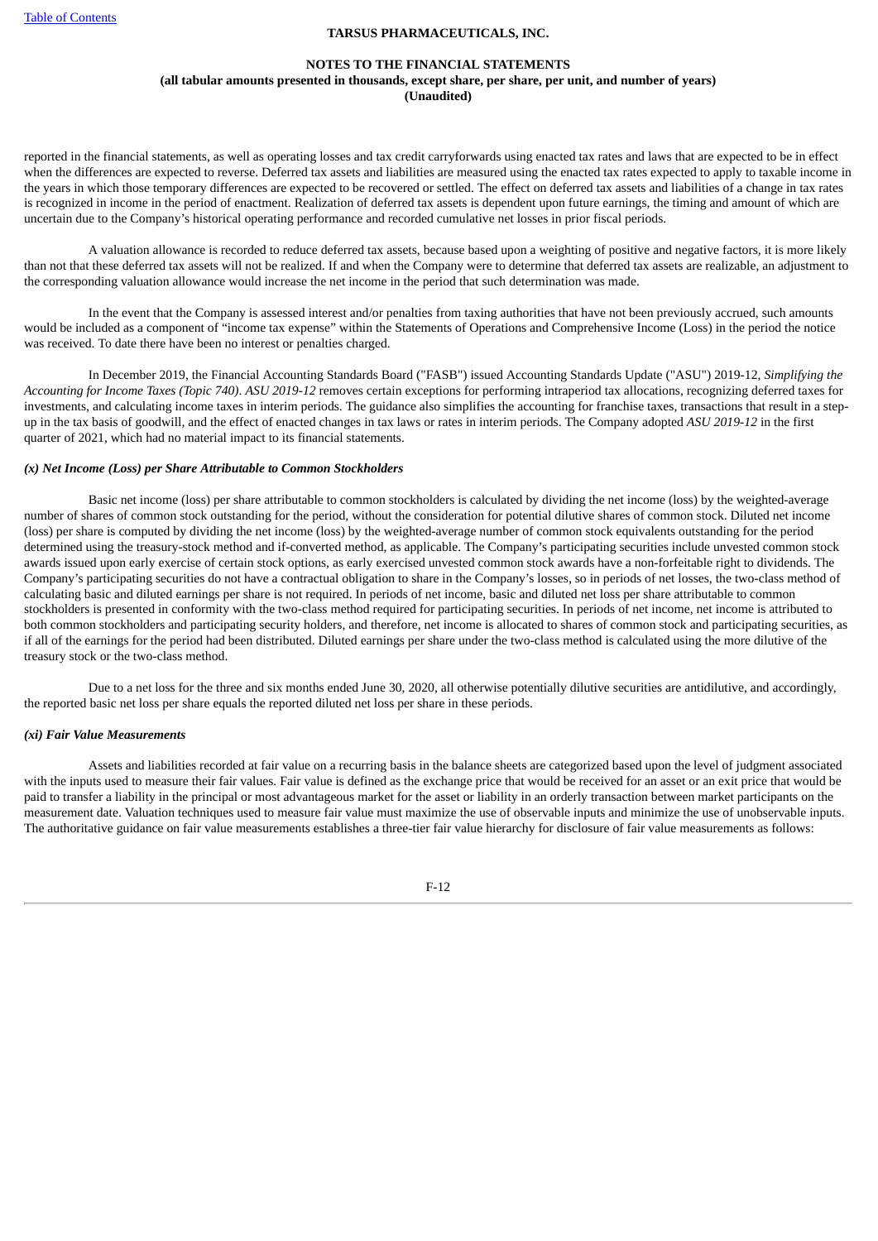# **NOTES TO THE FINANCIAL STATEMENTS (all tabular amounts presented in thousands, except share, per share, per unit, and number of years) (Unaudited)**

reported in the financial statements, as well as operating losses and tax credit carryforwards using enacted tax rates and laws that are expected to be in effect when the differences are expected to reverse. Deferred tax assets and liabilities are measured using the enacted tax rates expected to apply to taxable income in the years in which those temporary differences are expected to be recovered or settled. The effect on deferred tax assets and liabilities of a change in tax rates is recognized in income in the period of enactment. Realization of deferred tax assets is dependent upon future earnings, the timing and amount of which are uncertain due to the Company's historical operating performance and recorded cumulative net losses in prior fiscal periods.

A valuation allowance is recorded to reduce deferred tax assets, because based upon a weighting of positive and negative factors, it is more likely than not that these deferred tax assets will not be realized. If and when the Company were to determine that deferred tax assets are realizable, an adjustment to the corresponding valuation allowance would increase the net income in the period that such determination was made.

In the event that the Company is assessed interest and/or penalties from taxing authorities that have not been previously accrued, such amounts would be included as a component of "income tax expense" within the Statements of Operations and Comprehensive Income (Loss) in the period the notice was received. To date there have been no interest or penalties charged.

In December 2019, the Financial Accounting Standards Board ("FASB") issued Accounting Standards Update ("ASU") 2019-12, *Simplifying the Accounting for Income Taxes (Topic 740)*. *ASU 2019-12* removes certain exceptions for performing intraperiod tax allocations, recognizing deferred taxes for investments, and calculating income taxes in interim periods. The guidance also simplifies the accounting for franchise taxes, transactions that result in a stepup in the tax basis of goodwill, and the effect of enacted changes in tax laws or rates in interim periods. The Company adopted *ASU 2019-12* in the first quarter of 2021, which had no material impact to its financial statements.

#### *(x) Net Income (Loss) per Share Attributable to Common Stockholders*

Basic net income (loss) per share attributable to common stockholders is calculated by dividing the net income (loss) by the weighted-average number of shares of common stock outstanding for the period, without the consideration for potential dilutive shares of common stock. Diluted net income (loss) per share is computed by dividing the net income (loss) by the weighted-average number of common stock equivalents outstanding for the period determined using the treasury-stock method and if-converted method, as applicable. The Company's participating securities include unvested common stock awards issued upon early exercise of certain stock options, as early exercised unvested common stock awards have a non-forfeitable right to dividends. The Company's participating securities do not have a contractual obligation to share in the Company's losses, so in periods of net losses, the two-class method of calculating basic and diluted earnings per share is not required. In periods of net income, basic and diluted net loss per share attributable to common stockholders is presented in conformity with the two-class method required for participating securities. In periods of net income, net income is attributed to both common stockholders and participating security holders, and therefore, net income is allocated to shares of common stock and participating securities, as if all of the earnings for the period had been distributed. Diluted earnings per share under the two-class method is calculated using the more dilutive of the treasury stock or the two-class method.

Due to a net loss for the three and six months ended June 30, 2020, all otherwise potentially dilutive securities are antidilutive, and accordingly, the reported basic net loss per share equals the reported diluted net loss per share in these periods.

#### *(xi) Fair Value Measurements*

Assets and liabilities recorded at fair value on a recurring basis in the balance sheets are categorized based upon the level of judgment associated with the inputs used to measure their fair values. Fair value is defined as the exchange price that would be received for an asset or an exit price that would be paid to transfer a liability in the principal or most advantageous market for the asset or liability in an orderly transaction between market participants on the measurement date. Valuation techniques used to measure fair value must maximize the use of observable inputs and minimize the use of unobservable inputs. The authoritative guidance on fair value measurements establishes a three-tier fair value hierarchy for disclosure of fair value measurements as follows: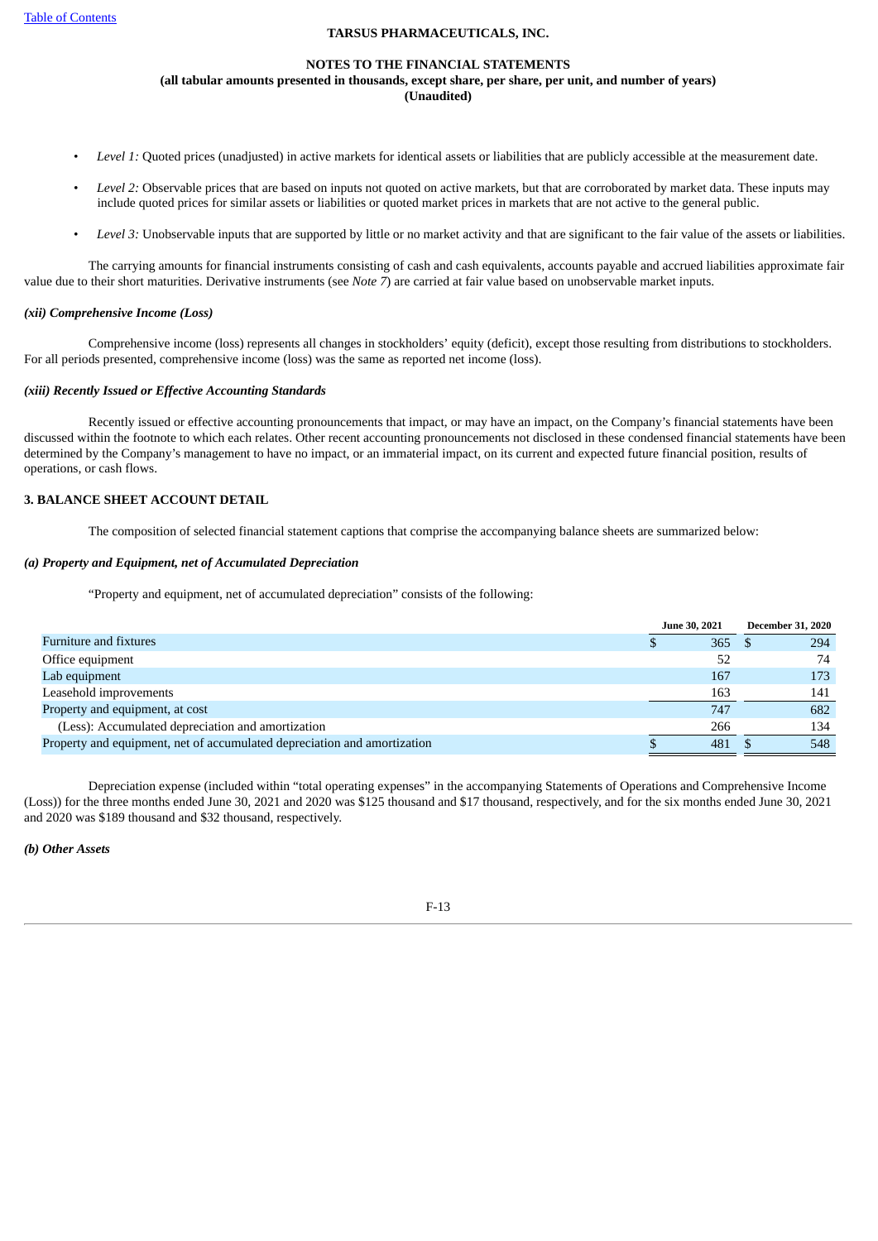## **NOTES TO THE FINANCIAL STATEMENTS (all tabular amounts presented in thousands, except share, per share, per unit, and number of years) (Unaudited)**

- *Level 1:* Quoted prices (unadjusted) in active markets for identical assets or liabilities that are publicly accessible at the measurement date.
- *Level 2:* Observable prices that are based on inputs not quoted on active markets, but that are corroborated by market data. These inputs may include quoted prices for similar assets or liabilities or quoted market prices in markets that are not active to the general public.
- *Level 3:* Unobservable inputs that are supported by little or no market activity and that are significant to the fair value of the assets or liabilities.

The carrying amounts for financial instruments consisting of cash and cash equivalents, accounts payable and accrued liabilities approximate fair value due to their short maturities. Derivative instruments (see *Note 7*) are carried at fair value based on unobservable market inputs.

#### *(xii) Comprehensive Income (Loss)*

Comprehensive income (loss) represents all changes in stockholders' equity (deficit), except those resulting from distributions to stockholders. For all periods presented, comprehensive income (loss) was the same as reported net income (loss).

#### *(xiii) Recently Issued or Effective Accounting Standards*

Recently issued or effective accounting pronouncements that impact, or may have an impact, on the Company's financial statements have been discussed within the footnote to which each relates. Other recent accounting pronouncements not disclosed in these condensed financial statements have been determined by the Company's management to have no impact, or an immaterial impact, on its current and expected future financial position, results of operations, or cash flows.

# **3. BALANCE SHEET ACCOUNT DETAIL**

The composition of selected financial statement captions that comprise the accompanying balance sheets are summarized below:

#### *(a) Property and Equipment, net of Accumulated Depreciation*

"Property and equipment, net of accumulated depreciation" consists of the following:

|                                                                          | <b>June 30, 2021</b> |     | <b>December 31, 2020</b> |
|--------------------------------------------------------------------------|----------------------|-----|--------------------------|
| Furniture and fixtures                                                   |                      | 365 | 294                      |
| Office equipment                                                         |                      | 52  | 74                       |
| Lab equipment                                                            |                      | 167 | 173                      |
| Leasehold improvements                                                   |                      | 163 | 141                      |
| Property and equipment, at cost                                          |                      | 747 | 682                      |
| (Less): Accumulated depreciation and amortization                        |                      | 266 | 134                      |
| Property and equipment, net of accumulated depreciation and amortization |                      | 481 | 548                      |

Depreciation expense (included within "total operating expenses" in the accompanying Statements of Operations and Comprehensive Income (Loss)) for the three months ended June 30, 2021 and 2020 was \$125 thousand and \$17 thousand, respectively, and for the six months ended June 30, 2021 and 2020 was \$189 thousand and \$32 thousand, respectively.

# *(b) Other Assets*

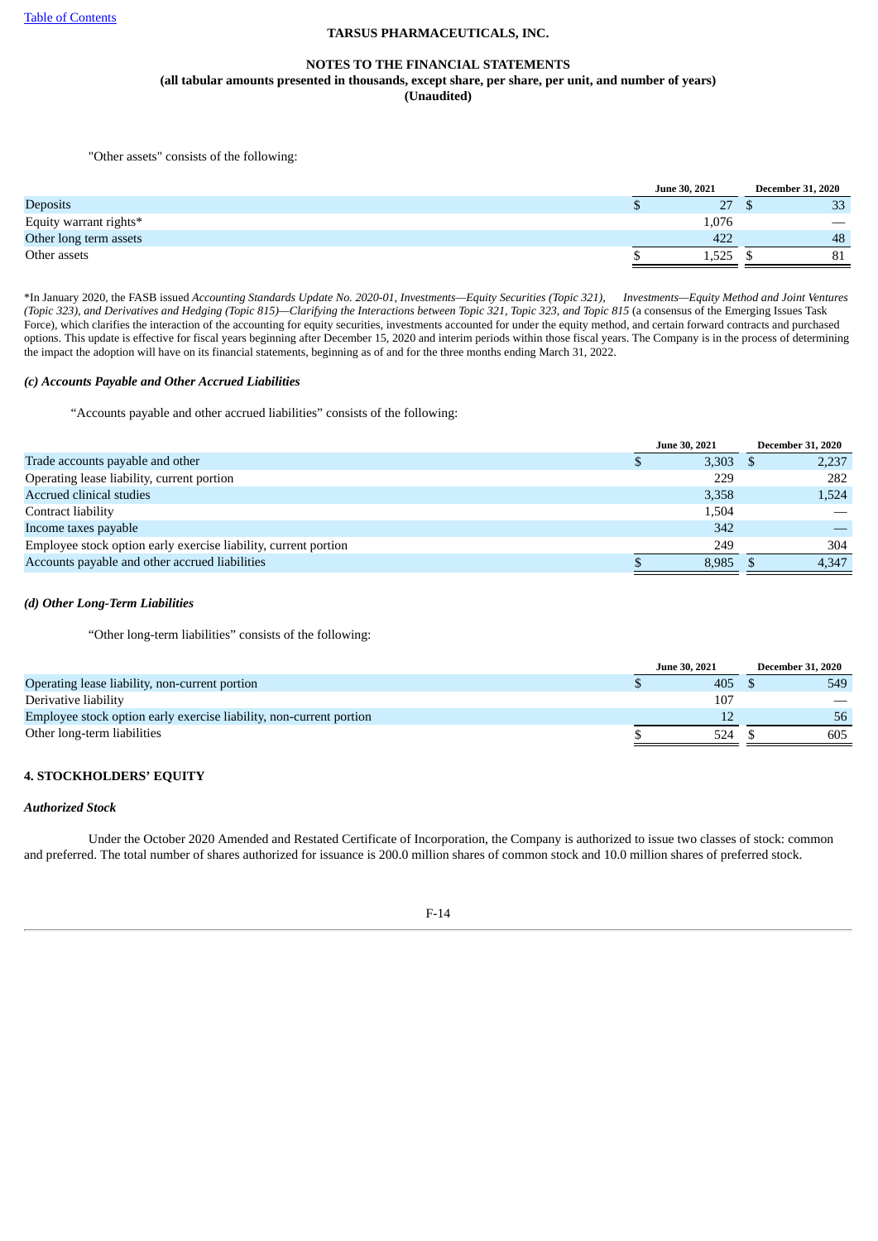## **NOTES TO THE FINANCIAL STATEMENTS (all tabular amounts presented in thousands, except share, per share, per unit, and number of years) (Unaudited)**

"Other assets" consists of the following:

| <b>Deposits</b><br>27           | 33 |
|---------------------------------|----|
| Equity warrant rights*<br>1,076 |    |
| Other long term assets<br>422   | 48 |
| Other assets<br>1,525           | 81 |

\*In January 2020, the FASB issued *Accounting Standards Update No. 2020-01, Investments—Equity Securities (Topic 321), Investments—Equity Method and Joint Ventures (Topic 323), and Derivatives and Hedging (Topic 815)—Clarifying the Interactions between Topic 321, Topic 323, and Topic 815* (a consensus of the Emerging Issues Task Force), which clarifies the interaction of the accounting for equity securities, investments accounted for under the equity method, and certain forward contracts and purchased options. This update is effective for fiscal years beginning after December 15, 2020 and interim periods within those fiscal years. The Company is in the process of determining the impact the adoption will have on its financial statements, beginning as of and for the three months ending March 31, 2022.

#### *(c) Accounts Payable and Other Accrued Liabilities*

"Accounts payable and other accrued liabilities" consists of the following:

|                                                                 | <b>June 30, 2021</b> | <b>December 31, 2020</b> |
|-----------------------------------------------------------------|----------------------|--------------------------|
| Trade accounts payable and other                                | 3,303                | 2,237                    |
| Operating lease liability, current portion                      | 229                  | 282                      |
| Accrued clinical studies                                        | 3,358                | 1,524                    |
| Contract liability                                              | 1,504                |                          |
| Income taxes payable                                            | 342                  |                          |
| Employee stock option early exercise liability, current portion | 249                  | 304                      |
| Accounts payable and other accrued liabilities                  | 8.985                | 4,347                    |

# *(d) Other Long-Term Liabilities*

"Other long-term liabilities" consists of the following:

|                                                                     | June 30, 2021 | <b>December 31, 2020</b> |
|---------------------------------------------------------------------|---------------|--------------------------|
| Operating lease liability, non-current portion                      | 405           | 549                      |
| Derivative liability                                                | 107           |                          |
| Employee stock option early exercise liability, non-current portion |               | 56                       |
| Other long-term liabilities                                         | 524           | 605                      |

### **4. STOCKHOLDERS' EQUITY**

# *Authorized Stock*

Under the October 2020 Amended and Restated Certificate of Incorporation, the Company is authorized to issue two classes of stock: common and preferred. The total number of shares authorized for issuance is 200.0 million shares of common stock and 10.0 million shares of preferred stock.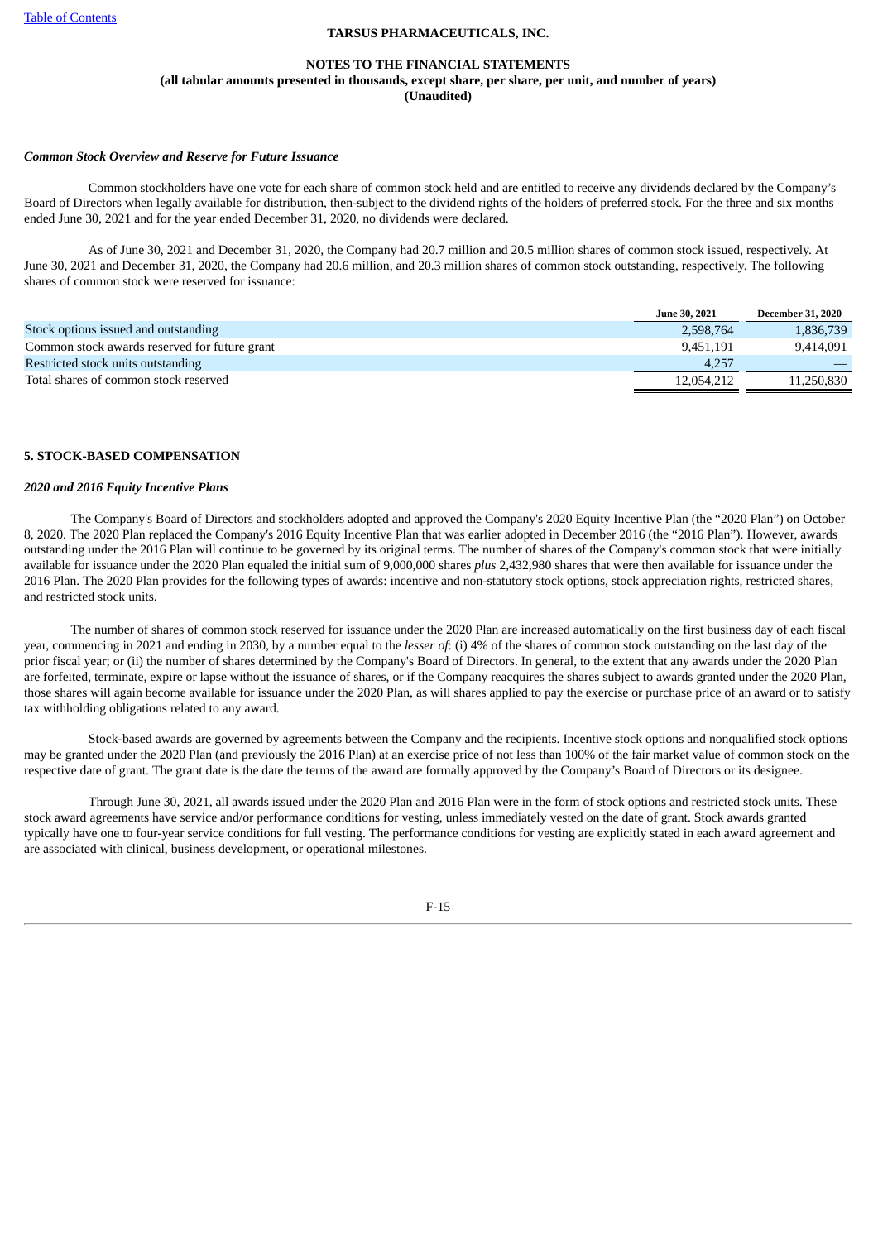#### **NOTES TO THE FINANCIAL STATEMENTS (all tabular amounts presented in thousands, except share, per share, per unit, and number of years) (Unaudited)**

#### *Common Stock Overview and Reserve for Future Issuance*

Common stockholders have one vote for each share of common stock held and are entitled to receive any dividends declared by the Company's Board of Directors when legally available for distribution, then-subject to the dividend rights of the holders of preferred stock. For the three and six months ended June 30, 2021 and for the year ended December 31, 2020, no dividends were declared.

As of June 30, 2021 and December 31, 2020, the Company had 20.7 million and 20.5 million shares of common stock issued, respectively. At June 30, 2021 and December 31, 2020, the Company had 20.6 million, and 20.3 million shares of common stock outstanding, respectively. The following shares of common stock were reserved for issuance:

|                                               | <b>June 30, 2021</b> | <b>December 31, 2020</b> |
|-----------------------------------------------|----------------------|--------------------------|
| Stock options issued and outstanding          | 2,598,764            | 1,836,739                |
| Common stock awards reserved for future grant | 9,451,191            | 9.414.091                |
| Restricted stock units outstanding            | 4.257                |                          |
| Total shares of common stock reserved         | 12.054.212           | 11.250.830               |

#### **5. STOCK-BASED COMPENSATION**

#### *2020 and 2016 Equity Incentive Plans*

The Company's Board of Directors and stockholders adopted and approved the Company's 2020 Equity Incentive Plan (the "2020 Plan") on October 8, 2020. The 2020 Plan replaced the Company's 2016 Equity Incentive Plan that was earlier adopted in December 2016 (the "2016 Plan"). However, awards outstanding under the 2016 Plan will continue to be governed by its original terms. The number of shares of the Company's common stock that were initially available for issuance under the 2020 Plan equaled the initial sum of 9,000,000 shares *plus* 2,432,980 shares that were then available for issuance under the 2016 Plan. The 2020 Plan provides for the following types of awards: incentive and non-statutory stock options, stock appreciation rights, restricted shares, and restricted stock units.

The number of shares of common stock reserved for issuance under the 2020 Plan are increased automatically on the first business day of each fiscal year, commencing in 2021 and ending in 2030, by a number equal to the *lesser of*: (i) 4% of the shares of common stock outstanding on the last day of the prior fiscal year; or (ii) the number of shares determined by the Company's Board of Directors. In general, to the extent that any awards under the 2020 Plan are forfeited, terminate, expire or lapse without the issuance of shares, or if the Company reacquires the shares subject to awards granted under the 2020 Plan, those shares will again become available for issuance under the 2020 Plan, as will shares applied to pay the exercise or purchase price of an award or to satisfy tax withholding obligations related to any award.

Stock-based awards are governed by agreements between the Company and the recipients. Incentive stock options and nonqualified stock options may be granted under the 2020 Plan (and previously the 2016 Plan) at an exercise price of not less than 100% of the fair market value of common stock on the respective date of grant. The grant date is the date the terms of the award are formally approved by the Company's Board of Directors or its designee.

Through June 30, 2021, all awards issued under the 2020 Plan and 2016 Plan were in the form of stock options and restricted stock units. These stock award agreements have service and/or performance conditions for vesting, unless immediately vested on the date of grant. Stock awards granted typically have one to four-year service conditions for full vesting. The performance conditions for vesting are explicitly stated in each award agreement and are associated with clinical, business development, or operational milestones.

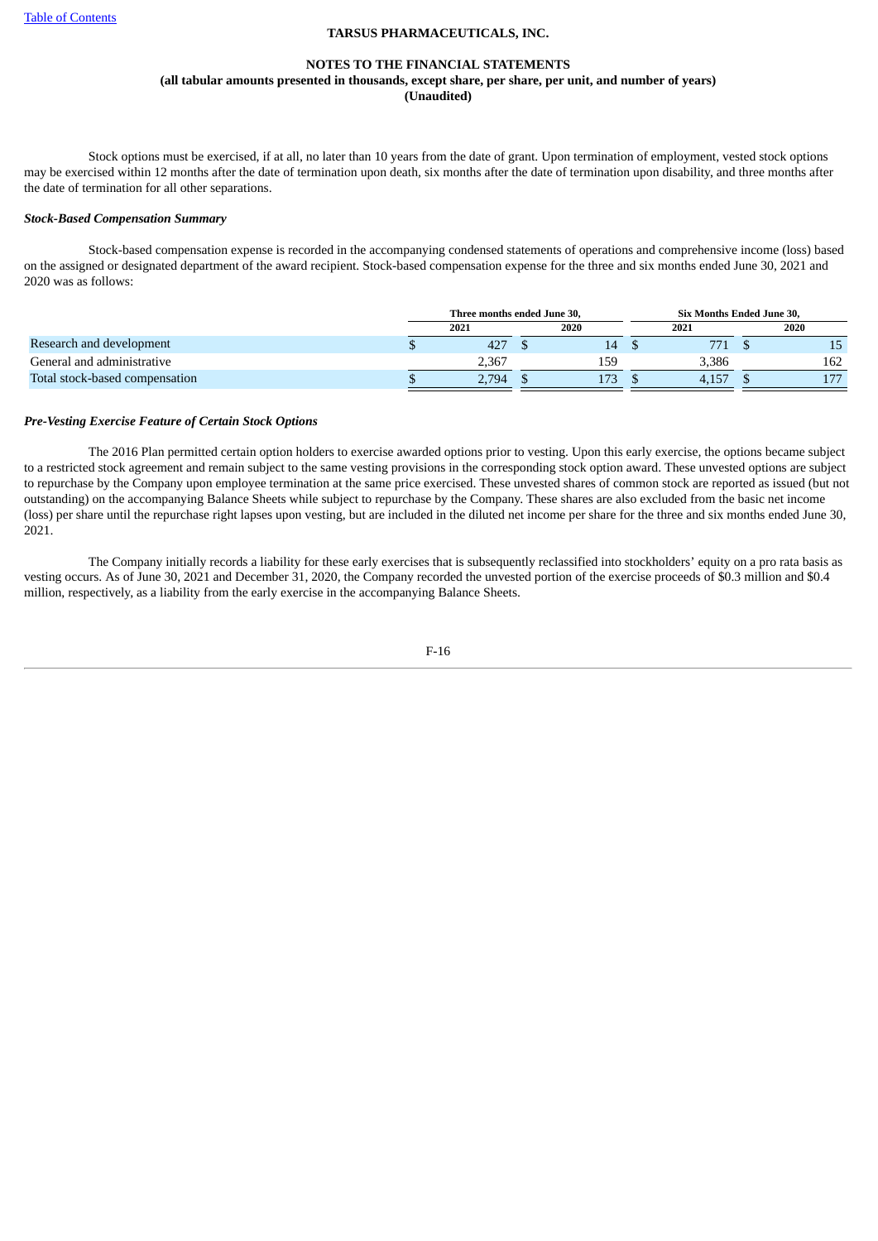## **NOTES TO THE FINANCIAL STATEMENTS (all tabular amounts presented in thousands, except share, per share, per unit, and number of years) (Unaudited)**

Stock options must be exercised, if at all, no later than 10 years from the date of grant. Upon termination of employment, vested stock options may be exercised within 12 months after the date of termination upon death, six months after the date of termination upon disability, and three months after the date of termination for all other separations.

#### *Stock-Based Compensation Summary*

Stock-based compensation expense is recorded in the accompanying condensed statements of operations and comprehensive income (loss) based on the assigned or designated department of the award recipient. Stock-based compensation expense for the three and six months ended June 30, 2021 and 2020 was as follows:

|                                | Three months ended June 30. |       |  |      | Six Months Ended June 30. |  |      |
|--------------------------------|-----------------------------|-------|--|------|---------------------------|--|------|
|                                | 2021                        |       |  | 2020 | 2021                      |  | 2020 |
| Research and development       |                             | 427   |  | 14   | 771                       |  | 15   |
| General and administrative     |                             | 2,367 |  | 159  | 3,386                     |  | 162  |
| Total stock-based compensation |                             | 2.794 |  | 173  | 4,157                     |  | 177  |

#### *Pre-Vesting Exercise Feature of Certain Stock Options*

The 2016 Plan permitted certain option holders to exercise awarded options prior to vesting. Upon this early exercise, the options became subject to a restricted stock agreement and remain subject to the same vesting provisions in the corresponding stock option award. These unvested options are subject to repurchase by the Company upon employee termination at the same price exercised. These unvested shares of common stock are reported as issued (but not outstanding) on the accompanying Balance Sheets while subject to repurchase by the Company. These shares are also excluded from the basic net income (loss) per share until the repurchase right lapses upon vesting, but are included in the diluted net income per share for the three and six months ended June 30, 2021.

The Company initially records a liability for these early exercises that is subsequently reclassified into stockholders' equity on a pro rata basis as vesting occurs. As of June 30, 2021 and December 31, 2020, the Company recorded the unvested portion of the exercise proceeds of \$0.3 million and \$0.4 million, respectively, as a liability from the early exercise in the accompanying Balance Sheets.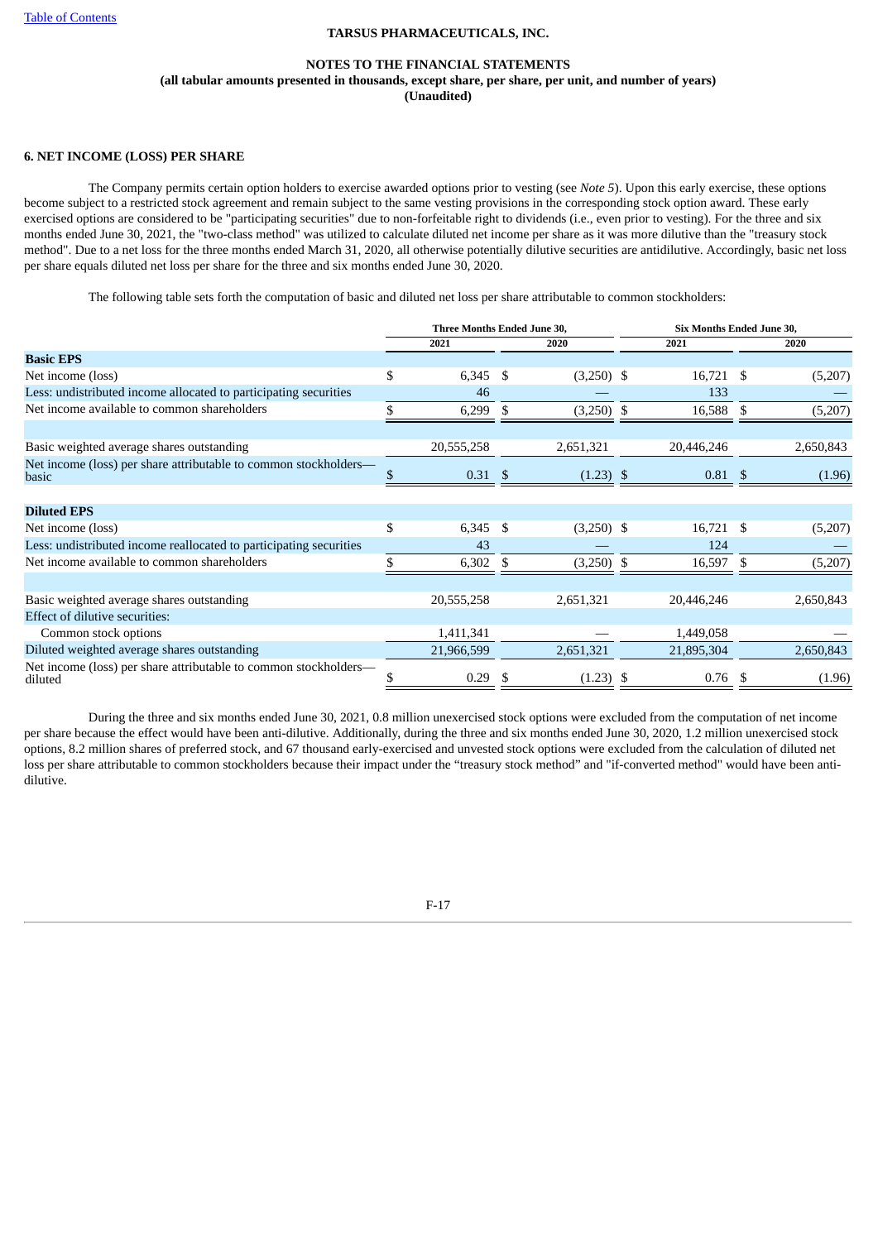# **NOTES TO THE FINANCIAL STATEMENTS (all tabular amounts presented in thousands, except share, per share, per unit, and number of years) (Unaudited)**

# **6. NET INCOME (LOSS) PER SHARE**

The Company permits certain option holders to exercise awarded options prior to vesting (see *Note 5*). Upon this early exercise, these options become subject to a restricted stock agreement and remain subject to the same vesting provisions in the corresponding stock option award. These early exercised options are considered to be "participating securities" due to non-forfeitable right to dividends (i.e., even prior to vesting). For the three and six months ended June 30, 2021, the "two-class method" was utilized to calculate diluted net income per share as it was more dilutive than the "treasury stock method". Due to a net loss for the three months ended March 31, 2020, all otherwise potentially dilutive securities are antidilutive. Accordingly, basic net loss per share equals diluted net loss per share for the three and six months ended June 30, 2020.

The following table sets forth the computation of basic and diluted net loss per share attributable to common stockholders:

|                                                                             | <b>Three Months Ended June 30.</b> |            |      |              |  | <b>Six Months Ended June 30.</b> |      |           |  |
|-----------------------------------------------------------------------------|------------------------------------|------------|------|--------------|--|----------------------------------|------|-----------|--|
|                                                                             |                                    | 2021       |      | 2020         |  | 2021                             |      | 2020      |  |
| <b>Basic EPS</b>                                                            |                                    |            |      |              |  |                                  |      |           |  |
| Net income (loss)                                                           | \$                                 | 6,345      | -\$  | $(3,250)$ \$ |  | 16,721 \$                        |      | (5,207)   |  |
| Less: undistributed income allocated to participating securities            |                                    | 46         |      |              |  | 133                              |      |           |  |
| Net income available to common shareholders                                 |                                    | 6,299      | -\$  | $(3,250)$ \$ |  | 16,588                           | - \$ | (5,207)   |  |
|                                                                             |                                    |            |      |              |  |                                  |      |           |  |
| Basic weighted average shares outstanding                                   |                                    | 20,555,258 |      | 2,651,321    |  | 20,446,246                       |      | 2,650,843 |  |
| Net income (loss) per share attributable to common stockholders—<br>basic   |                                    | 0.31       |      | $(1.23)$ \$  |  | 0.81                             |      | (1.96)    |  |
|                                                                             |                                    |            |      |              |  |                                  |      |           |  |
| <b>Diluted EPS</b>                                                          |                                    |            |      |              |  |                                  |      |           |  |
| Net income (loss)                                                           | \$                                 | 6,345      | - \$ | $(3,250)$ \$ |  | 16,721 \$                        |      | (5,207)   |  |
| Less: undistributed income reallocated to participating securities          |                                    | 43         |      |              |  | 124                              |      |           |  |
| Net income available to common shareholders                                 |                                    | 6,302      | £.   | $(3,250)$ \$ |  | 16,597                           |      | (5,207)   |  |
|                                                                             |                                    |            |      |              |  |                                  |      |           |  |
| Basic weighted average shares outstanding                                   |                                    | 20,555,258 |      | 2,651,321    |  | 20,446,246                       |      | 2,650,843 |  |
| Effect of dilutive securities:                                              |                                    |            |      |              |  |                                  |      |           |  |
| Common stock options                                                        |                                    | 1,411,341  |      |              |  | 1,449,058                        |      |           |  |
| Diluted weighted average shares outstanding                                 |                                    | 21,966,599 |      | 2,651,321    |  | 21,895,304                       |      | 2,650,843 |  |
| Net income (loss) per share attributable to common stockholders-<br>diluted |                                    | 0.29       |      | $(1.23)$ \$  |  | 0.76                             |      | (1.96)    |  |

During the three and six months ended June 30, 2021, 0.8 million unexercised stock options were excluded from the computation of net income per share because the effect would have been anti-dilutive. Additionally, during the three and six months ended June 30, 2020, 1.2 million unexercised stock options, 8.2 million shares of preferred stock, and 67 thousand early-exercised and unvested stock options were excluded from the calculation of diluted net loss per share attributable to common stockholders because their impact under the "treasury stock method" and "if-converted method" would have been antidilutive.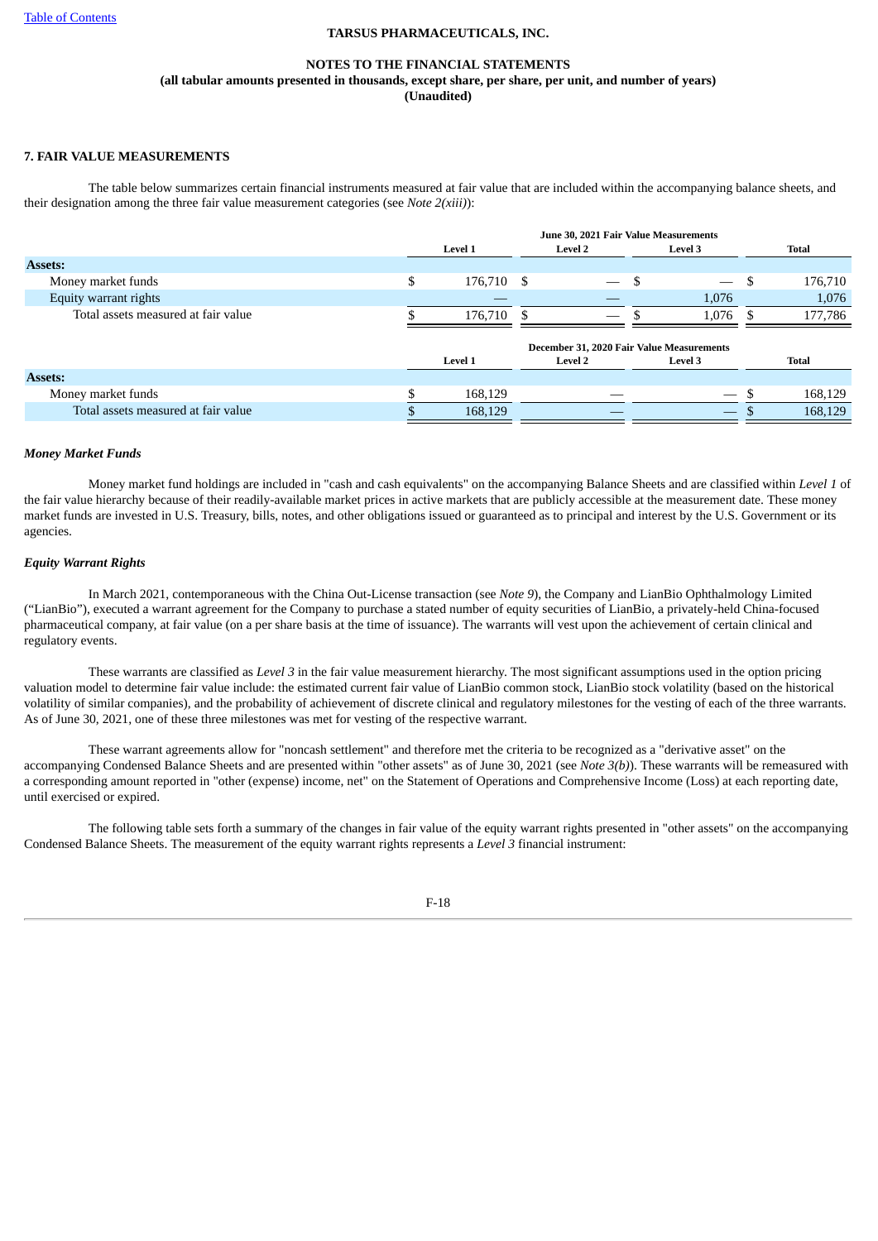## **NOTES TO THE FINANCIAL STATEMENTS (all tabular amounts presented in thousands, except share, per share, per unit, and number of years) (Unaudited)**

# **7. FAIR VALUE MEASUREMENTS**

The table below summarizes certain financial instruments measured at fair value that are included within the accompanying balance sheets, and their designation among the three fair value measurement categories (see *Note 2(xiii)*):

|                                     | June 30, 2021 Fair Value Measurements |         |                |                                           |                |                                 |     |              |
|-------------------------------------|---------------------------------------|---------|----------------|-------------------------------------------|----------------|---------------------------------|-----|--------------|
|                                     | <b>Level 1</b>                        |         | <b>Level 2</b> |                                           | <b>Level 3</b> |                                 |     | <b>Total</b> |
| <b>Assets:</b>                      |                                       |         |                |                                           |                |                                 |     |              |
| Money market funds                  |                                       | 176,710 | \$             | $\overline{\phantom{0}}$                  |                | $\qquad \qquad -$               | -\$ | 176,710      |
| Equity warrant rights               |                                       |         |                |                                           |                | 1,076                           |     | 1,076        |
| Total assets measured at fair value |                                       | 176,710 | \$.            | $\overline{\phantom{m}}$                  |                | 1,076                           |     | 177,786      |
|                                     |                                       |         |                | December 31, 2020 Fair Value Measurements |                |                                 |     |              |
|                                     |                                       | Level 1 |                | <b>Level 2</b>                            |                | <b>Level 3</b>                  |     | <b>Total</b> |
| <b>Assets:</b>                      |                                       |         |                |                                           |                |                                 |     |              |
| Money market funds                  |                                       | 168,129 |                |                                           |                | $\overline{\phantom{m}}$        |     | 168,129      |
| Total assets measured at fair value |                                       | 168,129 |                |                                           |                | $\hspace{0.1mm}-\hspace{0.1mm}$ |     | 168,129      |
|                                     |                                       |         |                |                                           |                |                                 |     |              |

#### *Money Market Funds*

Money market fund holdings are included in "cash and cash equivalents" on the accompanying Balance Sheets and are classified within *Level 1* of the fair value hierarchy because of their readily-available market prices in active markets that are publicly accessible at the measurement date. These money market funds are invested in U.S. Treasury, bills, notes, and other obligations issued or guaranteed as to principal and interest by the U.S. Government or its agencies.

# *Equity Warrant Rights*

In March 2021, contemporaneous with the China Out-License transaction (see *Note 9*), the Company and LianBio Ophthalmology Limited ("LianBio"), executed a warrant agreement for the Company to purchase a stated number of equity securities of LianBio, a privately-held China-focused pharmaceutical company, at fair value (on a per share basis at the time of issuance). The warrants will vest upon the achievement of certain clinical and regulatory events.

These warrants are classified as *Level 3* in the fair value measurement hierarchy. The most significant assumptions used in the option pricing valuation model to determine fair value include: the estimated current fair value of LianBio common stock, LianBio stock volatility (based on the historical volatility of similar companies), and the probability of achievement of discrete clinical and regulatory milestones for the vesting of each of the three warrants. As of June 30, 2021, one of these three milestones was met for vesting of the respective warrant.

These warrant agreements allow for "noncash settlement" and therefore met the criteria to be recognized as a "derivative asset" on the accompanying Condensed Balance Sheets and are presented within "other assets" as of June 30, 2021 (see *Note 3(b)*). These warrants will be remeasured with a corresponding amount reported in "other (expense) income, net" on the Statement of Operations and Comprehensive Income (Loss) at each reporting date, until exercised or expired.

The following table sets forth a summary of the changes in fair value of the equity warrant rights presented in "other assets" on the accompanying Condensed Balance Sheets. The measurement of the equity warrant rights represents a *Level 3* financial instrument:

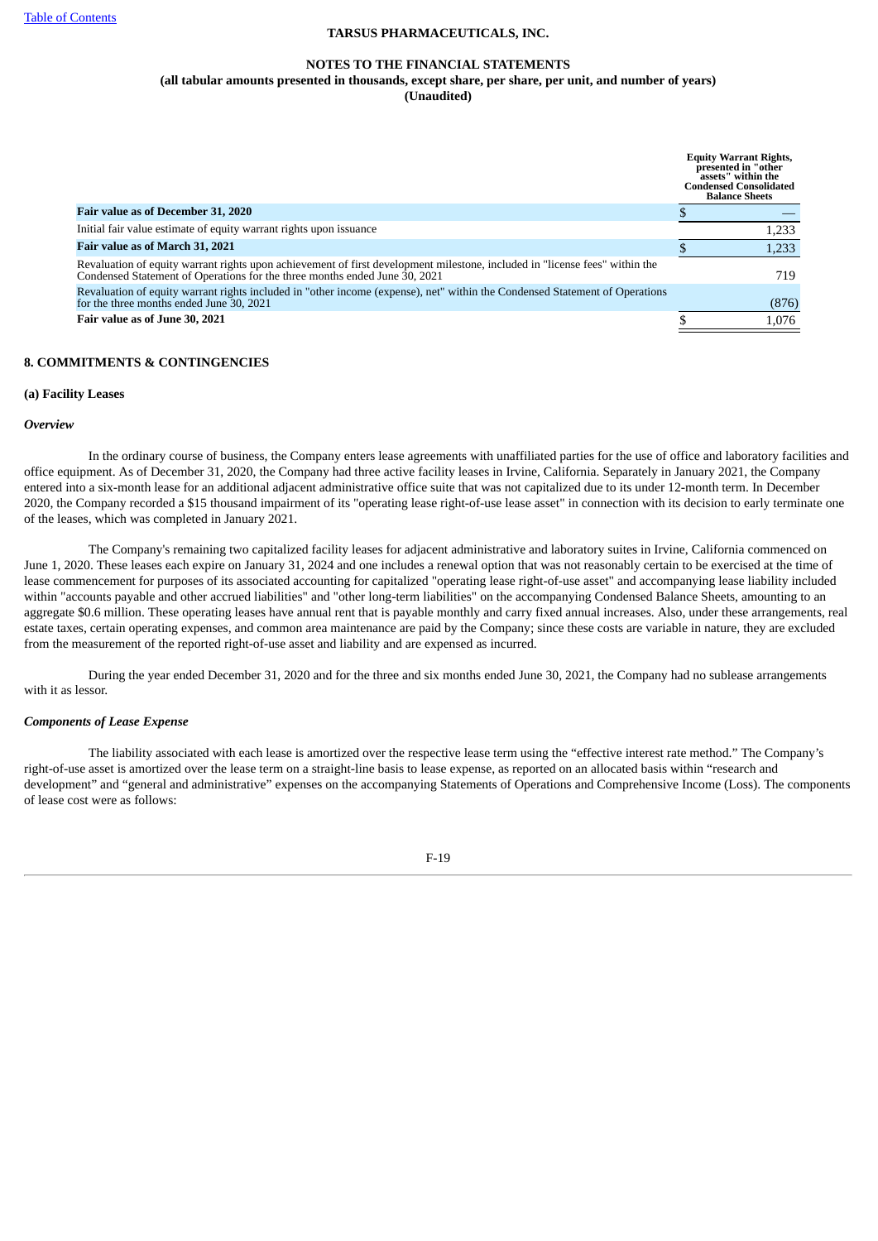#### **NOTES TO THE FINANCIAL STATEMENTS**

**(all tabular amounts presented in thousands, except share, per share, per unit, and number of years) (Unaudited)**

|                                                                                                                                                                                                           | <b>Equity Warrant Rights,</b><br>presented in "other<br>assets" within the<br><b>Condensed Consolidated</b><br><b>Balance Sheets</b> |
|-----------------------------------------------------------------------------------------------------------------------------------------------------------------------------------------------------------|--------------------------------------------------------------------------------------------------------------------------------------|
| Fair value as of December 31, 2020                                                                                                                                                                        |                                                                                                                                      |
| Initial fair value estimate of equity warrant rights upon issuance                                                                                                                                        | 1,233                                                                                                                                |
| Fair value as of March 31, 2021                                                                                                                                                                           | 1,233                                                                                                                                |
| Revaluation of equity warrant rights upon achievement of first development milestone, included in "license fees" within the<br>Condensed Statement of Operations for the three months ended June 30, 2021 | 719                                                                                                                                  |
| Revaluation of equity warrant rights included in "other income (expense), net" within the Condensed Statement of Operations<br>for the three months ended June 30, 2021                                   | (876)                                                                                                                                |
| Fair value as of June 30, 2021                                                                                                                                                                            | 1,076                                                                                                                                |
|                                                                                                                                                                                                           |                                                                                                                                      |

# **8. COMMITMENTS & CONTINGENCIES**

# **(a) Facility Leases**

#### *Overview*

In the ordinary course of business, the Company enters lease agreements with unaffiliated parties for the use of office and laboratory facilities and office equipment. As of December 31, 2020, the Company had three active facility leases in Irvine, California. Separately in January 2021, the Company entered into a six-month lease for an additional adjacent administrative office suite that was not capitalized due to its under 12-month term. In December 2020, the Company recorded a \$15 thousand impairment of its "operating lease right-of-use lease asset" in connection with its decision to early terminate one of the leases, which was completed in January 2021.

The Company's remaining two capitalized facility leases for adjacent administrative and laboratory suites in Irvine, California commenced on June 1, 2020. These leases each expire on January 31, 2024 and one includes a renewal option that was not reasonably certain to be exercised at the time of lease commencement for purposes of its associated accounting for capitalized "operating lease right-of-use asset" and accompanying lease liability included within "accounts payable and other accrued liabilities" and "other long-term liabilities" on the accompanying Condensed Balance Sheets, amounting to an aggregate \$0.6 million. These operating leases have annual rent that is payable monthly and carry fixed annual increases. Also, under these arrangements, real estate taxes, certain operating expenses, and common area maintenance are paid by the Company; since these costs are variable in nature, they are excluded from the measurement of the reported right-of-use asset and liability and are expensed as incurred.

During the year ended December 31, 2020 and for the three and six months ended June 30, 2021, the Company had no sublease arrangements with it as lessor.

### *Components of Lease Expense*

The liability associated with each lease is amortized over the respective lease term using the "effective interest rate method." The Company's right-of-use asset is amortized over the lease term on a straight-line basis to lease expense, as reported on an allocated basis within "research and development" and "general and administrative" expenses on the accompanying Statements of Operations and Comprehensive Income (Loss). The components of lease cost were as follows:

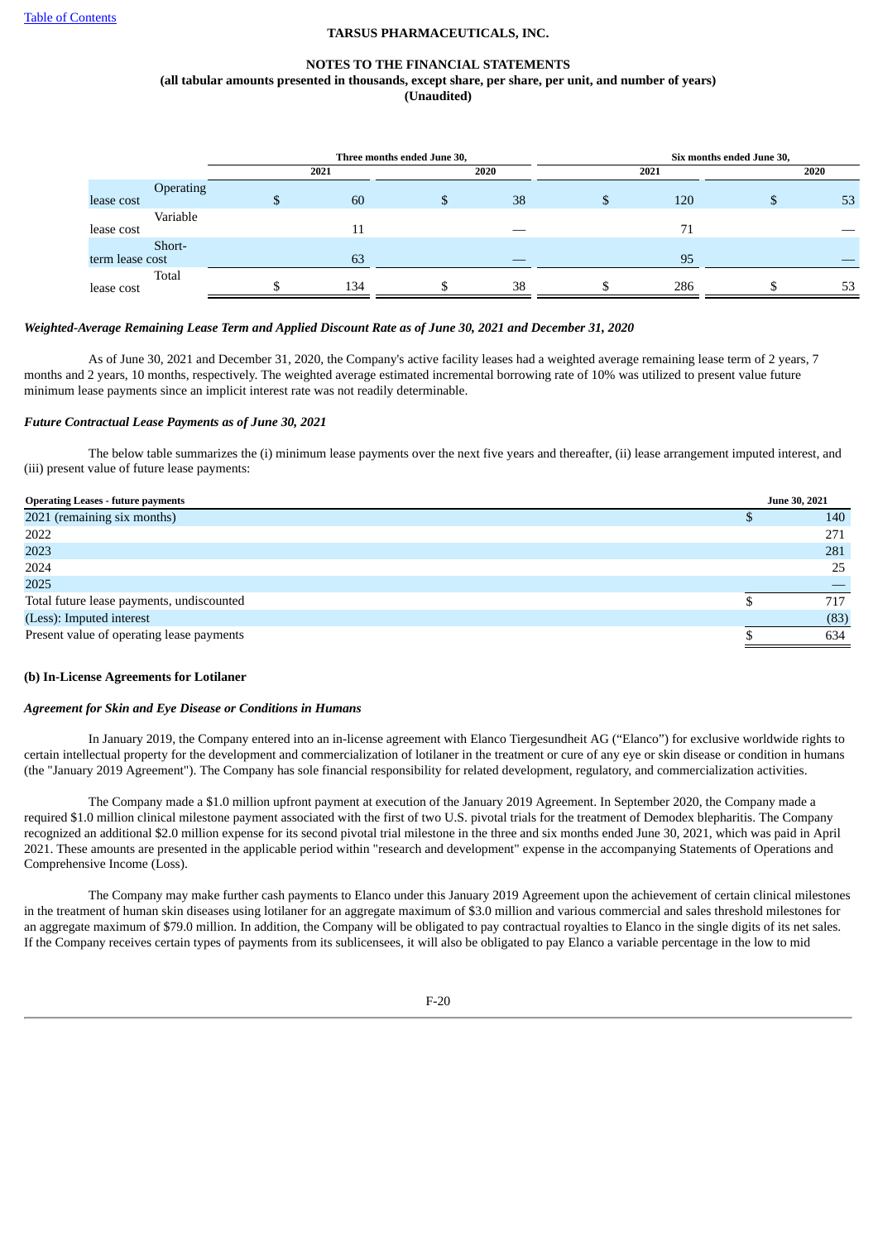#### **NOTES TO THE FINANCIAL STATEMENTS (all tabular amounts presented in thousands, except share, per share, per unit, and number of years) (Unaudited)**

|                 |                  |      | Three months ended June 30, |      |   |      | Six months ended June 30, |      |  |
|-----------------|------------------|------|-----------------------------|------|---|------|---------------------------|------|--|
|                 |                  | 2021 |                             | 2020 |   | 2021 |                           | 2020 |  |
| lease cost      | <b>Operating</b> | 60   | Ф                           | 38   | a | 120  | D                         | 53   |  |
| lease cost      | Variable         | 11   |                             |      |   | 71   |                           |      |  |
| term lease cost | Short-           | 63   |                             |      |   | 95   |                           |      |  |
| lease cost      | Total            | 134  |                             | 38   |   | 286  |                           | 53   |  |

# *Weighted-Average Remaining Lease Term and Applied Discount Rate as of June 30, 2021 and December 31, 2020*

As of June 30, 2021 and December 31, 2020, the Company's active facility leases had a weighted average remaining lease term of 2 years, 7 months and 2 years, 10 months, respectively. The weighted average estimated incremental borrowing rate of 10% was utilized to present value future minimum lease payments since an implicit interest rate was not readily determinable.

#### *Future Contractual Lease Payments as of June 30, 2021*

The below table summarizes the (i) minimum lease payments over the next five years and thereafter, (ii) lease arrangement imputed interest, and (iii) present value of future lease payments:

| <b>Operating Leases - future payments</b> | <b>June 30, 2021</b> |
|-------------------------------------------|----------------------|
| 2021 (remaining six months)               | 140                  |
| 2022                                      | 271                  |
| 2023                                      | 281                  |
| 2024                                      | 25                   |
| 2025                                      |                      |
| Total future lease payments, undiscounted | 717                  |
| (Less): Imputed interest                  | (83)                 |
| Present value of operating lease payments | 634                  |

#### **(b) In-License Agreements for Lotilaner**

### *Agreement for Skin and Eye Disease or Conditions in Humans*

In January 2019, the Company entered into an in-license agreement with Elanco Tiergesundheit AG ("Elanco") for exclusive worldwide rights to certain intellectual property for the development and commercialization of lotilaner in the treatment or cure of any eye or skin disease or condition in humans (the "January 2019 Agreement"). The Company has sole financial responsibility for related development, regulatory, and commercialization activities.

The Company made a \$1.0 million upfront payment at execution of the January 2019 Agreement. In September 2020, the Company made a required \$1.0 million clinical milestone payment associated with the first of two U.S. pivotal trials for the treatment of Demodex blepharitis. The Company recognized an additional \$2.0 million expense for its second pivotal trial milestone in the three and six months ended June 30, 2021, which was paid in April 2021. These amounts are presented in the applicable period within "research and development" expense in the accompanying Statements of Operations and Comprehensive Income (Loss).

The Company may make further cash payments to Elanco under this January 2019 Agreement upon the achievement of certain clinical milestones in the treatment of human skin diseases using lotilaner for an aggregate maximum of \$3.0 million and various commercial and sales threshold milestones for an aggregate maximum of \$79.0 million. In addition, the Company will be obligated to pay contractual royalties to Elanco in the single digits of its net sales. If the Company receives certain types of payments from its sublicensees, it will also be obligated to pay Elanco a variable percentage in the low to mid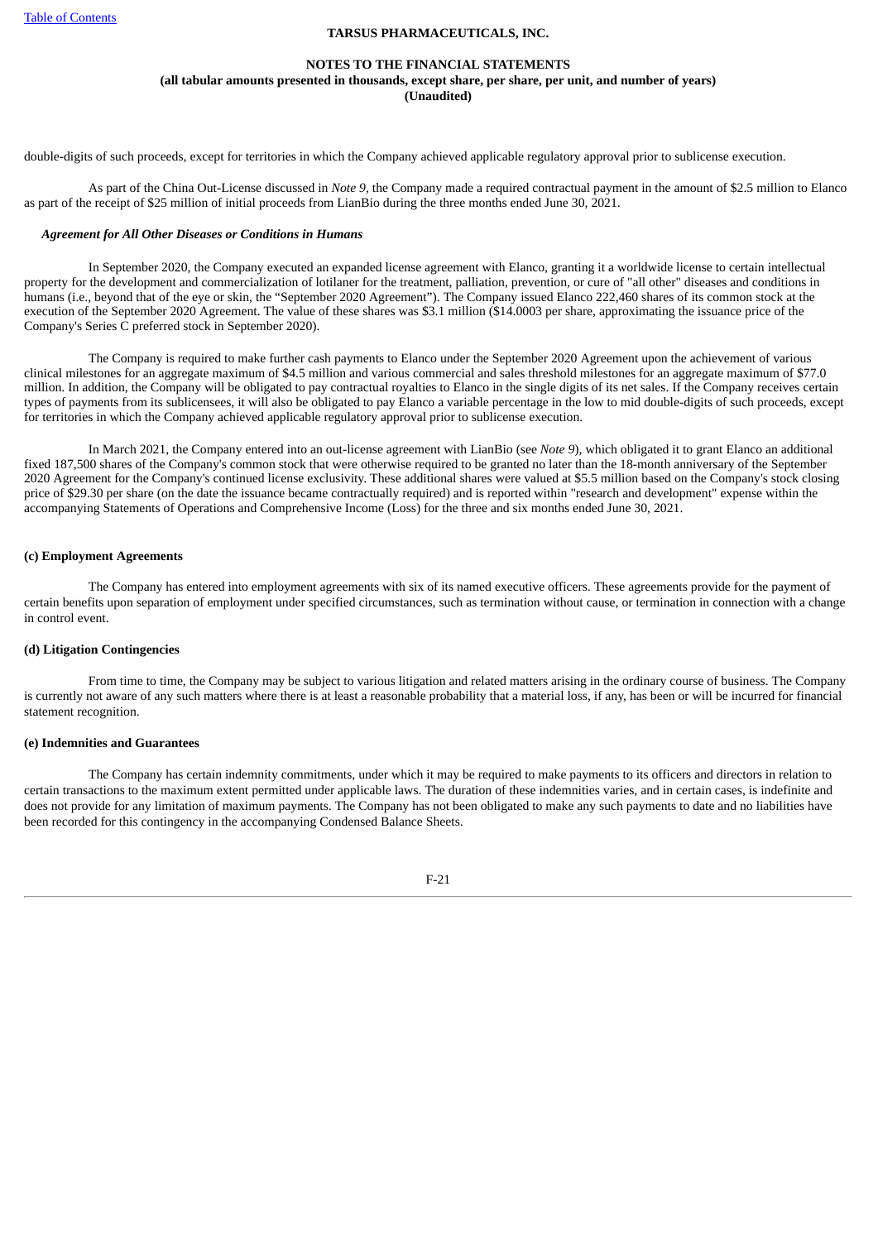# **NOTES TO THE FINANCIAL STATEMENTS (all tabular amounts presented in thousands, except share, per share, per unit, and number of years)**

#### **(Unaudited)**

double-digits of such proceeds, except for territories in which the Company achieved applicable regulatory approval prior to sublicense execution.

As part of the China Out-License discussed in *Note 9*, the Company made a required contractual payment in the amount of \$2.5 million to Elanco as part of the receipt of \$25 million of initial proceeds from LianBio during the three months ended June 30, 2021.

#### *Agreement for All Other Diseases or Conditions in Humans*

In September 2020, the Company executed an expanded license agreement with Elanco, granting it a worldwide license to certain intellectual property for the development and commercialization of lotilaner for the treatment, palliation, prevention, or cure of "all other" diseases and conditions in humans (i.e., beyond that of the eye or skin, the "September 2020 Agreement"). The Company issued Elanco 222,460 shares of its common stock at the execution of the September 2020 Agreement. The value of these shares was \$3.1 million (\$14.0003 per share, approximating the issuance price of the Company's Series C preferred stock in September 2020).

The Company is required to make further cash payments to Elanco under the September 2020 Agreement upon the achievement of various clinical milestones for an aggregate maximum of \$4.5 million and various commercial and sales threshold milestones for an aggregate maximum of \$77.0 million. In addition, the Company will be obligated to pay contractual royalties to Elanco in the single digits of its net sales. If the Company receives certain types of payments from its sublicensees, it will also be obligated to pay Elanco a variable percentage in the low to mid double-digits of such proceeds, except for territories in which the Company achieved applicable regulatory approval prior to sublicense execution.

In March 2021, the Company entered into an out-license agreement with LianBio (see *Note 9*), which obligated it to grant Elanco an additional fixed 187,500 shares of the Company's common stock that were otherwise required to be granted no later than the 18-month anniversary of the September 2020 Agreement for the Company's continued license exclusivity. These additional shares were valued at \$5.5 million based on the Company's stock closing price of \$29.30 per share (on the date the issuance became contractually required) and is reported within "research and development" expense within the accompanying Statements of Operations and Comprehensive Income (Loss) for the three and six months ended June 30, 2021.

# **(c) Employment Agreements**

The Company has entered into employment agreements with six of its named executive officers. These agreements provide for the payment of certain benefits upon separation of employment under specified circumstances, such as termination without cause, or termination in connection with a change in control event.

#### **(d) Litigation Contingencies**

From time to time, the Company may be subject to various litigation and related matters arising in the ordinary course of business. The Company is currently not aware of any such matters where there is at least a reasonable probability that a material loss, if any, has been or will be incurred for financial statement recognition.

#### **(e) Indemnities and Guarantees**

The Company has certain indemnity commitments, under which it may be required to make payments to its officers and directors in relation to certain transactions to the maximum extent permitted under applicable laws. The duration of these indemnities varies, and in certain cases, is indefinite and does not provide for any limitation of maximum payments. The Company has not been obligated to make any such payments to date and no liabilities have been recorded for this contingency in the accompanying Condensed Balance Sheets.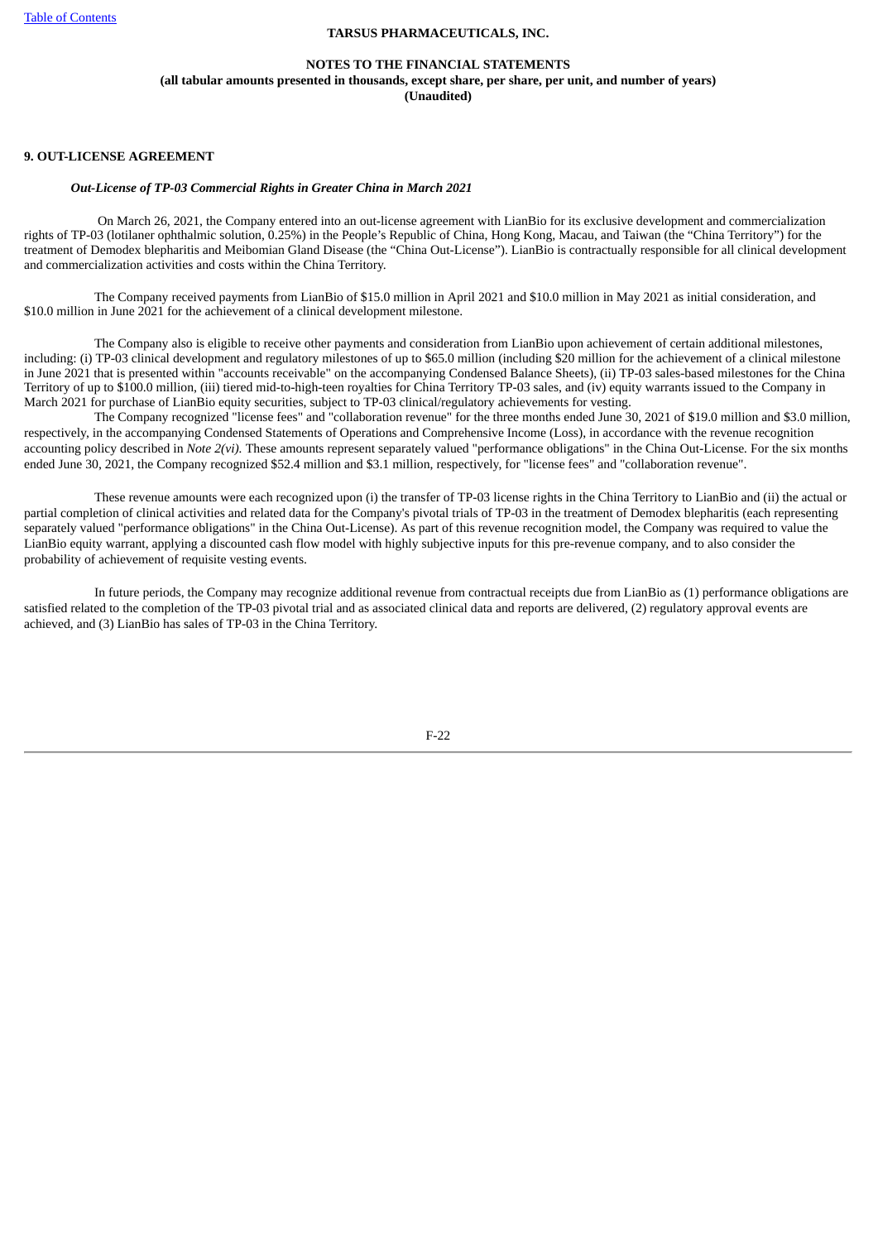### **NOTES TO THE FINANCIAL STATEMENTS (all tabular amounts presented in thousands, except share, per share, per unit, and number of years) (Unaudited)**

#### **9. OUT-LICENSE AGREEMENT**

#### *Out-License of TP-03 Commercial Rights in Greater China in March 2021*

On March 26, 2021, the Company entered into an out-license agreement with LianBio for its exclusive development and commercialization rights of TP-03 (lotilaner ophthalmic solution, 0.25%) in the People's Republic of China, Hong Kong, Macau, and Taiwan (the "China Territory") for the treatment of Demodex blepharitis and Meibomian Gland Disease (the "China Out-License"). LianBio is contractually responsible for all clinical development and commercialization activities and costs within the China Territory.

The Company received payments from LianBio of \$15.0 million in April 2021 and \$10.0 million in May 2021 as initial consideration, and \$10.0 million in June 2021 for the achievement of a clinical development milestone.

The Company also is eligible to receive other payments and consideration from LianBio upon achievement of certain additional milestones, including: (i) TP-03 clinical development and regulatory milestones of up to \$65.0 million (including \$20 million for the achievement of a clinical milestone in June 2021 that is presented within "accounts receivable" on the accompanying Condensed Balance Sheets), (ii) TP-03 sales-based milestones for the China Territory of up to \$100.0 million, (iii) tiered mid-to-high-teen royalties for China Territory TP-03 sales, and (iv) equity warrants issued to the Company in March 2021 for purchase of LianBio equity securities, subject to TP-03 clinical/regulatory achievements for vesting.

The Company recognized "license fees" and "collaboration revenue" for the three months ended June 30, 2021 of \$19.0 million and \$3.0 million, respectively, in the accompanying Condensed Statements of Operations and Comprehensive Income (Loss), in accordance with the revenue recognition accounting policy described in *Note 2(vi).* These amounts represent separately valued "performance obligations" in the China Out-License*.* For the six months ended June 30, 2021, the Company recognized \$52.4 million and \$3.1 million, respectively, for "license fees" and "collaboration revenue".

These revenue amounts were each recognized upon (i) the transfer of TP-03 license rights in the China Territory to LianBio and (ii) the actual or partial completion of clinical activities and related data for the Company's pivotal trials of TP-03 in the treatment of Demodex blepharitis (each representing separately valued "performance obligations" in the China Out-License). As part of this revenue recognition model, the Company was required to value the LianBio equity warrant, applying a discounted cash flow model with highly subjective inputs for this pre-revenue company, and to also consider the probability of achievement of requisite vesting events.

<span id="page-23-0"></span>In future periods, the Company may recognize additional revenue from contractual receipts due from LianBio as (1) performance obligations are satisfied related to the completion of the TP-03 pivotal trial and as associated clinical data and reports are delivered, (2) regulatory approval events are achieved, and (3) LianBio has sales of TP-03 in the China Territory.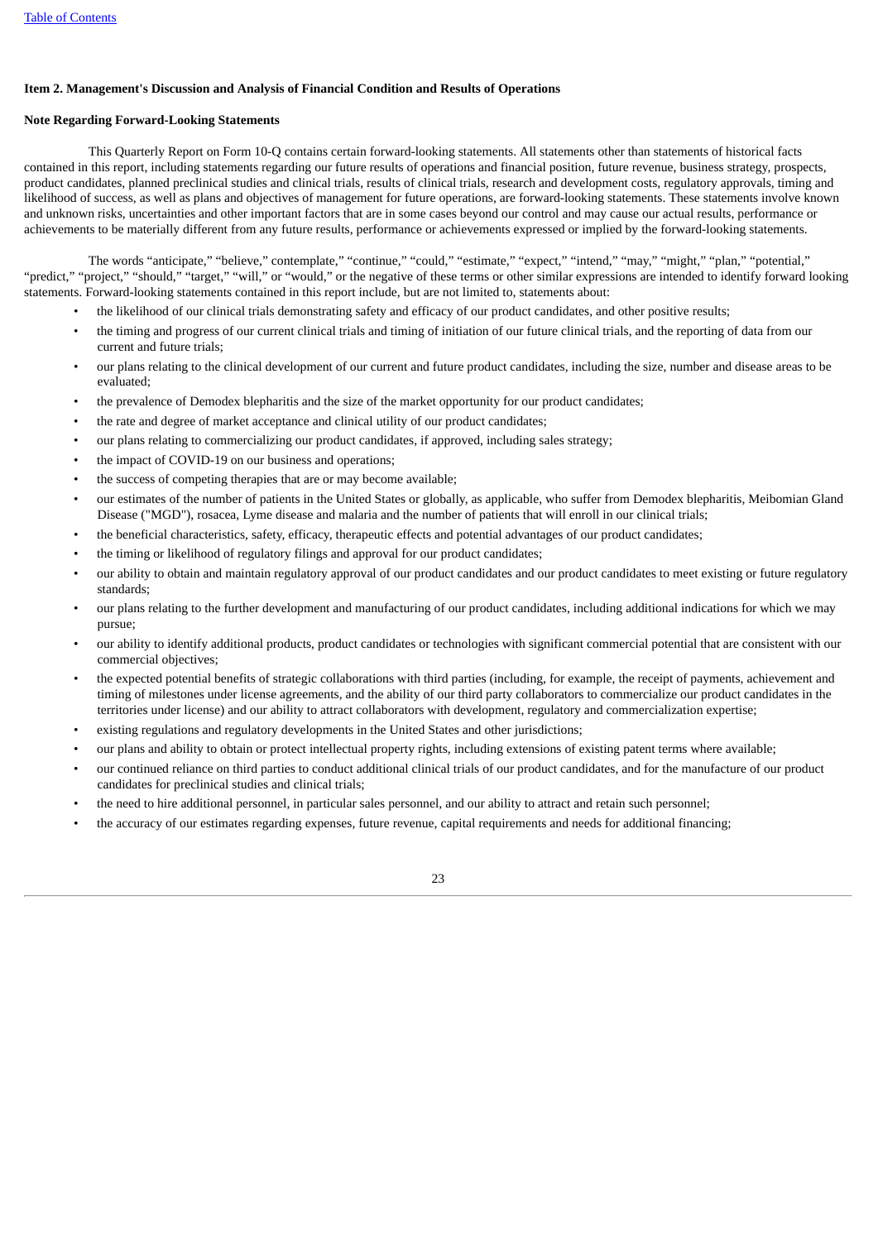# **Item 2. Management's Discussion and Analysis of Financial Condition and Results of Operations**

#### **Note Regarding Forward-Looking Statements**

This Quarterly Report on Form 10-Q contains certain forward-looking statements. All statements other than statements of historical facts contained in this report, including statements regarding our future results of operations and financial position, future revenue, business strategy, prospects, product candidates, planned preclinical studies and clinical trials, results of clinical trials, research and development costs, regulatory approvals, timing and likelihood of success, as well as plans and objectives of management for future operations, are forward-looking statements. These statements involve known and unknown risks, uncertainties and other important factors that are in some cases beyond our control and may cause our actual results, performance or achievements to be materially different from any future results, performance or achievements expressed or implied by the forward-looking statements.

The words "anticipate," "believe," contemplate," "continue," "could," "estimate," "expect," "intend," "may," "might," "plan," "potential," "predict," "project," "should," "target," "will," or "would," or the negative of these terms or other similar expressions are intended to identify forward looking statements. Forward-looking statements contained in this report include, but are not limited to, statements about:

- the likelihood of our clinical trials demonstrating safety and efficacy of our product candidates, and other positive results;
- the timing and progress of our current clinical trials and timing of initiation of our future clinical trials, and the reporting of data from our current and future trials;
- our plans relating to the clinical development of our current and future product candidates, including the size, number and disease areas to be evaluated;
- the prevalence of Demodex blepharitis and the size of the market opportunity for our product candidates;
- the rate and degree of market acceptance and clinical utility of our product candidates;
- our plans relating to commercializing our product candidates, if approved, including sales strategy;
- the impact of COVID-19 on our business and operations;
- the success of competing therapies that are or may become available;
- our estimates of the number of patients in the United States or globally, as applicable, who suffer from Demodex blepharitis, Meibomian Gland Disease ("MGD"), rosacea, Lyme disease and malaria and the number of patients that will enroll in our clinical trials;
- the beneficial characteristics, safety, efficacy, therapeutic effects and potential advantages of our product candidates;
- the timing or likelihood of regulatory filings and approval for our product candidates;
- our ability to obtain and maintain regulatory approval of our product candidates and our product candidates to meet existing or future regulatory standards;
- our plans relating to the further development and manufacturing of our product candidates, including additional indications for which we may pursue;
- our ability to identify additional products, product candidates or technologies with significant commercial potential that are consistent with our commercial objectives;
- the expected potential benefits of strategic collaborations with third parties (including, for example, the receipt of payments, achievement and timing of milestones under license agreements, and the ability of our third party collaborators to commercialize our product candidates in the territories under license) and our ability to attract collaborators with development, regulatory and commercialization expertise;
- existing regulations and regulatory developments in the United States and other jurisdictions;
- our plans and ability to obtain or protect intellectual property rights, including extensions of existing patent terms where available;
- our continued reliance on third parties to conduct additional clinical trials of our product candidates, and for the manufacture of our product candidates for preclinical studies and clinical trials;
- the need to hire additional personnel, in particular sales personnel, and our ability to attract and retain such personnel;
- the accuracy of our estimates regarding expenses, future revenue, capital requirements and needs for additional financing;

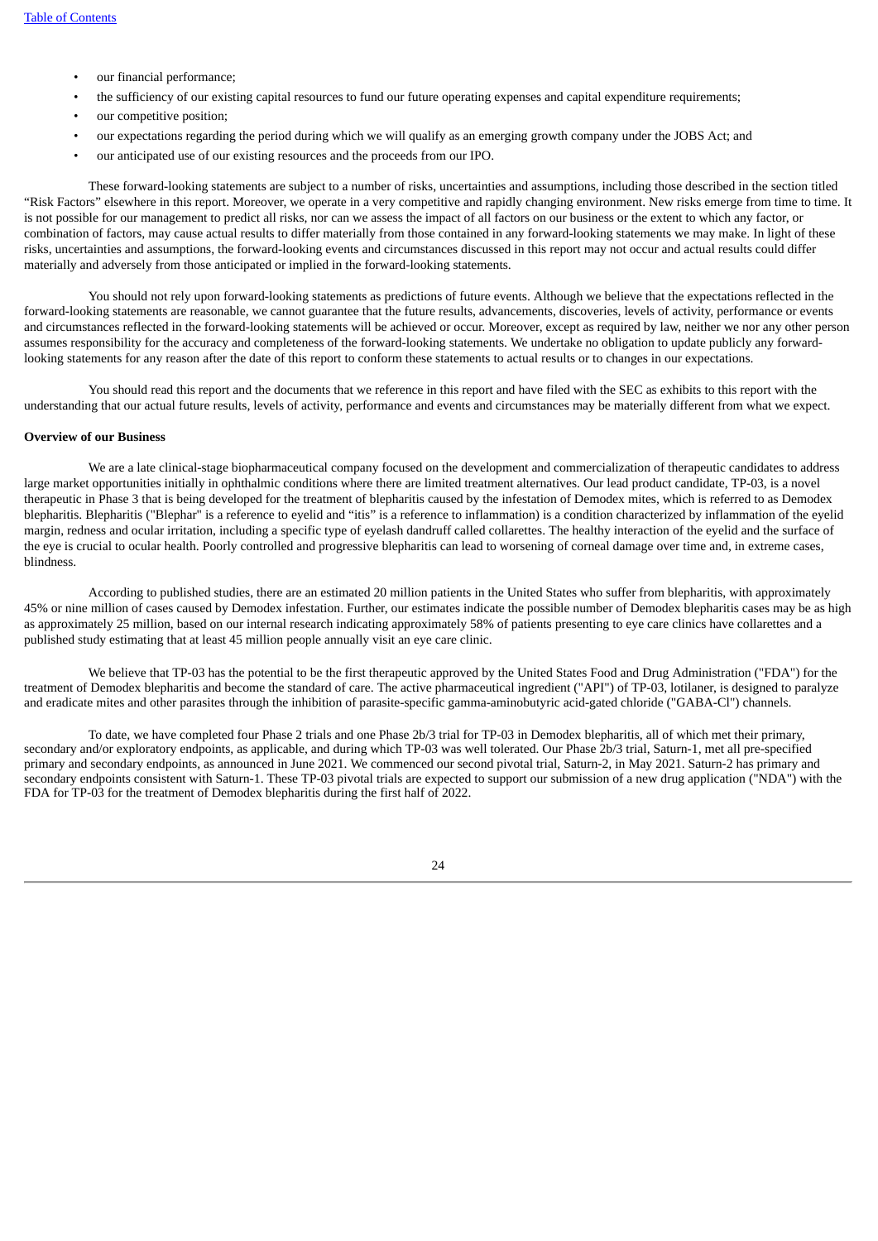- our financial performance;
- the sufficiency of our existing capital resources to fund our future operating expenses and capital expenditure requirements;
- our competitive position;
- our expectations regarding the period during which we will qualify as an emerging growth company under the JOBS Act; and
- our anticipated use of our existing resources and the proceeds from our IPO.

These forward-looking statements are subject to a number of risks, uncertainties and assumptions, including those described in the section titled "Risk Factors" elsewhere in this report. Moreover, we operate in a very competitive and rapidly changing environment. New risks emerge from time to time. It is not possible for our management to predict all risks, nor can we assess the impact of all factors on our business or the extent to which any factor, or combination of factors, may cause actual results to differ materially from those contained in any forward-looking statements we may make. In light of these risks, uncertainties and assumptions, the forward-looking events and circumstances discussed in this report may not occur and actual results could differ materially and adversely from those anticipated or implied in the forward-looking statements.

You should not rely upon forward-looking statements as predictions of future events. Although we believe that the expectations reflected in the forward-looking statements are reasonable, we cannot guarantee that the future results, advancements, discoveries, levels of activity, performance or events and circumstances reflected in the forward-looking statements will be achieved or occur. Moreover, except as required by law, neither we nor any other person assumes responsibility for the accuracy and completeness of the forward-looking statements. We undertake no obligation to update publicly any forwardlooking statements for any reason after the date of this report to conform these statements to actual results or to changes in our expectations.

You should read this report and the documents that we reference in this report and have filed with the SEC as exhibits to this report with the understanding that our actual future results, levels of activity, performance and events and circumstances may be materially different from what we expect.

#### **Overview of our Business**

We are a late clinical-stage biopharmaceutical company focused on the development and commercialization of therapeutic candidates to address large market opportunities initially in ophthalmic conditions where there are limited treatment alternatives. Our lead product candidate, TP-03, is a novel therapeutic in Phase 3 that is being developed for the treatment of blepharitis caused by the infestation of Demodex mites, which is referred to as Demodex blepharitis. Blepharitis ("Blephar" is a reference to eyelid and "itis" is a reference to inflammation) is a condition characterized by inflammation of the eyelid margin, redness and ocular irritation, including a specific type of eyelash dandruff called collarettes. The healthy interaction of the eyelid and the surface of the eye is crucial to ocular health. Poorly controlled and progressive blepharitis can lead to worsening of corneal damage over time and, in extreme cases, blindness.

According to published studies, there are an estimated 20 million patients in the United States who suffer from blepharitis, with approximately 45% or nine million of cases caused by Demodex infestation. Further, our estimates indicate the possible number of Demodex blepharitis cases may be as high as approximately 25 million, based on our internal research indicating approximately 58% of patients presenting to eye care clinics have collarettes and a published study estimating that at least 45 million people annually visit an eye care clinic.

We believe that TP-03 has the potential to be the first therapeutic approved by the United States Food and Drug Administration ("FDA") for the treatment of Demodex blepharitis and become the standard of care. The active pharmaceutical ingredient ("API") of TP-03, lotilaner, is designed to paralyze and eradicate mites and other parasites through the inhibition of parasite-specific gamma-aminobutyric acid-gated chloride ("GABA-Cl") channels.

To date, we have completed four Phase 2 trials and one Phase 2b/3 trial for TP-03 in Demodex blepharitis, all of which met their primary, secondary and/or exploratory endpoints, as applicable, and during which TP-03 was well tolerated. Our Phase 2b/3 trial, Saturn-1, met all pre-specified primary and secondary endpoints, as announced in June 2021. We commenced our second pivotal trial, Saturn-2, in May 2021. Saturn-2 has primary and secondary endpoints consistent with Saturn-1. These TP-03 pivotal trials are expected to support our submission of a new drug application ("NDA") with the FDA for TP-03 for the treatment of Demodex blepharitis during the first half of 2022.

24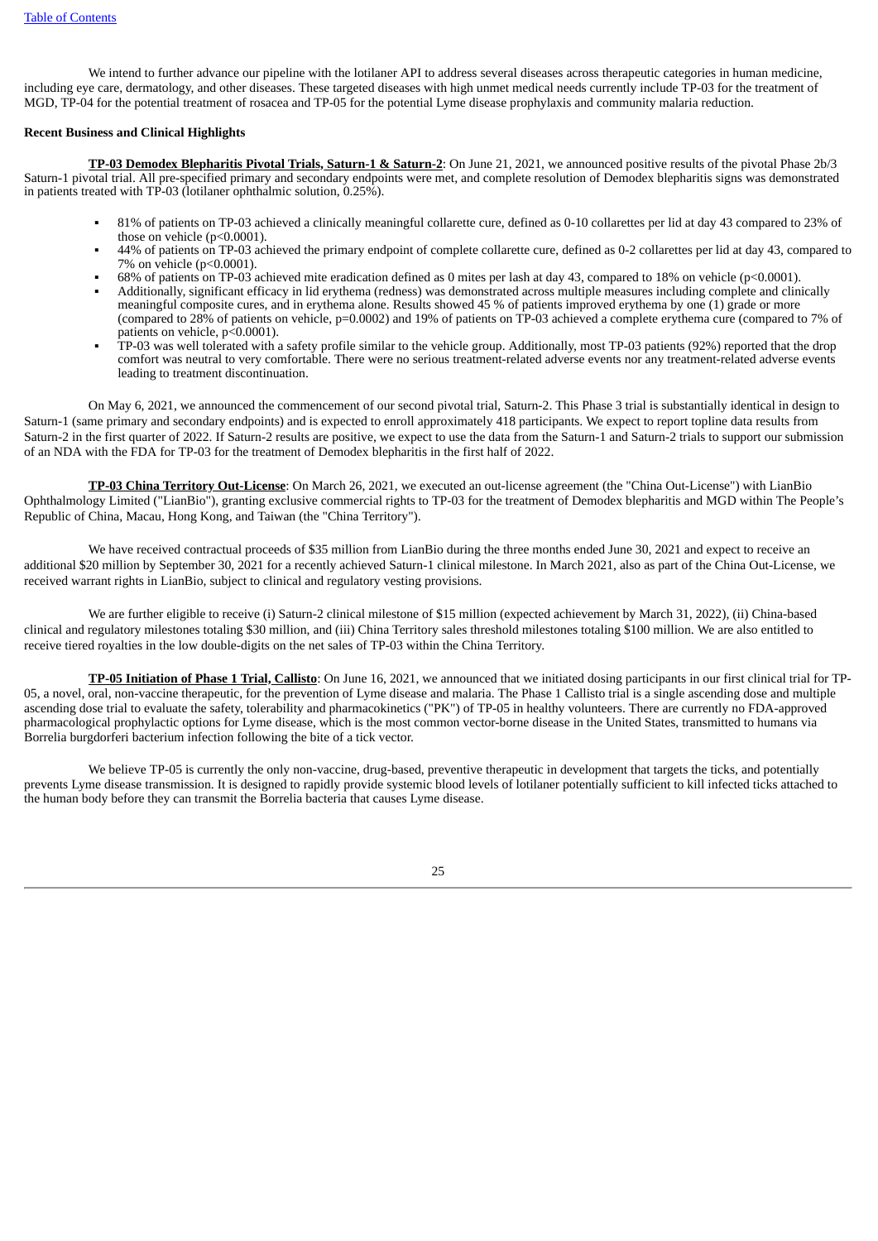We intend to further advance our pipeline with the lotilaner API to address several diseases across therapeutic categories in human medicine, including eye care, dermatology, and other diseases. These targeted diseases with high unmet medical needs currently include TP-03 for the treatment of MGD, TP-04 for the potential treatment of rosacea and TP-05 for the potential Lyme disease prophylaxis and community malaria reduction.

# **Recent Business and Clinical Highlights**

**TP-03 Demodex Blepharitis Pivotal Trials, Saturn-1 & Saturn-2**: On June 21, 2021, we announced positive results of the pivotal Phase 2b/3 Saturn-1 pivotal trial. All pre-specified primary and secondary endpoints were met, and complete resolution of Demodex blepharitis signs was demonstrated in patients treated with TP-03 (lotilaner ophthalmic solution, 0.25%).

- 81% of patients on TP-03 achieved a clinically meaningful collarette cure, defined as 0-10 collarettes per lid at day 43 compared to 23% of those on vehicle (p<0.0001).
- 44% of patients on TP-03 achieved the primary endpoint of complete collarette cure, defined as 0-2 collarettes per lid at day 43, compared to 7% on vehicle (p<0.0001).
- 68% of patients on TP-03 achieved mite eradication defined as 0 mites per lash at day 43, compared to 18% on vehicle (p<0.0001).
- Additionally, significant efficacy in lid erythema (redness) was demonstrated across multiple measures including complete and clinically meaningful composite cures, and in erythema alone. Results showed 45 % of patients improved erythema by one (1) grade or more (compared to 28% of patients on vehicle, p=0.0002) and 19% of patients on TP-03 achieved a complete erythema cure (compared to 7% of patients on vehicle, p<0.0001).
- TP-03 was well tolerated with a safety profile similar to the vehicle group. Additionally, most TP-03 patients (92%) reported that the drop comfort was neutral to very comfortable. There were no serious treatment-related adverse events nor any treatment-related adverse events leading to treatment discontinuation.

On May 6, 2021, we announced the commencement of our second pivotal trial, Saturn-2. This Phase 3 trial is substantially identical in design to Saturn-1 (same primary and secondary endpoints) and is expected to enroll approximately 418 participants. We expect to report topline data results from Saturn-2 in the first quarter of 2022. If Saturn-2 results are positive, we expect to use the data from the Saturn-1 and Saturn-2 trials to support our submission of an NDA with the FDA for TP-03 for the treatment of Demodex blepharitis in the first half of 2022.

**TP-03 China Territory Out-License**: On March 26, 2021, we executed an out-license agreement (the "China Out-License") with LianBio Ophthalmology Limited ("LianBio"), granting exclusive commercial rights to TP-03 for the treatment of Demodex blepharitis and MGD within The People's Republic of China, Macau, Hong Kong, and Taiwan (the "China Territory").

We have received contractual proceeds of \$35 million from LianBio during the three months ended June 30, 2021 and expect to receive an additional \$20 million by September 30, 2021 for a recently achieved Saturn-1 clinical milestone. In March 2021, also as part of the China Out-License, we received warrant rights in LianBio, subject to clinical and regulatory vesting provisions.

We are further eligible to receive (i) Saturn-2 clinical milestone of \$15 million (expected achievement by March 31, 2022), (ii) China-based clinical and regulatory milestones totaling \$30 million, and (iii) China Territory sales threshold milestones totaling \$100 million. We are also entitled to receive tiered royalties in the low double-digits on the net sales of TP-03 within the China Territory.

**TP-05 Initiation of Phase 1 Trial, Callisto**: On June 16, 2021, we announced that we initiated dosing participants in our first clinical trial for TP-05, a novel, oral, non-vaccine therapeutic, for the prevention of Lyme disease and malaria. The Phase 1 Callisto trial is a single ascending dose and multiple ascending dose trial to evaluate the safety, tolerability and pharmacokinetics ("PK") of TP-05 in healthy volunteers. There are currently no FDA-approved pharmacological prophylactic options for Lyme disease, which is the most common vector-borne disease in the United States, transmitted to humans via Borrelia burgdorferi bacterium infection following the bite of a tick vector.

We believe TP-05 is currently the only non-vaccine, drug-based, preventive therapeutic in development that targets the ticks, and potentially prevents Lyme disease transmission. It is designed to rapidly provide systemic blood levels of lotilaner potentially sufficient to kill infected ticks attached to the human body before they can transmit the Borrelia bacteria that causes Lyme disease.

25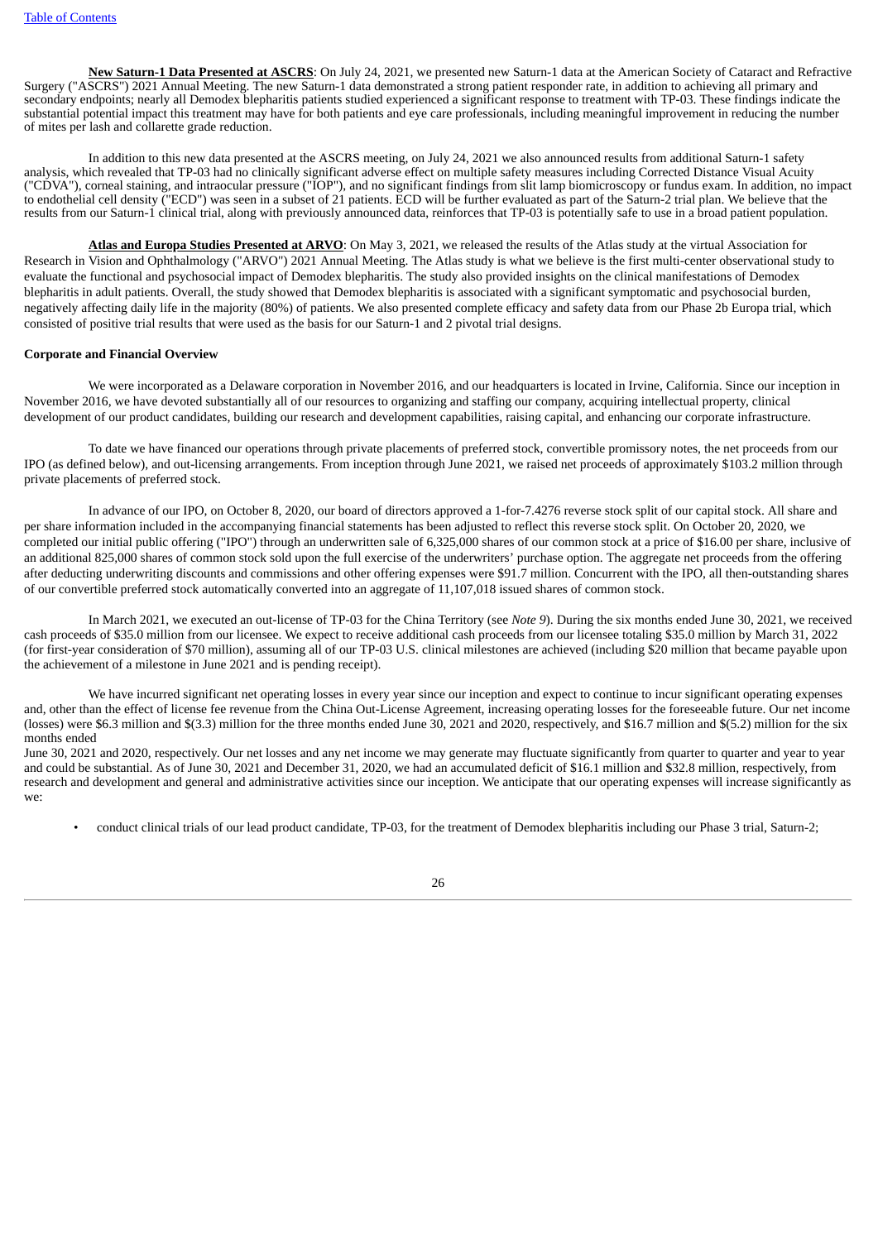**New Saturn-1 Data Presented at ASCRS**: On July 24, 2021, we presented new Saturn-1 data at the American Society of Cataract and Refractive Surgery ("ASCRS") 2021 Annual Meeting. The new Saturn-1 data demonstrated a strong patient responder rate, in addition to achieving all primary and secondary endpoints; nearly all Demodex blepharitis patients studied experienced a significant response to treatment with TP-03. These findings indicate the substantial potential impact this treatment may have for both patients and eye care professionals, including meaningful improvement in reducing the number of mites per lash and collarette grade reduction.

In addition to this new data presented at the ASCRS meeting, on July 24, 2021 we also announced results from additional Saturn-1 safety analysis, which revealed that TP-03 had no clinically significant adverse effect on multiple safety measures including Corrected Distance Visual Acuity ("CDVA"), corneal staining, and intraocular pressure ("IOP"), and no significant findings from slit lamp biomicroscopy or fundus exam. In addition, no impact to endothelial cell density ("ECD") was seen in a subset of 21 patients. ECD will be further evaluated as part of the Saturn-2 trial plan. We believe that the results from our Saturn-1 clinical trial, along with previously announced data, reinforces that TP-03 is potentially safe to use in a broad patient population.

**Atlas and Europa Studies Presented at ARVO**: On May 3, 2021, we released the results of the Atlas study at the virtual Association for Research in Vision and Ophthalmology ("ARVO") 2021 Annual Meeting. The Atlas study is what we believe is the first multi-center observational study to evaluate the functional and psychosocial impact of Demodex blepharitis. The study also provided insights on the clinical manifestations of Demodex blepharitis in adult patients. Overall, the study showed that Demodex blepharitis is associated with a significant symptomatic and psychosocial burden, negatively affecting daily life in the majority (80%) of patients. We also presented complete efficacy and safety data from our Phase 2b Europa trial, which consisted of positive trial results that were used as the basis for our Saturn-1 and 2 pivotal trial designs.

#### **Corporate and Financial Overview**

We were incorporated as a Delaware corporation in November 2016, and our headquarters is located in Irvine, California. Since our inception in November 2016, we have devoted substantially all of our resources to organizing and staffing our company, acquiring intellectual property, clinical development of our product candidates, building our research and development capabilities, raising capital, and enhancing our corporate infrastructure.

To date we have financed our operations through private placements of preferred stock, convertible promissory notes, the net proceeds from our IPO (as defined below), and out-licensing arrangements. From inception through June 2021, we raised net proceeds of approximately \$103.2 million through private placements of preferred stock.

In advance of our IPO, on October 8, 2020, our board of directors approved a 1-for-7.4276 reverse stock split of our capital stock. All share and per share information included in the accompanying financial statements has been adjusted to reflect this reverse stock split. On October 20, 2020, we completed our initial public offering ("IPO") through an underwritten sale of 6,325,000 shares of our common stock at a price of \$16.00 per share, inclusive of an additional 825,000 shares of common stock sold upon the full exercise of the underwriters' purchase option. The aggregate net proceeds from the offering after deducting underwriting discounts and commissions and other offering expenses were \$91.7 million. Concurrent with the IPO, all then-outstanding shares of our convertible preferred stock automatically converted into an aggregate of 11,107,018 issued shares of common stock.

In March 2021, we executed an out-license of TP-03 for the China Territory (see *Note 9*). During the six months ended June 30, 2021, we received cash proceeds of \$35.0 million from our licensee. We expect to receive additional cash proceeds from our licensee totaling \$35.0 million by March 31, 2022 (for first-year consideration of \$70 million), assuming all of our TP-03 U.S. clinical milestones are achieved (including \$20 million that became payable upon the achievement of a milestone in June 2021 and is pending receipt).

We have incurred significant net operating losses in every year since our inception and expect to continue to incur significant operating expenses and, other than the effect of license fee revenue from the China Out-License Agreement, increasing operating losses for the foreseeable future. Our net income (losses) were \$6.3 million and \$(3.3) million for the three months ended June 30, 2021 and 2020, respectively, and \$16.7 million and \$(5.2) million for the six months ended

June 30, 2021 and 2020, respectively. Our net losses and any net income we may generate may fluctuate significantly from quarter to quarter and year to year and could be substantial. As of June 30, 2021 and December 31, 2020, we had an accumulated deficit of \$16.1 million and \$32.8 million, respectively, from research and development and general and administrative activities since our inception. We anticipate that our operating expenses will increase significantly as we:

• conduct clinical trials of our lead product candidate, TP-03, for the treatment of Demodex blepharitis including our Phase 3 trial, Saturn-2;

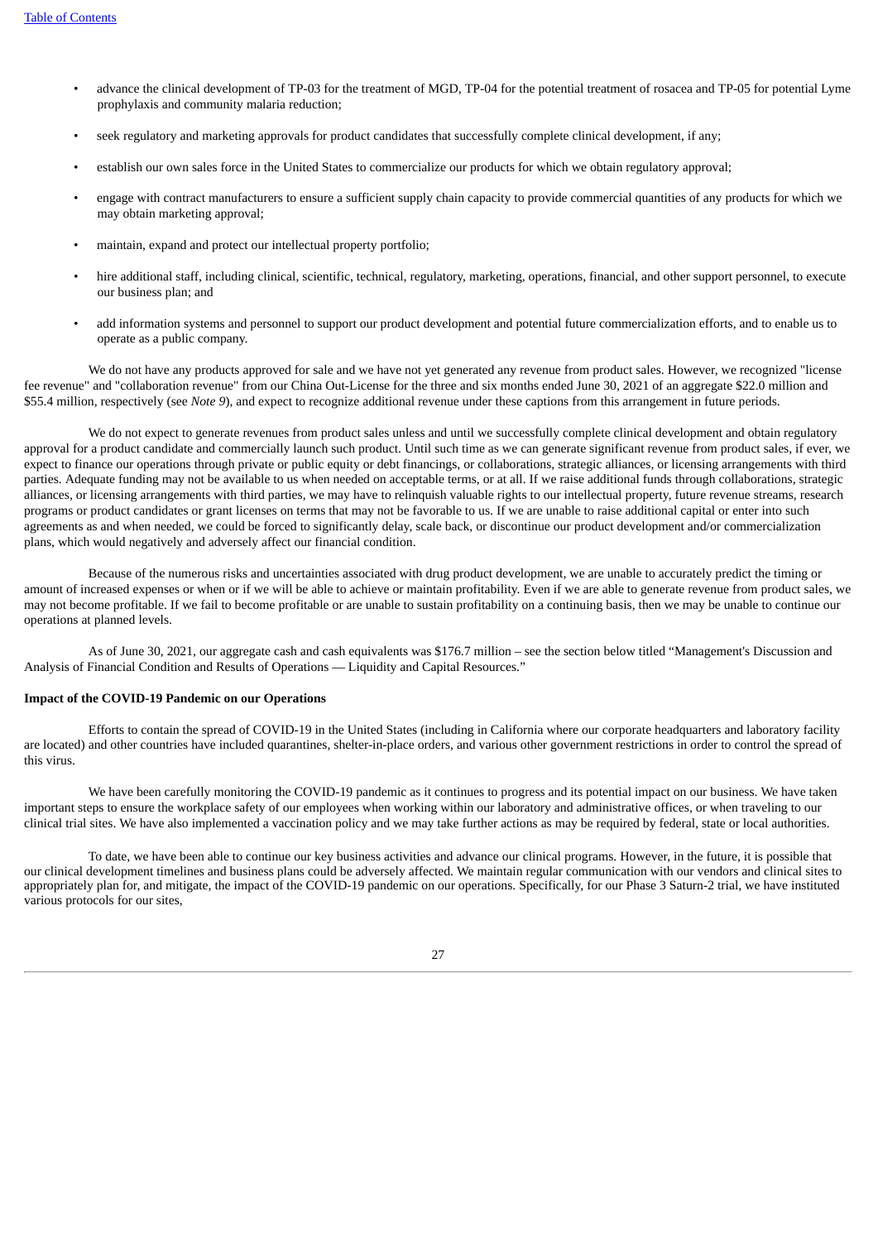- advance the clinical development of TP-03 for the treatment of MGD, TP-04 for the potential treatment of rosacea and TP-05 for potential Lyme prophylaxis and community malaria reduction;
- seek regulatory and marketing approvals for product candidates that successfully complete clinical development, if any;
- establish our own sales force in the United States to commercialize our products for which we obtain regulatory approval;
- engage with contract manufacturers to ensure a sufficient supply chain capacity to provide commercial quantities of any products for which we may obtain marketing approval;
- maintain, expand and protect our intellectual property portfolio;
- hire additional staff, including clinical, scientific, technical, regulatory, marketing, operations, financial, and other support personnel, to execute our business plan; and
- add information systems and personnel to support our product development and potential future commercialization efforts, and to enable us to operate as a public company.

We do not have any products approved for sale and we have not yet generated any revenue from product sales. However, we recognized "license fee revenue" and "collaboration revenue" from our China Out-License for the three and six months ended June 30, 2021 of an aggregate \$22.0 million and \$55.4 million, respectively (see *Note 9*), and expect to recognize additional revenue under these captions from this arrangement in future periods.

We do not expect to generate revenues from product sales unless and until we successfully complete clinical development and obtain regulatory approval for a product candidate and commercially launch such product. Until such time as we can generate significant revenue from product sales, if ever, we expect to finance our operations through private or public equity or debt financings, or collaborations, strategic alliances, or licensing arrangements with third parties. Adequate funding may not be available to us when needed on acceptable terms, or at all. If we raise additional funds through collaborations, strategic alliances, or licensing arrangements with third parties, we may have to relinquish valuable rights to our intellectual property, future revenue streams, research programs or product candidates or grant licenses on terms that may not be favorable to us. If we are unable to raise additional capital or enter into such agreements as and when needed, we could be forced to significantly delay, scale back, or discontinue our product development and/or commercialization plans, which would negatively and adversely affect our financial condition.

Because of the numerous risks and uncertainties associated with drug product development, we are unable to accurately predict the timing or amount of increased expenses or when or if we will be able to achieve or maintain profitability. Even if we are able to generate revenue from product sales, we may not become profitable. If we fail to become profitable or are unable to sustain profitability on a continuing basis, then we may be unable to continue our operations at planned levels.

As of June 30, 2021, our aggregate cash and cash equivalents was \$176.7 million – see the section below titled "Management's Discussion and Analysis of Financial Condition and Results of Operations — Liquidity and Capital Resources."

#### **Impact of the COVID-19 Pandemic on our Operations**

Efforts to contain the spread of COVID-19 in the United States (including in California where our corporate headquarters and laboratory facility are located) and other countries have included quarantines, shelter-in-place orders, and various other government restrictions in order to control the spread of this virus.

We have been carefully monitoring the COVID-19 pandemic as it continues to progress and its potential impact on our business. We have taken important steps to ensure the workplace safety of our employees when working within our laboratory and administrative offices, or when traveling to our clinical trial sites. We have also implemented a vaccination policy and we may take further actions as may be required by federal, state or local authorities.

To date, we have been able to continue our key business activities and advance our clinical programs. However, in the future, it is possible that our clinical development timelines and business plans could be adversely affected. We maintain regular communication with our vendors and clinical sites to appropriately plan for, and mitigate, the impact of the COVID-19 pandemic on our operations. Specifically, for our Phase 3 Saturn-2 trial, we have instituted various protocols for our sites,

27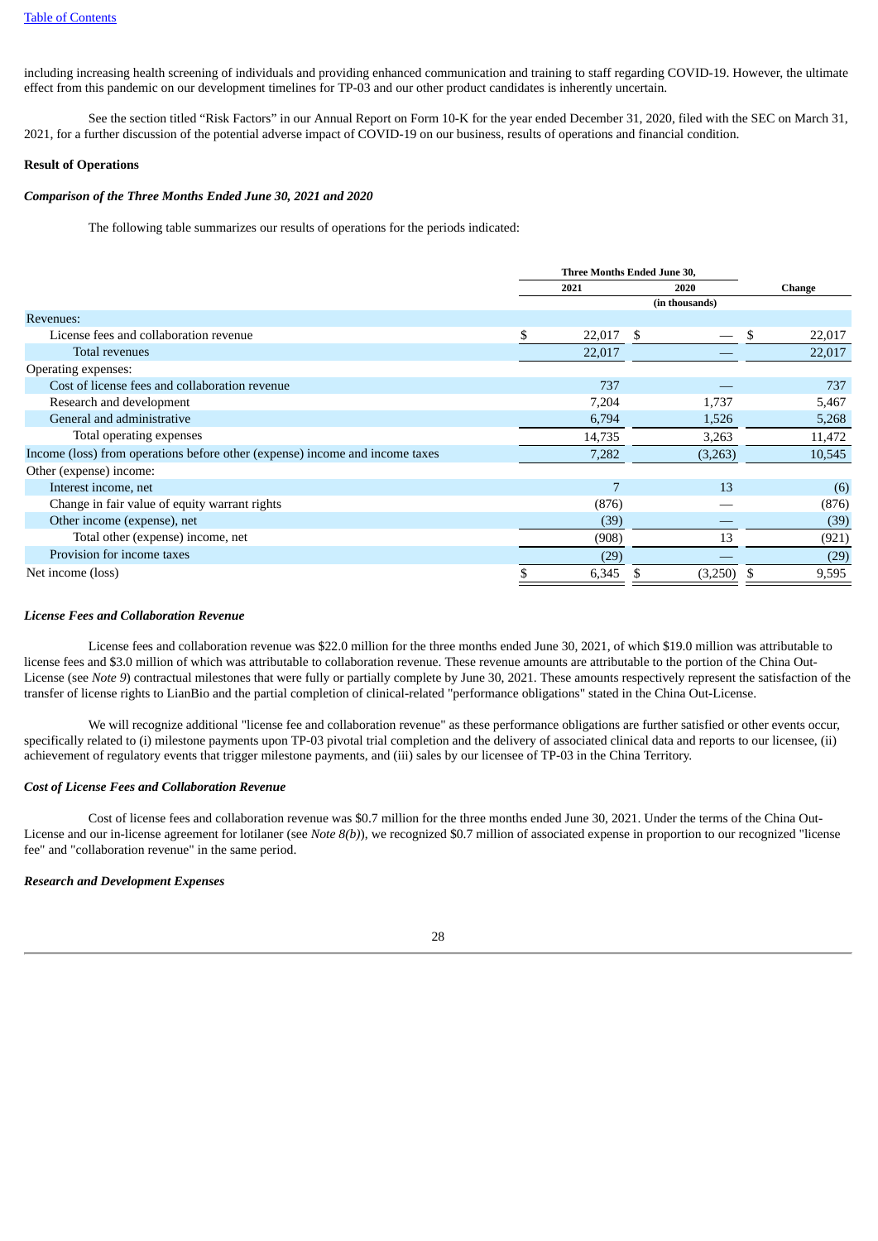including increasing health screening of individuals and providing enhanced communication and training to staff regarding COVID-19. However, the ultimate effect from this pandemic on our development timelines for TP-03 and our other product candidates is inherently uncertain.

See the section titled "Risk Factors" in our Annual Report on Form 10-K for the year ended December 31, 2020, filed with the SEC on March 31, 2021, for a further discussion of the potential adverse impact of COVID-19 on our business, results of operations and financial condition.

#### **Result of Operations**

#### *Comparison of the Three Months Ended June 30, 2021 and 2020*

The following table summarizes our results of operations for the periods indicated:

|                                                                              | <b>Three Months Ended June 30.</b> |        |    |                |   |        |
|------------------------------------------------------------------------------|------------------------------------|--------|----|----------------|---|--------|
|                                                                              | 2021<br>2020                       |        |    |                |   | Change |
|                                                                              |                                    |        |    | (in thousands) |   |        |
| Revenues:                                                                    |                                    |        |    |                |   |        |
| License fees and collaboration revenue                                       | S.                                 | 22,017 | \$ |                | S | 22,017 |
| Total revenues                                                               |                                    | 22,017 |    |                |   | 22,017 |
| Operating expenses:                                                          |                                    |        |    |                |   |        |
| Cost of license fees and collaboration revenue                               |                                    | 737    |    |                |   | 737    |
| Research and development                                                     |                                    | 7,204  |    | 1,737          |   | 5,467  |
| General and administrative                                                   |                                    | 6,794  |    | 1,526          |   | 5,268  |
| Total operating expenses                                                     |                                    | 14,735 |    | 3,263          |   | 11,472 |
| Income (loss) from operations before other (expense) income and income taxes |                                    | 7,282  |    | (3,263)        |   | 10,545 |
| Other (expense) income:                                                      |                                    |        |    |                |   |        |
| Interest income, net                                                         |                                    | 7      |    | 13             |   | (6)    |
| Change in fair value of equity warrant rights                                |                                    | (876)  |    |                |   | (876)  |
| Other income (expense), net                                                  |                                    | (39)   |    |                |   | (39)   |
| Total other (expense) income, net                                            |                                    | (908)  |    | 13             |   | (921)  |
| Provision for income taxes                                                   |                                    | (29)   |    |                |   | (29)   |
| Net income (loss)                                                            |                                    | 6,345  | S. | (3,250)        |   | 9,595  |

#### *License Fees and Collaboration Revenue*

License fees and collaboration revenue was \$22.0 million for the three months ended June 30, 2021, of which \$19.0 million was attributable to license fees and \$3.0 million of which was attributable to collaboration revenue. These revenue amounts are attributable to the portion of the China Out-License (see *Note 9*) contractual milestones that were fully or partially complete by June 30, 2021. These amounts respectively represent the satisfaction of the transfer of license rights to LianBio and the partial completion of clinical-related "performance obligations" stated in the China Out-License.

We will recognize additional "license fee and collaboration revenue" as these performance obligations are further satisfied or other events occur, specifically related to (i) milestone payments upon TP-03 pivotal trial completion and the delivery of associated clinical data and reports to our licensee, (ii) achievement of regulatory events that trigger milestone payments, and (iii) sales by our licensee of TP-03 in the China Territory.

# *Cost of License Fees and Collaboration Revenue*

Cost of license fees and collaboration revenue was \$0.7 million for the three months ended June 30, 2021. Under the terms of the China Out-License and our in-license agreement for lotilaner (see *Note 8(b)*), we recognized \$0.7 million of associated expense in proportion to our recognized "license fee" and "collaboration revenue" in the same period.

# *Research and Development Expenses*

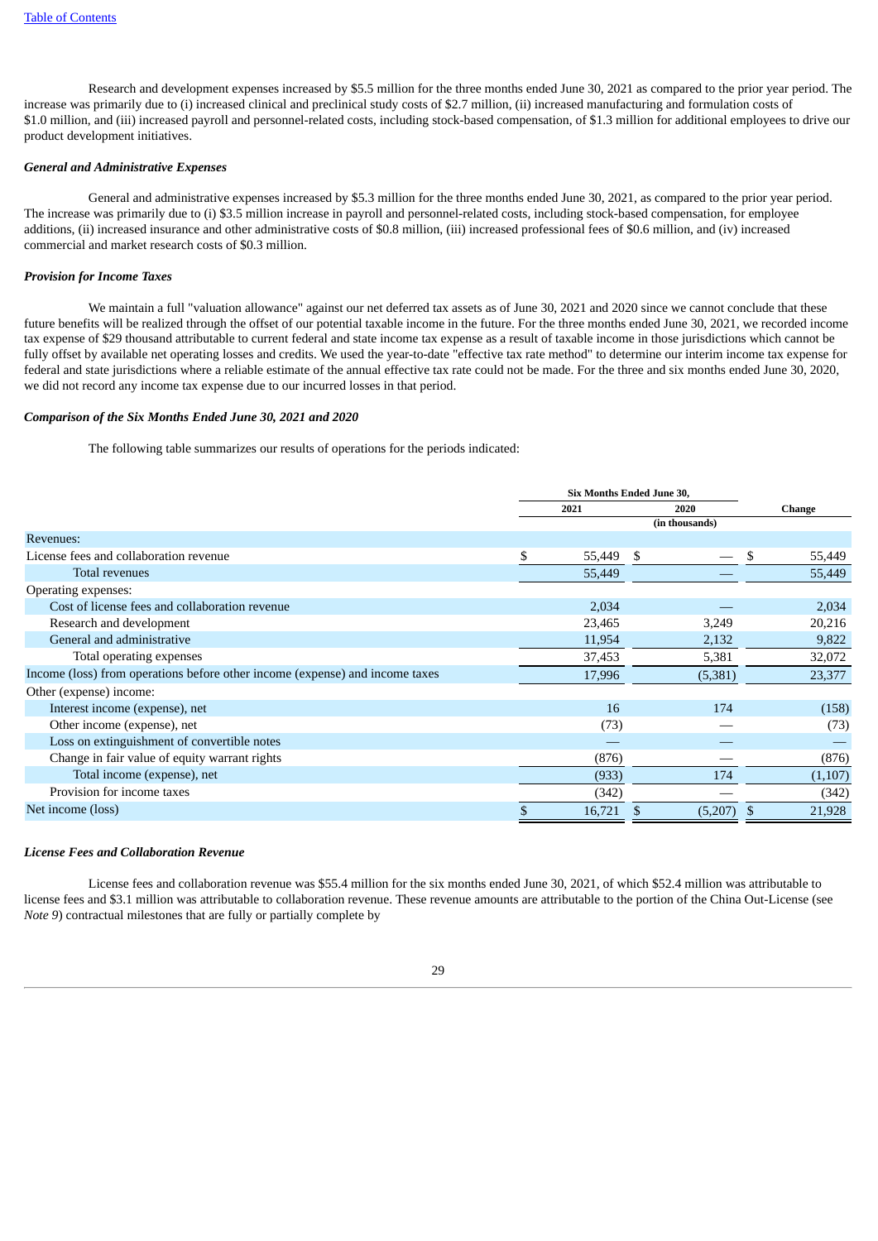Research and development expenses increased by \$5.5 million for the three months ended June 30, 2021 as compared to the prior year period. The increase was primarily due to (i) increased clinical and preclinical study costs of \$2.7 million, (ii) increased manufacturing and formulation costs of \$1.0 million, and (iii) increased payroll and personnel-related costs, including stock-based compensation, of \$1.3 million for additional employees to drive our product development initiatives.

#### *General and Administrative Expenses*

General and administrative expenses increased by \$5.3 million for the three months ended June 30, 2021, as compared to the prior year period. The increase was primarily due to (i) \$3.5 million increase in payroll and personnel-related costs, including stock-based compensation, for employee additions, (ii) increased insurance and other administrative costs of \$0.8 million, (iii) increased professional fees of \$0.6 million, and (iv) increased commercial and market research costs of \$0.3 million.

#### *Provision for Income Taxes*

We maintain a full "valuation allowance" against our net deferred tax assets as of June 30, 2021 and 2020 since we cannot conclude that these future benefits will be realized through the offset of our potential taxable income in the future. For the three months ended June 30, 2021, we recorded income tax expense of \$29 thousand attributable to current federal and state income tax expense as a result of taxable income in those jurisdictions which cannot be fully offset by available net operating losses and credits. We used the year-to-date "effective tax rate method" to determine our interim income tax expense for federal and state jurisdictions where a reliable estimate of the annual effective tax rate could not be made. For the three and six months ended June 30, 2020, we did not record any income tax expense due to our incurred losses in that period.

### *Comparison of the Six Months Ended June 30, 2021 and 2020*

The following table summarizes our results of operations for the periods indicated:

|                                                                              | Six Months Ended June 30, |        |              |         |   |               |
|------------------------------------------------------------------------------|---------------------------|--------|--------------|---------|---|---------------|
|                                                                              | 2021<br>2020              |        |              |         |   | <b>Change</b> |
|                                                                              | (in thousands)            |        |              |         |   |               |
| <b>Revenues:</b>                                                             |                           |        |              |         |   |               |
| License fees and collaboration revenue                                       | S                         | 55,449 | \$           |         | S | 55,449        |
| Total revenues                                                               |                           | 55,449 |              |         |   | 55,449        |
| Operating expenses:                                                          |                           |        |              |         |   |               |
| Cost of license fees and collaboration revenue                               |                           | 2,034  |              |         |   | 2,034         |
| Research and development                                                     |                           | 23,465 |              | 3,249   |   | 20,216        |
| General and administrative                                                   |                           | 11,954 |              | 2,132   |   | 9,822         |
| Total operating expenses                                                     |                           | 37,453 |              | 5,381   |   | 32,072        |
| Income (loss) from operations before other income (expense) and income taxes |                           | 17,996 |              | (5,381) |   | 23,377        |
| Other (expense) income:                                                      |                           |        |              |         |   |               |
| Interest income (expense), net                                               |                           | 16     |              | 174     |   | (158)         |
| Other income (expense), net                                                  |                           | (73)   |              |         |   | (73)          |
| Loss on extinguishment of convertible notes                                  |                           |        |              |         |   |               |
| Change in fair value of equity warrant rights                                |                           | (876)  |              |         |   | (876)         |
| Total income (expense), net                                                  |                           | (933)  |              | 174     |   | (1,107)       |
| Provision for income taxes                                                   |                           | (342)  |              |         |   | (342)         |
| Net income (loss)                                                            |                           | 16,721 | <sup>3</sup> | (5,207) |   | 21,928        |

#### *License Fees and Collaboration Revenue*

License fees and collaboration revenue was \$55.4 million for the six months ended June 30, 2021, of which \$52.4 million was attributable to license fees and \$3.1 million was attributable to collaboration revenue. These revenue amounts are attributable to the portion of the China Out-License (see *Note 9*) contractual milestones that are fully or partially complete by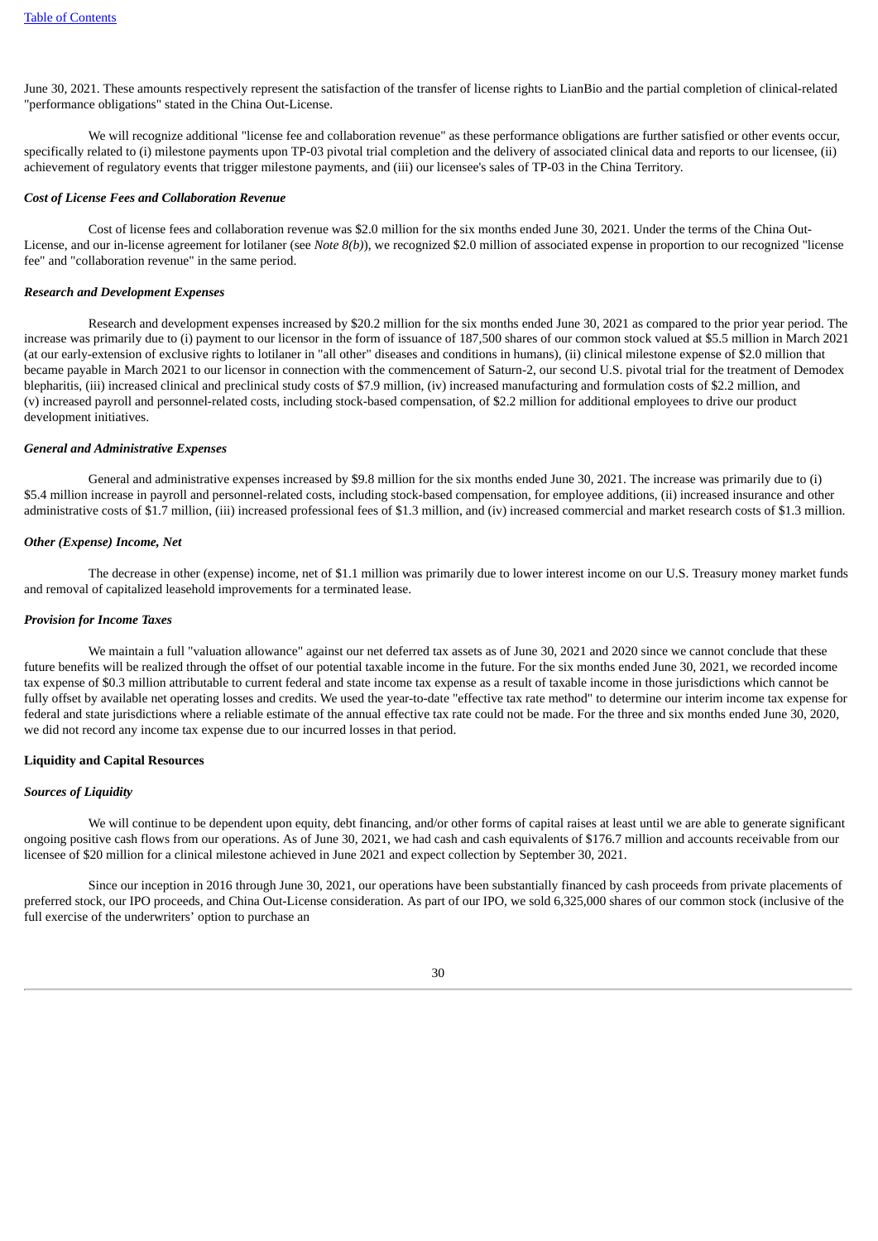June 30, 2021. These amounts respectively represent the satisfaction of the transfer of license rights to LianBio and the partial completion of clinical-related "performance obligations" stated in the China Out-License.

We will recognize additional "license fee and collaboration revenue" as these performance obligations are further satisfied or other events occur, specifically related to (i) milestone payments upon TP-03 pivotal trial completion and the delivery of associated clinical data and reports to our licensee, (ii) achievement of regulatory events that trigger milestone payments, and (iii) our licensee's sales of TP-03 in the China Territory.

#### *Cost of License Fees and Collaboration Revenue*

Cost of license fees and collaboration revenue was \$2.0 million for the six months ended June 30, 2021. Under the terms of the China Out-License, and our in-license agreement for lotilaner (see *Note 8(b)*), we recognized \$2.0 million of associated expense in proportion to our recognized "license fee" and "collaboration revenue" in the same period.

#### *Research and Development Expenses*

Research and development expenses increased by \$20.2 million for the six months ended June 30, 2021 as compared to the prior year period. The increase was primarily due to (i) payment to our licensor in the form of issuance of 187,500 shares of our common stock valued at \$5.5 million in March 2021 (at our early-extension of exclusive rights to lotilaner in "all other" diseases and conditions in humans), (ii) clinical milestone expense of \$2.0 million that became payable in March 2021 to our licensor in connection with the commencement of Saturn-2, our second U.S. pivotal trial for the treatment of Demodex blepharitis, (iii) increased clinical and preclinical study costs of \$7.9 million, (iv) increased manufacturing and formulation costs of \$2.2 million, and (v) increased payroll and personnel-related costs, including stock-based compensation, of \$2.2 million for additional employees to drive our product development initiatives.

#### *General and Administrative Expenses*

General and administrative expenses increased by \$9.8 million for the six months ended June 30, 2021. The increase was primarily due to (i) \$5.4 million increase in payroll and personnel-related costs, including stock-based compensation, for employee additions, (ii) increased insurance and other administrative costs of \$1.7 million, (iii) increased professional fees of \$1.3 million, and (iv) increased commercial and market research costs of \$1.3 million.

#### *Other (Expense) Income, Net*

The decrease in other (expense) income, net of \$1.1 million was primarily due to lower interest income on our U.S. Treasury money market funds and removal of capitalized leasehold improvements for a terminated lease.

### *Provision for Income Taxes*

We maintain a full "valuation allowance" against our net deferred tax assets as of June 30, 2021 and 2020 since we cannot conclude that these future benefits will be realized through the offset of our potential taxable income in the future. For the six months ended June 30, 2021, we recorded income tax expense of \$0.3 million attributable to current federal and state income tax expense as a result of taxable income in those jurisdictions which cannot be fully offset by available net operating losses and credits. We used the year-to-date "effective tax rate method" to determine our interim income tax expense for federal and state jurisdictions where a reliable estimate of the annual effective tax rate could not be made. For the three and six months ended June 30, 2020, we did not record any income tax expense due to our incurred losses in that period.

#### **Liquidity and Capital Resources**

#### *Sources of Liquidity*

We will continue to be dependent upon equity, debt financing, and/or other forms of capital raises at least until we are able to generate significant ongoing positive cash flows from our operations. As of June 30, 2021, we had cash and cash equivalents of \$176.7 million and accounts receivable from our licensee of \$20 million for a clinical milestone achieved in June 2021 and expect collection by September 30, 2021.

Since our inception in 2016 through June 30, 2021, our operations have been substantially financed by cash proceeds from private placements of preferred stock, our IPO proceeds, and China Out-License consideration. As part of our IPO, we sold 6,325,000 shares of our common stock (inclusive of the full exercise of the underwriters' option to purchase an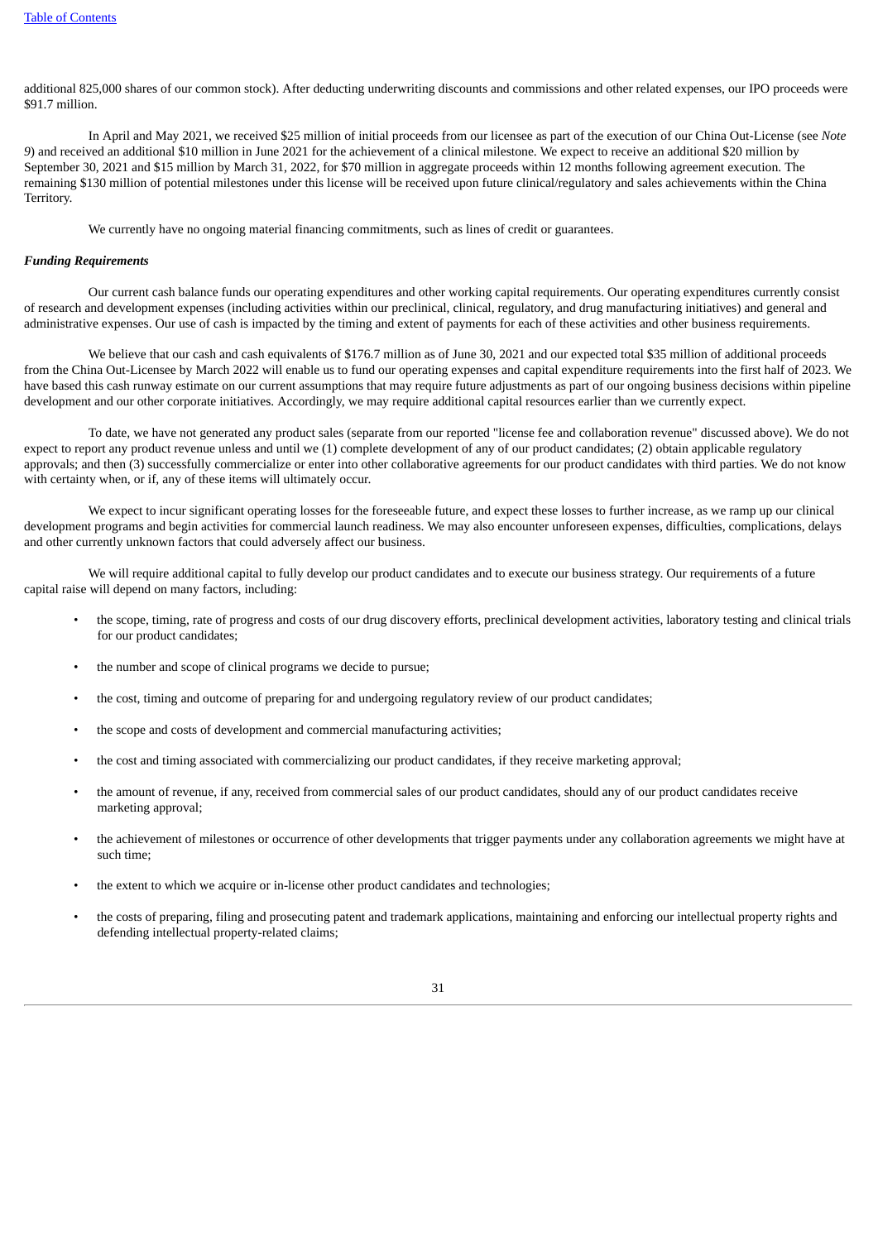additional 825,000 shares of our common stock). After deducting underwriting discounts and commissions and other related expenses, our IPO proceeds were \$91.7 million.

In April and May 2021, we received \$25 million of initial proceeds from our licensee as part of the execution of our China Out-License (see *Note 9*) and received an additional \$10 million in June 2021 for the achievement of a clinical milestone. We expect to receive an additional \$20 million by September 30, 2021 and \$15 million by March 31, 2022, for \$70 million in aggregate proceeds within 12 months following agreement execution. The remaining \$130 million of potential milestones under this license will be received upon future clinical/regulatory and sales achievements within the China Territory.

We currently have no ongoing material financing commitments, such as lines of credit or guarantees.

#### *Funding Requirements*

Our current cash balance funds our operating expenditures and other working capital requirements. Our operating expenditures currently consist of research and development expenses (including activities within our preclinical, clinical, regulatory, and drug manufacturing initiatives) and general and administrative expenses. Our use of cash is impacted by the timing and extent of payments for each of these activities and other business requirements.

We believe that our cash and cash equivalents of \$176.7 million as of June 30, 2021 and our expected total \$35 million of additional proceeds from the China Out-Licensee by March 2022 will enable us to fund our operating expenses and capital expenditure requirements into the first half of 2023. We have based this cash runway estimate on our current assumptions that may require future adjustments as part of our ongoing business decisions within pipeline development and our other corporate initiatives. Accordingly, we may require additional capital resources earlier than we currently expect.

To date, we have not generated any product sales (separate from our reported "license fee and collaboration revenue" discussed above). We do not expect to report any product revenue unless and until we (1) complete development of any of our product candidates; (2) obtain applicable regulatory approvals; and then (3) successfully commercialize or enter into other collaborative agreements for our product candidates with third parties. We do not know with certainty when, or if, any of these items will ultimately occur.

We expect to incur significant operating losses for the foreseeable future, and expect these losses to further increase, as we ramp up our clinical development programs and begin activities for commercial launch readiness. We may also encounter unforeseen expenses, difficulties, complications, delays and other currently unknown factors that could adversely affect our business.

We will require additional capital to fully develop our product candidates and to execute our business strategy. Our requirements of a future capital raise will depend on many factors, including:

- the scope, timing, rate of progress and costs of our drug discovery efforts, preclinical development activities, laboratory testing and clinical trials for our product candidates;
- the number and scope of clinical programs we decide to pursue;
- the cost, timing and outcome of preparing for and undergoing regulatory review of our product candidates;
- the scope and costs of development and commercial manufacturing activities;
- the cost and timing associated with commercializing our product candidates, if they receive marketing approval;
- the amount of revenue, if any, received from commercial sales of our product candidates, should any of our product candidates receive marketing approval;
- the achievement of milestones or occurrence of other developments that trigger payments under any collaboration agreements we might have at such time;
- the extent to which we acquire or in-license other product candidates and technologies;
- the costs of preparing, filing and prosecuting patent and trademark applications, maintaining and enforcing our intellectual property rights and defending intellectual property-related claims;

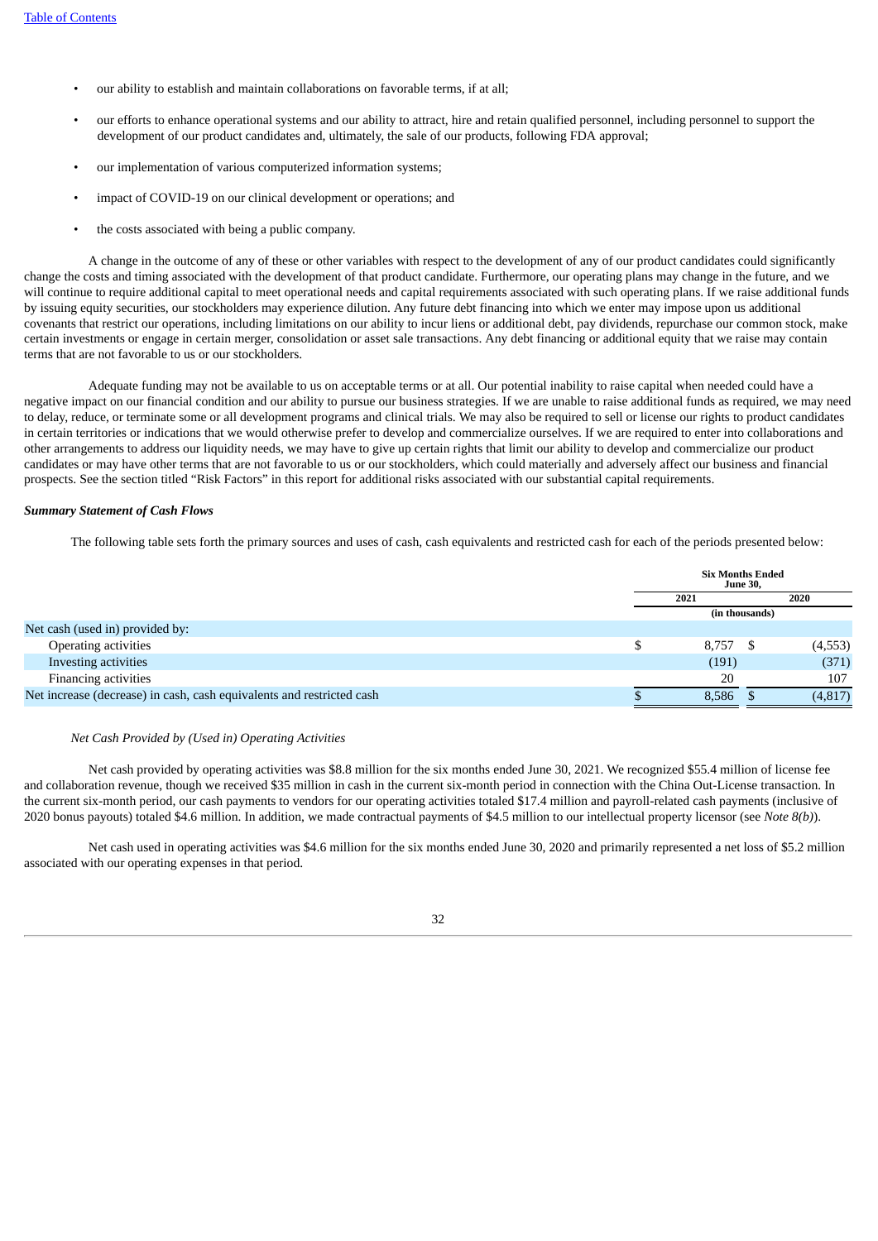- our ability to establish and maintain collaborations on favorable terms, if at all;
- our efforts to enhance operational systems and our ability to attract, hire and retain qualified personnel, including personnel to support the development of our product candidates and, ultimately, the sale of our products, following FDA approval;
- our implementation of various computerized information systems;
- impact of COVID-19 on our clinical development or operations; and
- the costs associated with being a public company.

A change in the outcome of any of these or other variables with respect to the development of any of our product candidates could significantly change the costs and timing associated with the development of that product candidate. Furthermore, our operating plans may change in the future, and we will continue to require additional capital to meet operational needs and capital requirements associated with such operating plans. If we raise additional funds by issuing equity securities, our stockholders may experience dilution. Any future debt financing into which we enter may impose upon us additional covenants that restrict our operations, including limitations on our ability to incur liens or additional debt, pay dividends, repurchase our common stock, make certain investments or engage in certain merger, consolidation or asset sale transactions. Any debt financing or additional equity that we raise may contain terms that are not favorable to us or our stockholders.

Adequate funding may not be available to us on acceptable terms or at all. Our potential inability to raise capital when needed could have a negative impact on our financial condition and our ability to pursue our business strategies. If we are unable to raise additional funds as required, we may need to delay, reduce, or terminate some or all development programs and clinical trials. We may also be required to sell or license our rights to product candidates in certain territories or indications that we would otherwise prefer to develop and commercialize ourselves. If we are required to enter into collaborations and other arrangements to address our liquidity needs, we may have to give up certain rights that limit our ability to develop and commercialize our product candidates or may have other terms that are not favorable to us or our stockholders, which could materially and adversely affect our business and financial prospects. See the section titled "Risk Factors" in this report for additional risks associated with our substantial capital requirements.

# *Summary Statement of Cash Flows*

The following table sets forth the primary sources and uses of cash, cash equivalents and restricted cash for each of the periods presented below:

|                                                                       |   | <b>Six Months Ended</b><br><b>June 30,</b> |      |          |  |
|-----------------------------------------------------------------------|---|--------------------------------------------|------|----------|--|
|                                                                       |   | 2021                                       | 2020 |          |  |
|                                                                       |   | (in thousands)                             |      |          |  |
| Net cash (used in) provided by:                                       |   |                                            |      |          |  |
| Operating activities                                                  | J | 8,757<br>- \$                              |      | (4,553)  |  |
| Investing activities                                                  |   | (191)                                      |      | (371)    |  |
| <b>Financing activities</b>                                           |   | 20                                         |      | 107      |  |
| Net increase (decrease) in cash, cash equivalents and restricted cash |   | 8,586                                      |      | (4, 817) |  |
|                                                                       |   |                                            |      |          |  |

#### *Net Cash Provided by (Used in) Operating Activities*

Net cash provided by operating activities was \$8.8 million for the six months ended June 30, 2021. We recognized \$55.4 million of license fee and collaboration revenue, though we received \$35 million in cash in the current six-month period in connection with the China Out-License transaction. In the current six-month period, our cash payments to vendors for our operating activities totaled \$17.4 million and payroll-related cash payments (inclusive of 2020 bonus payouts) totaled \$4.6 million. In addition, we made contractual payments of \$4.5 million to our intellectual property licensor (see *Note 8(b)*).

Net cash used in operating activities was \$4.6 million for the six months ended June 30, 2020 and primarily represented a net loss of \$5.2 million associated with our operating expenses in that period.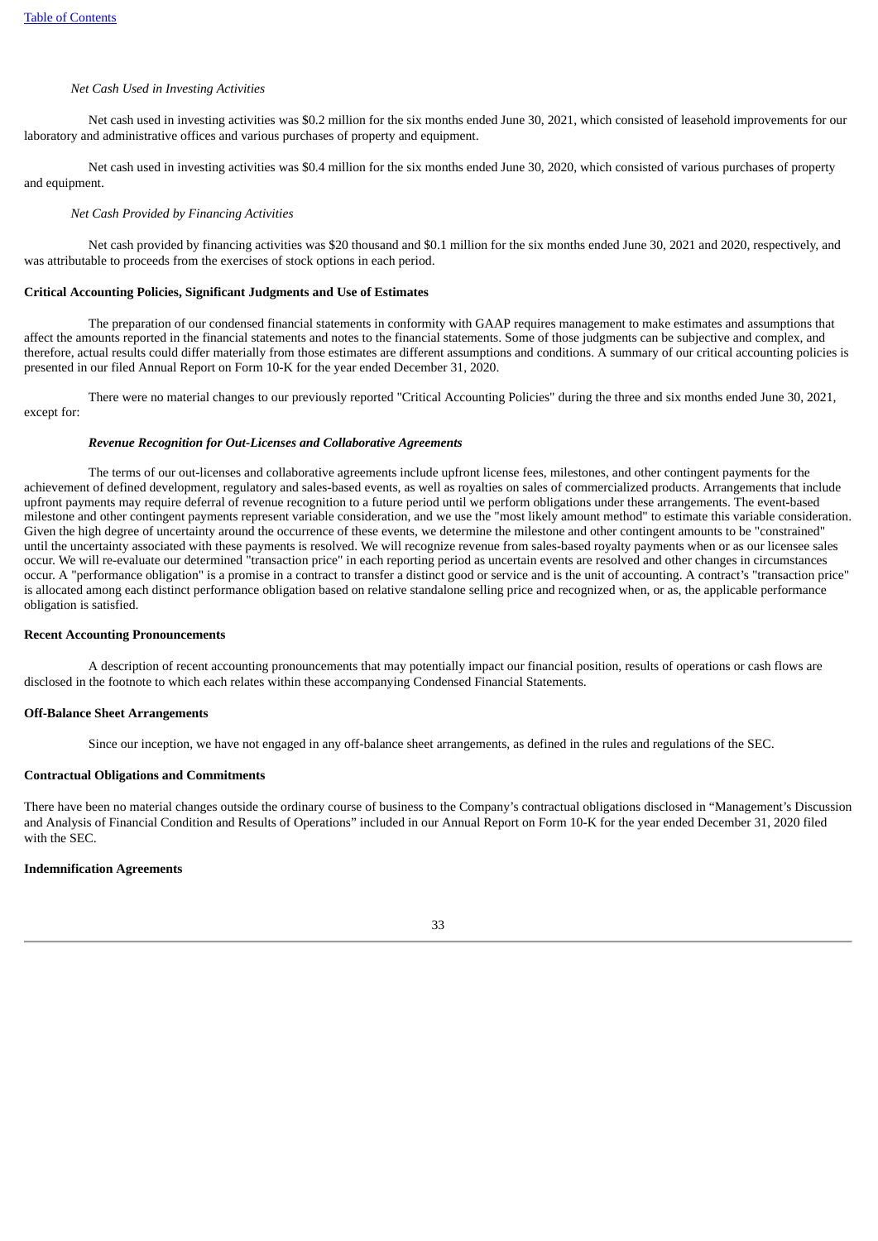# *Net Cash Used in Investing Activities*

Net cash used in investing activities was \$0.2 million for the six months ended June 30, 2021, which consisted of leasehold improvements for our laboratory and administrative offices and various purchases of property and equipment.

Net cash used in investing activities was \$0.4 million for the six months ended June 30, 2020, which consisted of various purchases of property and equipment.

#### *Net Cash Provided by Financing Activities*

Net cash provided by financing activities was \$20 thousand and \$0.1 million for the six months ended June 30, 2021 and 2020, respectively, and was attributable to proceeds from the exercises of stock options in each period.

#### **Critical Accounting Policies, Significant Judgments and Use of Estimates**

The preparation of our condensed financial statements in conformity with GAAP requires management to make estimates and assumptions that affect the amounts reported in the financial statements and notes to the financial statements. Some of those judgments can be subjective and complex, and therefore, actual results could differ materially from those estimates are different assumptions and conditions. A summary of our critical accounting policies is presented in our filed Annual Report on Form 10-K for the year ended December 31, 2020.

There were no material changes to our previously reported "Critical Accounting Policies" during the three and six months ended June 30, 2021, except for:

### *Revenue Recognition for Out-Licenses and Collaborative Agreements*

The terms of our out-licenses and collaborative agreements include upfront license fees, milestones, and other contingent payments for the achievement of defined development, regulatory and sales-based events, as well as royalties on sales of commercialized products. Arrangements that include upfront payments may require deferral of revenue recognition to a future period until we perform obligations under these arrangements. The event-based milestone and other contingent payments represent variable consideration, and we use the "most likely amount method" to estimate this variable consideration. Given the high degree of uncertainty around the occurrence of these events, we determine the milestone and other contingent amounts to be "constrained" until the uncertainty associated with these payments is resolved. We will recognize revenue from sales-based royalty payments when or as our licensee sales occur. We will re-evaluate our determined "transaction price" in each reporting period as uncertain events are resolved and other changes in circumstances occur. A "performance obligation" is a promise in a contract to transfer a distinct good or service and is the unit of accounting. A contract's "transaction price" is allocated among each distinct performance obligation based on relative standalone selling price and recognized when, or as, the applicable performance obligation is satisfied.

#### **Recent Accounting Pronouncements**

A description of recent accounting pronouncements that may potentially impact our financial position, results of operations or cash flows are disclosed in the footnote to which each relates within these accompanying Condensed Financial Statements.

#### **Off-Balance Sheet Arrangements**

Since our inception, we have not engaged in any off-balance sheet arrangements, as defined in the rules and regulations of the SEC.

### **Contractual Obligations and Commitments**

There have been no material changes outside the ordinary course of business to the Company's contractual obligations disclosed in "Management's Discussion and Analysis of Financial Condition and Results of Operations" included in our Annual Report on Form 10-K for the year ended December 31, 2020 filed with the SEC.

# **Indemnification Agreements**

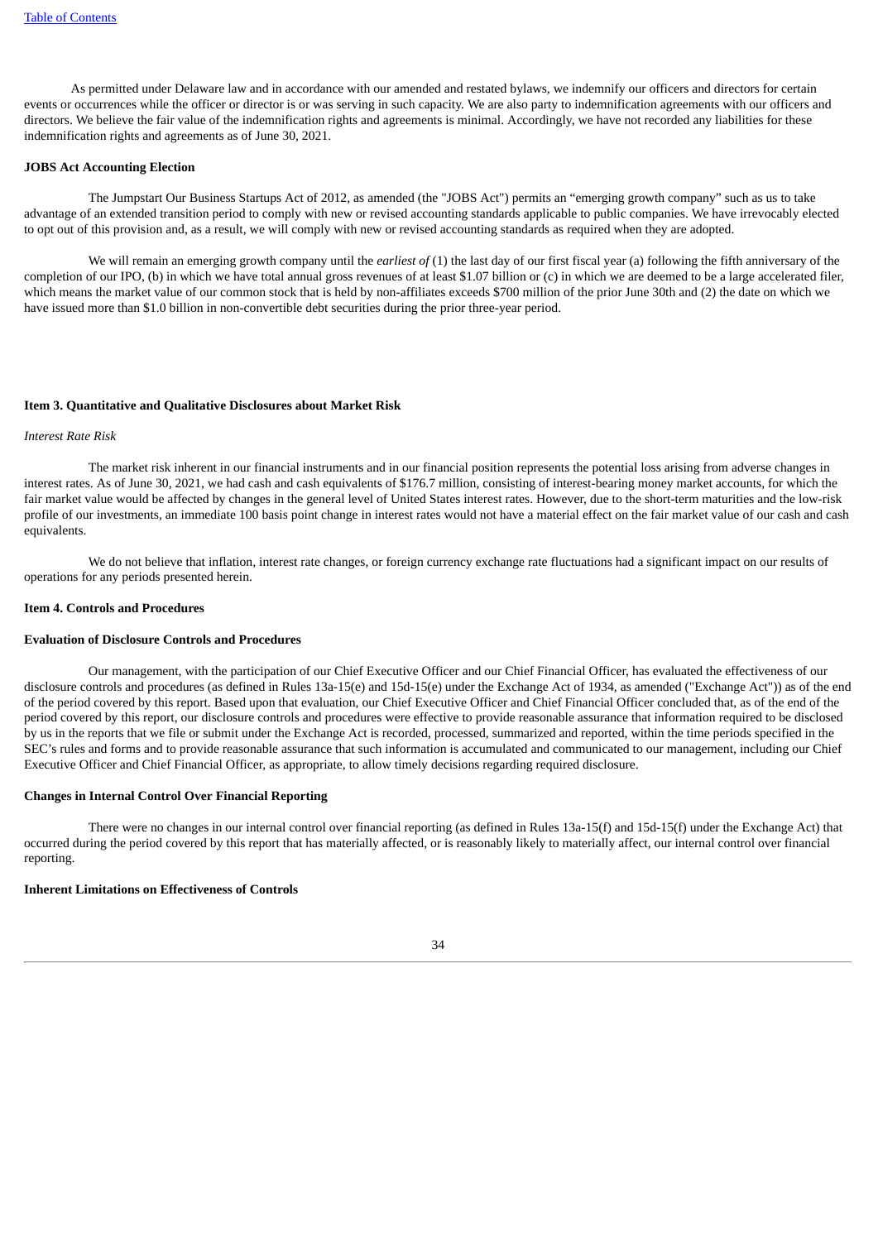As permitted under Delaware law and in accordance with our amended and restated bylaws, we indemnify our officers and directors for certain events or occurrences while the officer or director is or was serving in such capacity. We are also party to indemnification agreements with our officers and directors. We believe the fair value of the indemnification rights and agreements is minimal. Accordingly, we have not recorded any liabilities for these indemnification rights and agreements as of June 30, 2021.

#### **JOBS Act Accounting Election**

The Jumpstart Our Business Startups Act of 2012, as amended (the "JOBS Act") permits an "emerging growth company" such as us to take advantage of an extended transition period to comply with new or revised accounting standards applicable to public companies. We have irrevocably elected to opt out of this provision and, as a result, we will comply with new or revised accounting standards as required when they are adopted.

We will remain an emerging growth company until the *earliest of* (1) the last day of our first fiscal year (a) following the fifth anniversary of the completion of our IPO, (b) in which we have total annual gross revenues of at least \$1.07 billion or (c) in which we are deemed to be a large accelerated filer, which means the market value of our common stock that is held by non-affiliates exceeds \$700 million of the prior June 30th and (2) the date on which we have issued more than \$1.0 billion in non-convertible debt securities during the prior three-year period.

#### <span id="page-35-0"></span>**Item 3. Quantitative and Qualitative Disclosures about Market Risk**

#### *Interest Rate Risk*

The market risk inherent in our financial instruments and in our financial position represents the potential loss arising from adverse changes in interest rates. As of June 30, 2021, we had cash and cash equivalents of \$176.7 million, consisting of interest-bearing money market accounts, for which the fair market value would be affected by changes in the general level of United States interest rates. However, due to the short-term maturities and the low-risk profile of our investments, an immediate 100 basis point change in interest rates would not have a material effect on the fair market value of our cash and cash equivalents.

We do not believe that inflation, interest rate changes, or foreign currency exchange rate fluctuations had a significant impact on our results of operations for any periods presented herein.

#### <span id="page-35-1"></span>**Item 4. Controls and Procedures**

#### **Evaluation of Disclosure Controls and Procedures**

Our management, with the participation of our Chief Executive Officer and our Chief Financial Officer, has evaluated the effectiveness of our disclosure controls and procedures (as defined in Rules 13a-15(e) and 15d-15(e) under the Exchange Act of 1934, as amended ("Exchange Act")) as of the end of the period covered by this report. Based upon that evaluation, our Chief Executive Officer and Chief Financial Officer concluded that, as of the end of the period covered by this report, our disclosure controls and procedures were effective to provide reasonable assurance that information required to be disclosed by us in the reports that we file or submit under the Exchange Act is recorded, processed, summarized and reported, within the time periods specified in the SEC's rules and forms and to provide reasonable assurance that such information is accumulated and communicated to our management, including our Chief Executive Officer and Chief Financial Officer, as appropriate, to allow timely decisions regarding required disclosure.

#### **Changes in Internal Control Over Financial Reporting**

There were no changes in our internal control over financial reporting (as defined in Rules 13a-15(f) and 15d-15(f) under the Exchange Act) that occurred during the period covered by this report that has materially affected, or is reasonably likely to materially affect, our internal control over financial reporting.

#### **Inherent Limitations on Effectiveness of Controls**

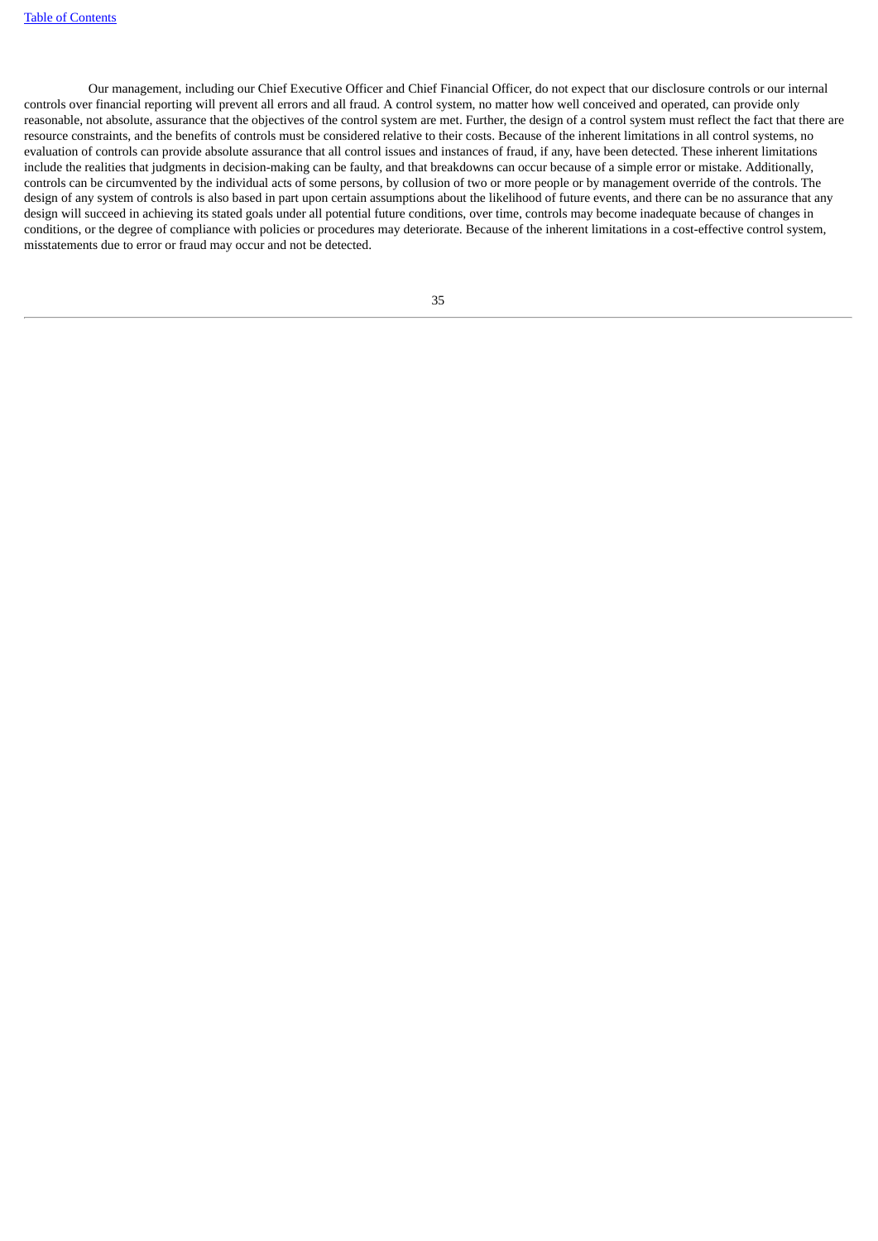<span id="page-36-0"></span>Our management, including our Chief Executive Officer and Chief Financial Officer, do not expect that our disclosure controls or our internal controls over financial reporting will prevent all errors and all fraud. A control system, no matter how well conceived and operated, can provide only reasonable, not absolute, assurance that the objectives of the control system are met. Further, the design of a control system must reflect the fact that there are resource constraints, and the benefits of controls must be considered relative to their costs. Because of the inherent limitations in all control systems, no evaluation of controls can provide absolute assurance that all control issues and instances of fraud, if any, have been detected. These inherent limitations include the realities that judgments in decision-making can be faulty, and that breakdowns can occur because of a simple error or mistake. Additionally, controls can be circumvented by the individual acts of some persons, by collusion of two or more people or by management override of the controls. The design of any system of controls is also based in part upon certain assumptions about the likelihood of future events, and there can be no assurance that any design will succeed in achieving its stated goals under all potential future conditions, over time, controls may become inadequate because of changes in conditions, or the degree of compliance with policies or procedures may deteriorate. Because of the inherent limitations in a cost-effective control system, misstatements due to error or fraud may occur and not be detected.

35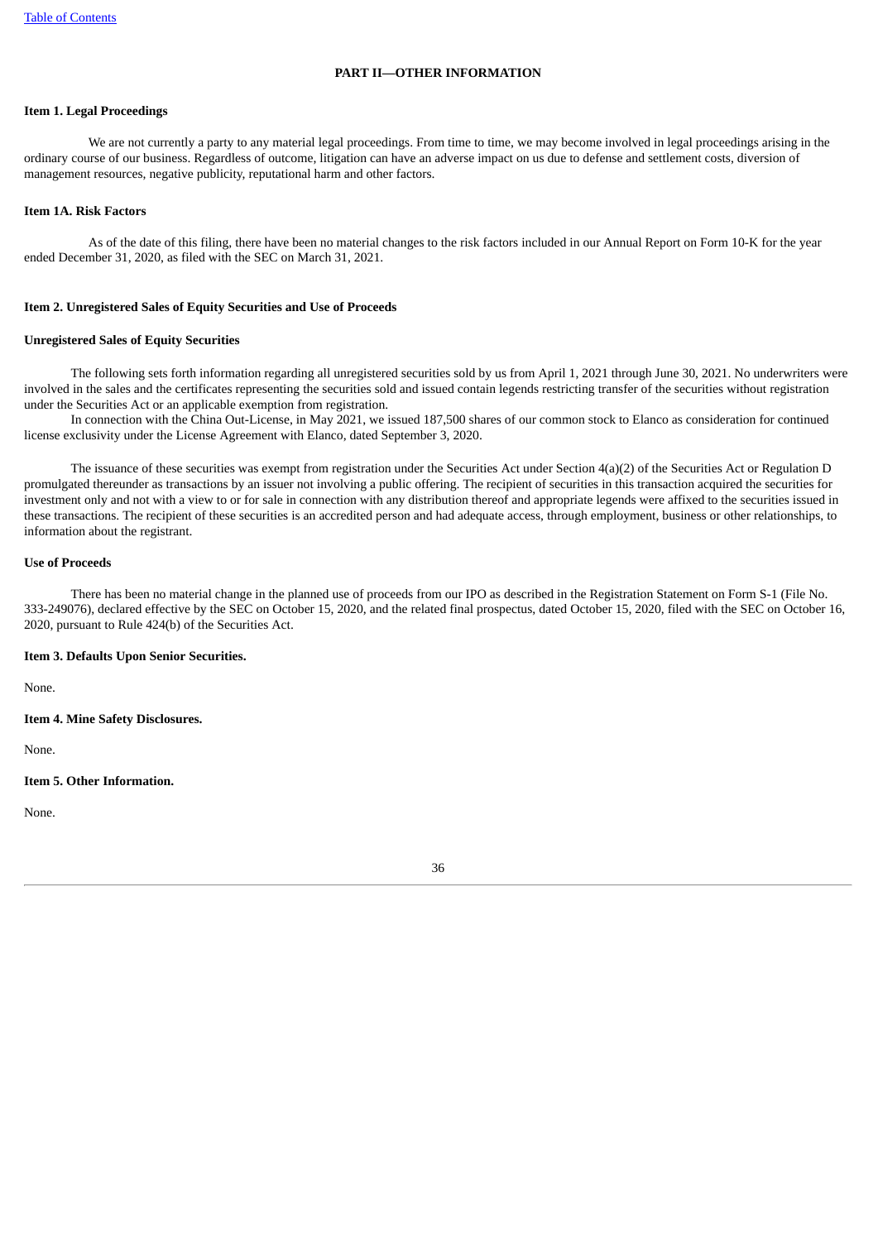# **PART II—OTHER INFORMATION**

# <span id="page-37-0"></span>**Item 1. Legal Proceedings**

We are not currently a party to any material legal proceedings. From time to time, we may become involved in legal proceedings arising in the ordinary course of our business. Regardless of outcome, litigation can have an adverse impact on us due to defense and settlement costs, diversion of management resources, negative publicity, reputational harm and other factors.

## <span id="page-37-1"></span>**Item 1A. Risk Factors**

As of the date of this filing, there have been no material changes to the risk factors included in our Annual Report on Form 10-K for the year ended December 31, 2020, as filed with the SEC on March 31, 2021.

### <span id="page-37-2"></span>**Item 2. Unregistered Sales of Equity Securities and Use of Proceeds**

#### **Unregistered Sales of Equity Securities**

The following sets forth information regarding all unregistered securities sold by us from April 1, 2021 through June 30, 2021. No underwriters were involved in the sales and the certificates representing the securities sold and issued contain legends restricting transfer of the securities without registration under the Securities Act or an applicable exemption from registration.

In connection with the China Out-License, in May 2021, we issued 187,500 shares of our common stock to Elanco as consideration for continued license exclusivity under the License Agreement with Elanco, dated September 3, 2020.

The issuance of these securities was exempt from registration under the Securities Act under Section 4(a)(2) of the Securities Act or Regulation D promulgated thereunder as transactions by an issuer not involving a public offering. The recipient of securities in this transaction acquired the securities for investment only and not with a view to or for sale in connection with any distribution thereof and appropriate legends were affixed to the securities issued in these transactions. The recipient of these securities is an accredited person and had adequate access, through employment, business or other relationships, to information about the registrant.

#### **Use of Proceeds**

There has been no material change in the planned use of proceeds from our IPO as described in the Registration Statement on Form S-1 (File No. 333-249076), declared effective by the SEC on October 15, 2020, and the related final prospectus, dated October 15, 2020, filed with the SEC on October 16, 2020, pursuant to Rule 424(b) of the Securities Act.

#### <span id="page-37-3"></span>**Item 3. Defaults Upon Senior Securities.**

<span id="page-37-4"></span>None.

# **Item 4. Mine Safety Disclosures.**

<span id="page-37-5"></span>None.

# **Item 5. Other Information.**

<span id="page-37-6"></span>None.

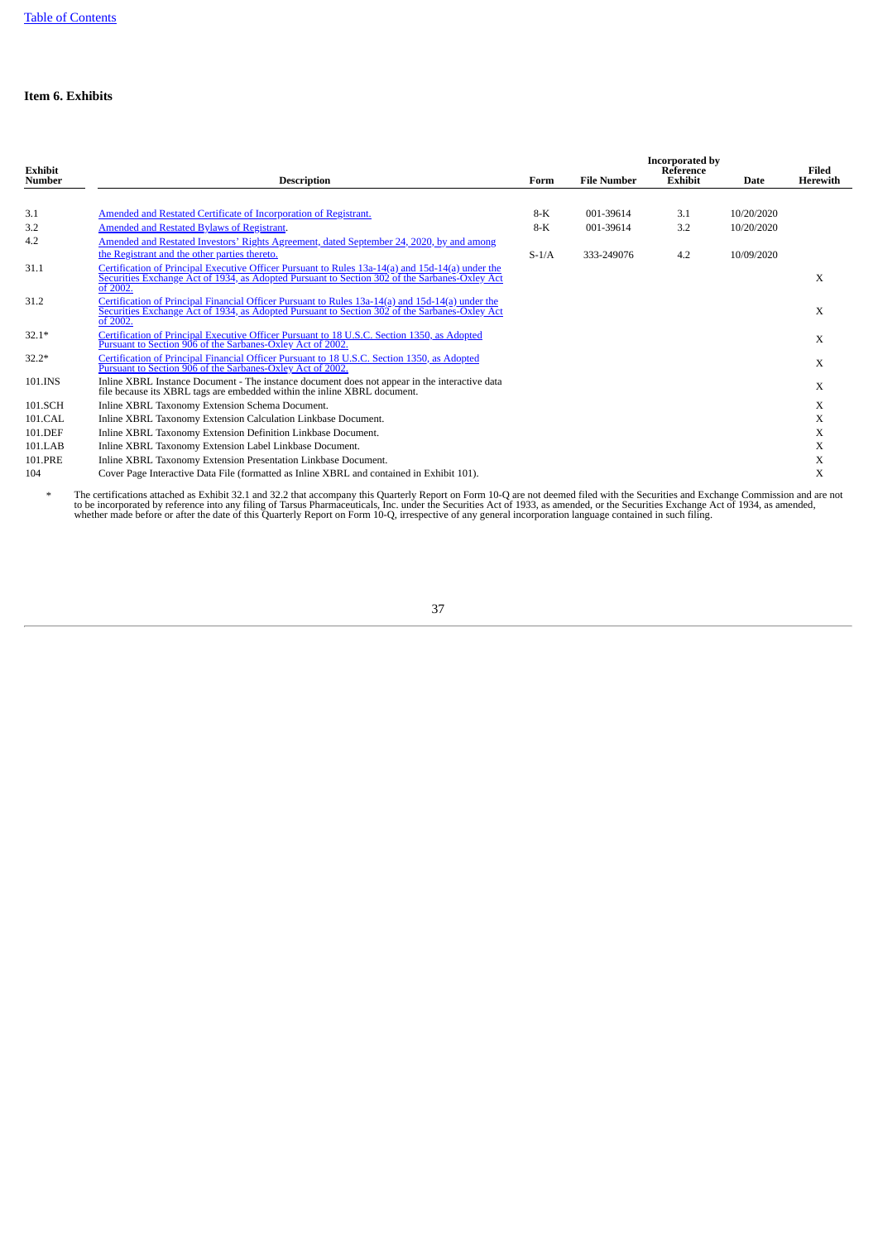# **Item 6. Exhibits**

| Exhibit<br><b>Number</b> | <b>Description</b>                                                                                                                                                                                            | Form    | <b>File Number</b> | <b>Incorporated by</b><br>Reference<br>Exhibit | Date       | Filed<br>Herewith |
|--------------------------|---------------------------------------------------------------------------------------------------------------------------------------------------------------------------------------------------------------|---------|--------------------|------------------------------------------------|------------|-------------------|
|                          |                                                                                                                                                                                                               |         |                    |                                                |            |                   |
| 3.1                      | Amended and Restated Certificate of Incorporation of Registrant.                                                                                                                                              | $8-K$   | 001-39614          | 3.1                                            | 10/20/2020 |                   |
| 3.2                      | Amended and Restated Bylaws of Registrant.                                                                                                                                                                    | $8-K$   | 001-39614          | 3.2                                            | 10/20/2020 |                   |
| 4.2                      | Amended and Restated Investors' Rights Agreement, dated September 24, 2020, by and among                                                                                                                      |         |                    |                                                |            |                   |
|                          | the Registrant and the other parties thereto.                                                                                                                                                                 | $S-1/A$ | 333-249076         | 4.2                                            | 10/09/2020 |                   |
| 31.1                     | Certification of Principal Executive Officer Pursuant to Rules 13a-14(a) and 15d-14(a) under the<br>Securities Exchange Act of 1934, as Adopted Pursuant to Section 302 of the Sarbanes-Oxlev Act<br>of 2002. |         |                    |                                                |            | X                 |
| 31.2                     | Certification of Principal Financial Officer Pursuant to Rules 13a-14(a) and 15d-14(a) under the<br>Securities Exchange Act of 1934, as Adopted Pursuant to Section 302 of the Sarbanes-Oxley Act<br>of 2002. |         |                    |                                                |            | X                 |
| $32.1*$                  | Certification of Principal Executive Officer Pursuant to 18 U.S.C. Section 1350, as Adopted<br>Pursuant to Section 906 of the Sarbanes-Oxley Act of 2002.                                                     |         |                    |                                                |            | X                 |
| $32.2*$                  | Certification of Principal Financial Officer Pursuant to 18 U.S.C. Section 1350, as Adopted<br>Pursuant to Section 906 of the Sarbanes-Oxley Act of 2002.                                                     |         |                    |                                                |            | X                 |
| 101.INS                  | Inline XBRL Instance Document - The instance document does not appear in the interactive data<br>file because its XBRL tags are embedded within the inline XBRL document.                                     |         |                    |                                                |            | X                 |
| 101.SCH                  | Inline XBRL Taxonomy Extension Schema Document.                                                                                                                                                               |         |                    |                                                |            | X                 |
| 101.CAL                  | Inline XBRL Taxonomy Extension Calculation Linkbase Document.                                                                                                                                                 |         |                    |                                                |            | X                 |
| 101.DEF                  | Inline XBRL Taxonomy Extension Definition Linkbase Document.                                                                                                                                                  |         |                    |                                                |            | X                 |
| 101.LAB                  | Inline XBRL Taxonomy Extension Label Linkbase Document.                                                                                                                                                       |         |                    |                                                |            | X                 |
| 101.PRE                  | Inline XBRL Taxonomy Extension Presentation Linkbase Document.                                                                                                                                                |         |                    |                                                |            | X                 |
| 104                      | Cover Page Interactive Data File (formatted as Inline XBRL and contained in Exhibit 101).                                                                                                                     |         |                    |                                                |            | X                 |

<span id="page-38-0"></span>Fhe certifications attached as Exhibit 32.1 and 32.2 that accompany this Quarterly Report on Form 10-Q are not deemed filed with the Securities and Exchange Commission and are not to be incorporated by reference into any f

# 37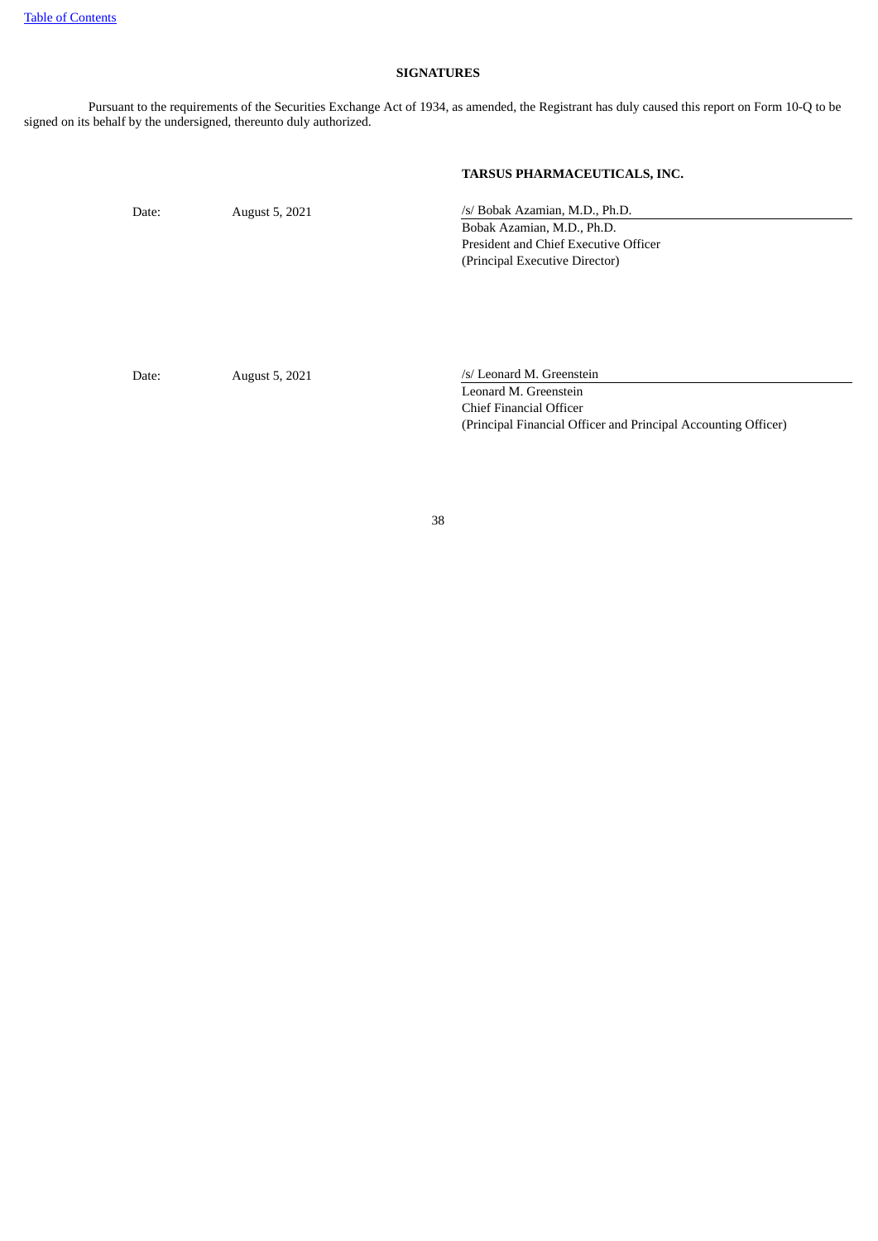# **SIGNATURES**

Pursuant to the requirements of the Securities Exchange Act of 1934, as amended, the Registrant has duly caused this report on Form 10-Q to be signed on its behalf by the undersigned, thereunto duly authorized.

# **TARSUS PHARMACEUTICALS, INC.**

Date: August 5, 2021

/s/ Bobak Azamian, M.D., Ph.D. Bobak Azamian, M.D., Ph.D. President and Chief Executive Officer (Principal Executive Director)

Date: August 5, 2021 /s/ Leonard M. Greenstein

Leonard M. Greenstein Chief Financial Officer (Principal Financial Officer and Principal Accounting Officer)

38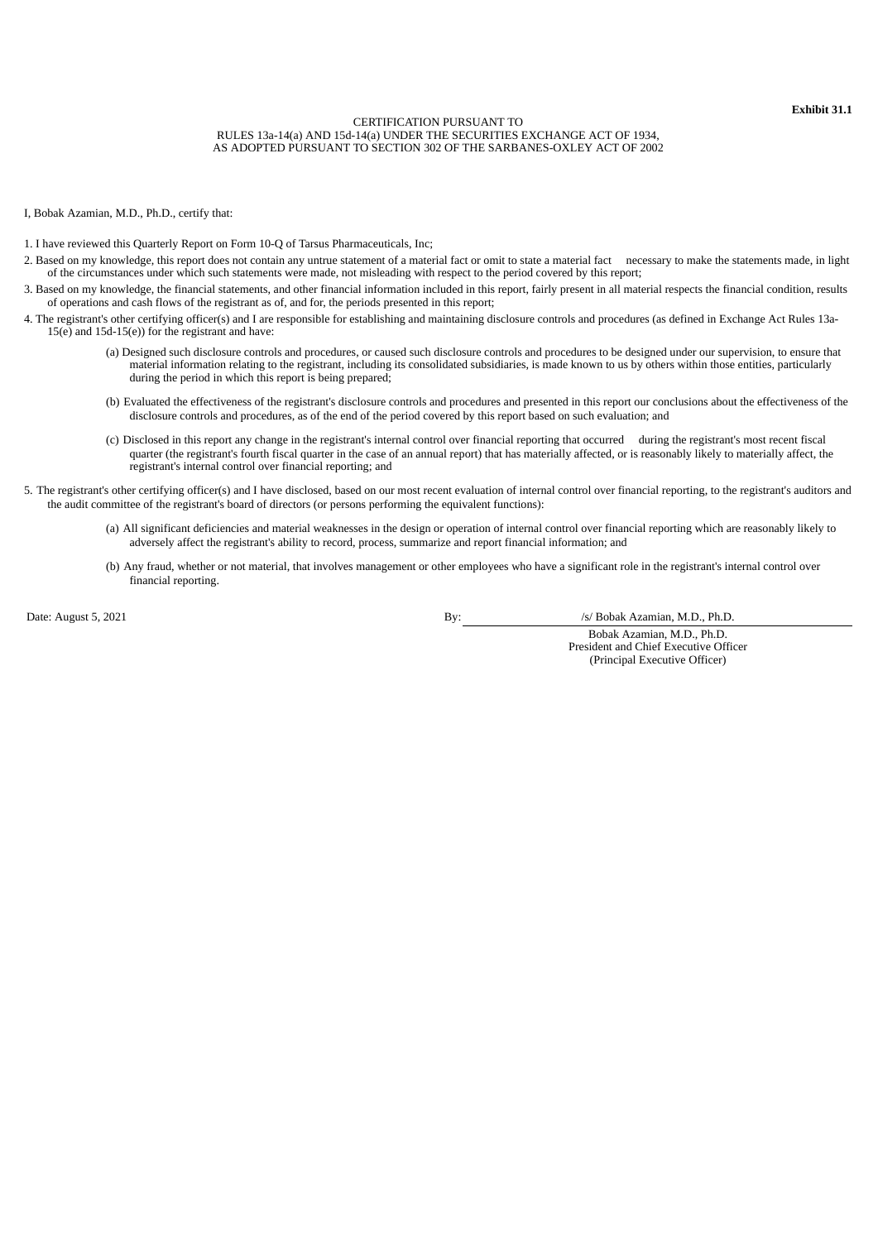**Exhibit 31.1**

#### CERTIFICATION PURSUANT TO RULES 13a-14(a) AND 15d-14(a) UNDER THE SECURITIES EXCHANGE ACT OF 1934, AS ADOPTED PURSUANT TO SECTION 302 OF THE SARBANES-OXLEY ACT OF 2002

<span id="page-40-0"></span>I, Bobak Azamian, M.D., Ph.D., certify that:

1. I have reviewed this Quarterly Report on Form 10-Q of Tarsus Pharmaceuticals, Inc;

- 2. Based on my knowledge, this report does not contain any untrue statement of a material fact or omit to state a material fact necessary to make the statements made, in light of the circumstances under which such statements were made, not misleading with respect to the period covered by this report;
- 3. Based on my knowledge, the financial statements, and other financial information included in this report, fairly present in all material respects the financial condition, results of operations and cash flows of the registrant as of, and for, the periods presented in this report;
- 4. The registrant's other certifying officer(s) and I are responsible for establishing and maintaining disclosure controls and procedures (as defined in Exchange Act Rules 13a-15(e) and 15d-15(e)) for the registrant and have:
	- (a) Designed such disclosure controls and procedures, or caused such disclosure controls and procedures to be designed under our supervision, to ensure that material information relating to the registrant, including its consolidated subsidiaries, is made known to us by others within those entities, particularly during the period in which this report is being prepared;
	- (b) Evaluated the effectiveness of the registrant's disclosure controls and procedures and presented in this report our conclusions about the effectiveness of the disclosure controls and procedures, as of the end of the period covered by this report based on such evaluation; and
	- (c) Disclosed in this report any change in the registrant's internal control over financial reporting that occurred during the registrant's most recent fiscal quarter (the registrant's fourth fiscal quarter in the case of an annual report) that has materially affected, or is reasonably likely to materially affect, the registrant's internal control over financial reporting; and
- 5. The registrant's other certifying officer(s) and I have disclosed, based on our most recent evaluation of internal control over financial reporting, to the registrant's auditors and the audit committee of the registrant's board of directors (or persons performing the equivalent functions):
	- (a) All significant deficiencies and material weaknesses in the design or operation of internal control over financial reporting which are reasonably likely to adversely affect the registrant's ability to record, process, summarize and report financial information; and
	- (b) Any fraud, whether or not material, that involves management or other employees who have a significant role in the registrant's internal control over financial reporting.

Date: August 5, 2021 By: /s/ Bobak Azamian, M.D., Ph.D.

Bobak Azamian, M.D., Ph.D. President and Chief Executive Officer (Principal Executive Officer)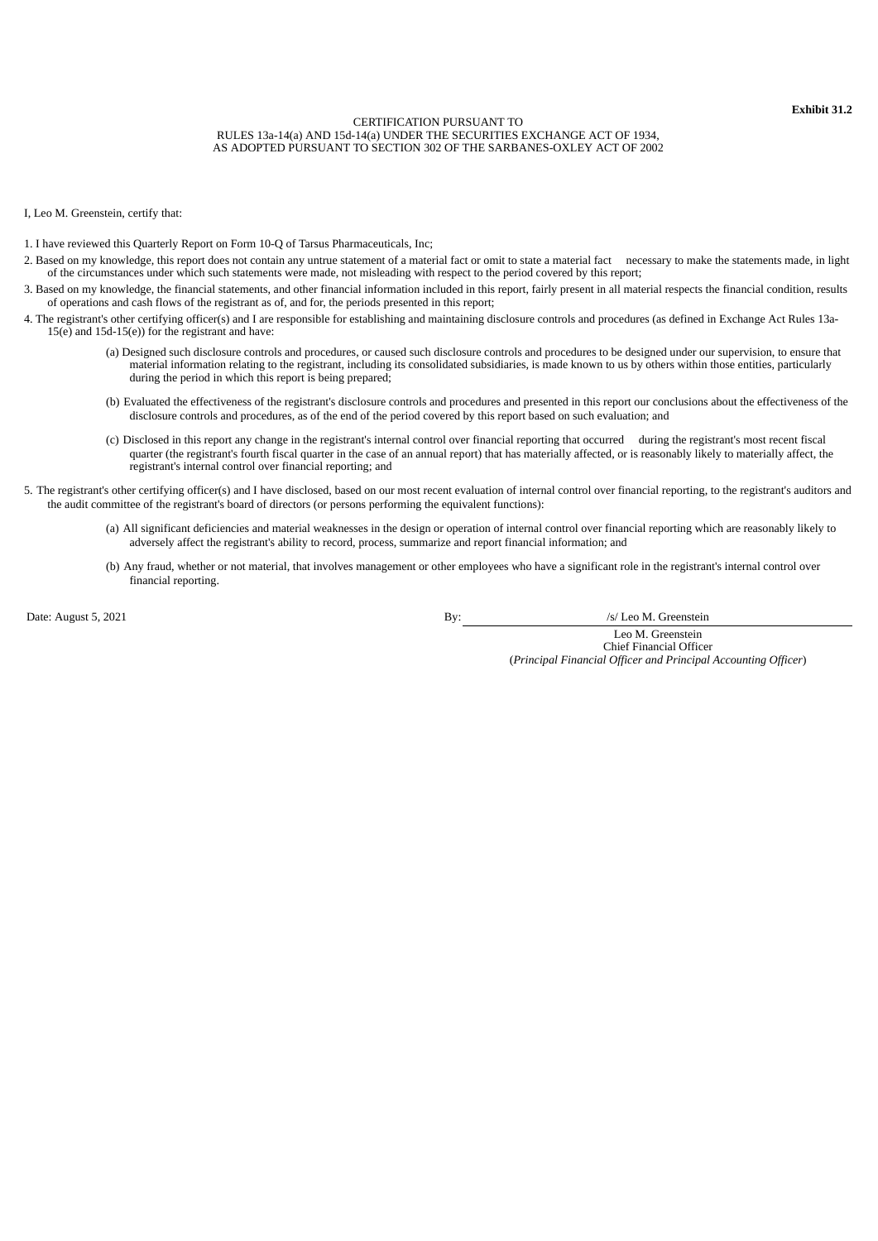**Exhibit 31.2**

#### CERTIFICATION PURSUANT TO RULES 13a-14(a) AND 15d-14(a) UNDER THE SECURITIES EXCHANGE ACT OF 1934, AS ADOPTED PURSUANT TO SECTION 302 OF THE SARBANES-OXLEY ACT OF 2002

<span id="page-41-0"></span>I, Leo M. Greenstein, certify that:

1. I have reviewed this Quarterly Report on Form 10-Q of Tarsus Pharmaceuticals, Inc;

- 2. Based on my knowledge, this report does not contain any untrue statement of a material fact or omit to state a material fact necessary to make the statements made, in light of the circumstances under which such statements were made, not misleading with respect to the period covered by this report;
- 3. Based on my knowledge, the financial statements, and other financial information included in this report, fairly present in all material respects the financial condition, results of operations and cash flows of the registrant as of, and for, the periods presented in this report;
- 4. The registrant's other certifying officer(s) and I are responsible for establishing and maintaining disclosure controls and procedures (as defined in Exchange Act Rules 13a-15(e) and 15d-15(e)) for the registrant and have:
	- (a) Designed such disclosure controls and procedures, or caused such disclosure controls and procedures to be designed under our supervision, to ensure that material information relating to the registrant, including its consolidated subsidiaries, is made known to us by others within those entities, particularly during the period in which this report is being prepared;
	- (b) Evaluated the effectiveness of the registrant's disclosure controls and procedures and presented in this report our conclusions about the effectiveness of the disclosure controls and procedures, as of the end of the period covered by this report based on such evaluation; and
	- (c) Disclosed in this report any change in the registrant's internal control over financial reporting that occurred during the registrant's most recent fiscal quarter (the registrant's fourth fiscal quarter in the case of an annual report) that has materially affected, or is reasonably likely to materially affect, the registrant's internal control over financial reporting; and
- 5. The registrant's other certifying officer(s) and I have disclosed, based on our most recent evaluation of internal control over financial reporting, to the registrant's auditors and the audit committee of the registrant's board of directors (or persons performing the equivalent functions):
	- (a) All significant deficiencies and material weaknesses in the design or operation of internal control over financial reporting which are reasonably likely to adversely affect the registrant's ability to record, process, summarize and report financial information; and
	- (b) Any fraud, whether or not material, that involves management or other employees who have a significant role in the registrant's internal control over financial reporting.

Date: August 5, 2021 **By:** /s/ Leo M. Greenstein **By:** /s/ Leo M. Greenstein

Leo M. Greenstein Chief Financial Officer (*Principal Financial Officer and Principal Accounting Officer*)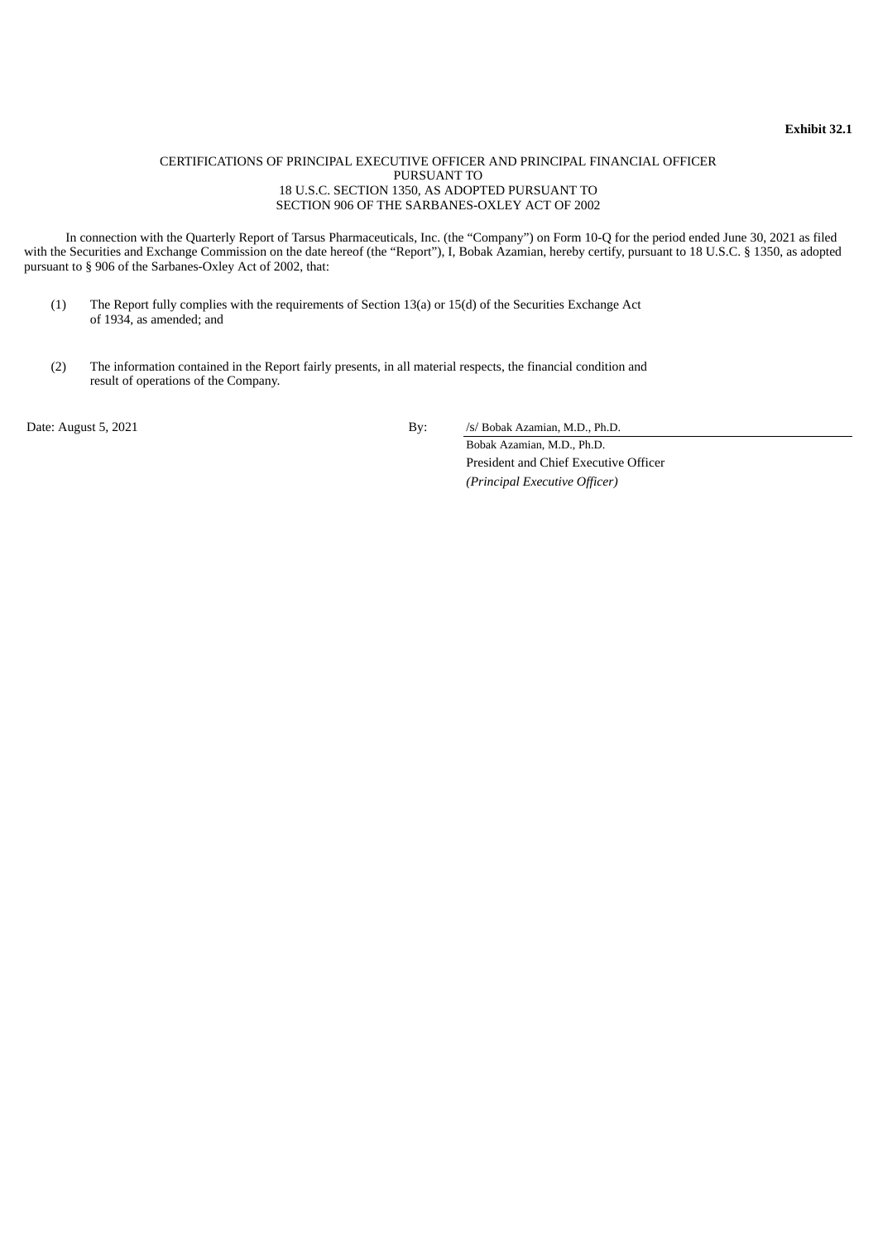# **Exhibit 32.1**

#### <span id="page-42-0"></span>CERTIFICATIONS OF PRINCIPAL EXECUTIVE OFFICER AND PRINCIPAL FINANCIAL OFFICER PURSUANT TO 18 U.S.C. SECTION 1350, AS ADOPTED PURSUANT TO SECTION 906 OF THE SARBANES-OXLEY ACT OF 2002

In connection with the Quarterly Report of Tarsus Pharmaceuticals, Inc. (the "Company") on Form 10-Q for the period ended June 30, 2021 as filed with the Securities and Exchange Commission on the date hereof (the "Report"), I, Bobak Azamian, hereby certify, pursuant to 18 U.S.C. § 1350, as adopted pursuant to § 906 of the Sarbanes-Oxley Act of 2002, that:

- (1) The Report fully complies with the requirements of Section 13(a) or 15(d) of the Securities Exchange Act of 1934, as amended; and
- (2) The information contained in the Report fairly presents, in all material respects, the financial condition and result of operations of the Company.

Date: August 5, 2021 By: /s/ Bobak Azamian, M.D., Ph.D.

Bobak Azamian, M.D., Ph.D. President and Chief Executive Officer *(Principal Executive Officer)*